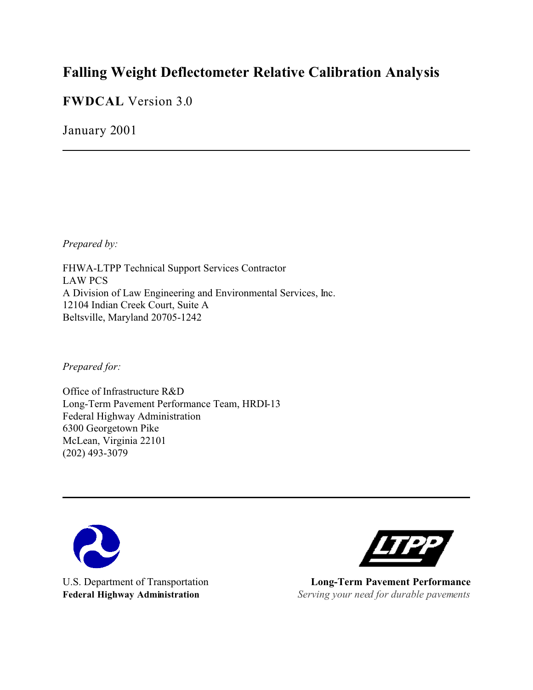# **Falling Weight Deflectometer Relative Calibration Analysis**

**FWDCAL** Version 3.0

January 2001

*Prepared by:*

FHWA-LTPP Technical Support Services Contractor LAW PCS A Division of Law Engineering and Environmental Services, Inc. 12104 Indian Creek Court, Suite A Beltsville, Maryland 20705-1242

*Prepared for:*

Office of Infrastructure R&D Long-Term Pavement Performance Team, HRDI-13 Federal Highway Administration 6300 Georgetown Pike McLean, Virginia 22101 (202) 493-3079





U.S. Department of Transportation **Long-Term Pavement Performance Federal Highway Administration** *Serving your need for durable pavements*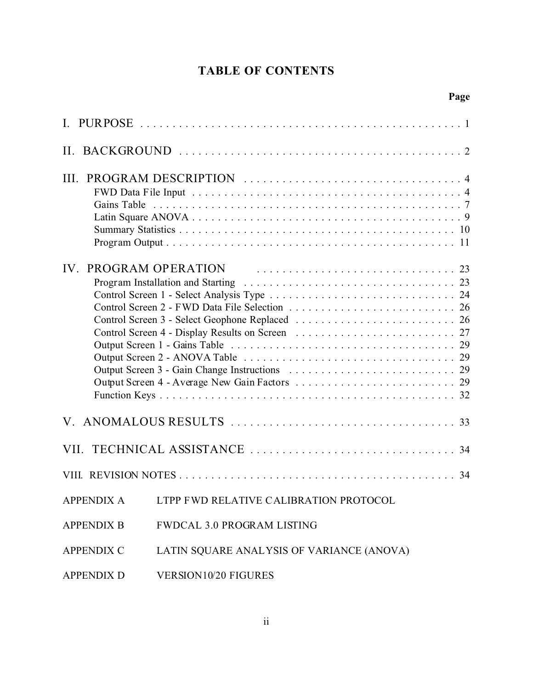# **TABLE OF CONTENTS**

| $\mathbf{L}$      |                                           |
|-------------------|-------------------------------------------|
|                   |                                           |
| III.              |                                           |
| IV.               |                                           |
|                   |                                           |
|                   |                                           |
|                   | 34                                        |
| <b>APPENDIX A</b> | LTPP FWD RELATIVE CALIBRATION PROTOCOL    |
| <b>APPENDIX B</b> | <b>FWDCAL 3.0 PROGRAM LISTING</b>         |
| <b>APPENDIX C</b> | LATIN SQUARE ANALYSIS OF VARIANCE (ANOVA) |
| <b>APPENDIX D</b> | VERSION10/20 FIGURES                      |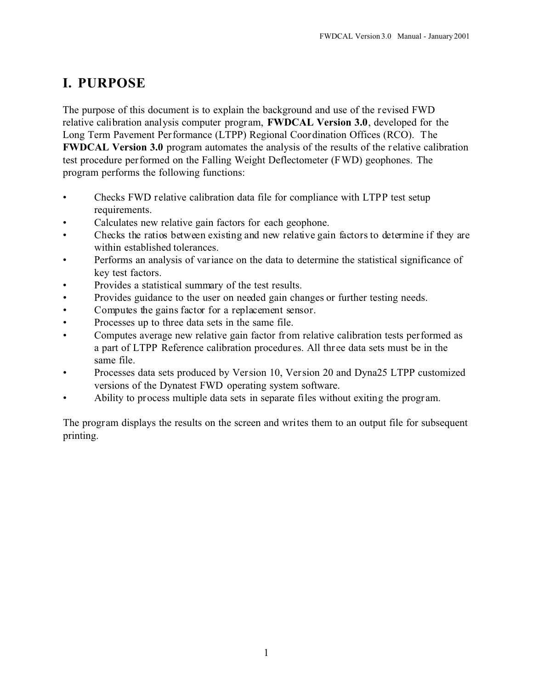# **I. PURPOSE**

The purpose of this document is to explain the background and use of the revised FWD relative calibration analysis computer program, **FWDCAL Version 3.0**, developed for the Long Term Pavement Performance (LTPP) Regional Coordination Offices (RCO). The **FWDCAL Version 3.0** program automates the analysis of the results of the relative calibration test procedure performed on the Falling Weight Deflectometer (FWD) geophones. The program performs the following functions:

- Checks FWD relative calibration data file for compliance with LTPP test setup requirements.
- Calculates new relative gain factors for each geophone.
- Checks the ratios between existing and new relative gain factors to determine if they are within established tolerances.
- Performs an analysis of variance on the data to determine the statistical significance of key test factors.
- Provides a statistical summary of the test results.
- Provides guidance to the user on needed gain changes or further testing needs.
- Computes the gains factor for a replacement sensor.
- Processes up to three data sets in the same file.
- Computes average new relative gain factor from relative calibration tests performed as a part of LTPP Reference calibration procedures. All thr ee data sets must be in the same file.
- Processes data sets produced by Version 10, Version 20 and Dyna25 LTPP customized versions of the Dynatest FWD operating system software.
- Ability to process multiple data sets in separate files without exiting the program.

The program displays the results on the screen and writes them to an output file for subsequent printing.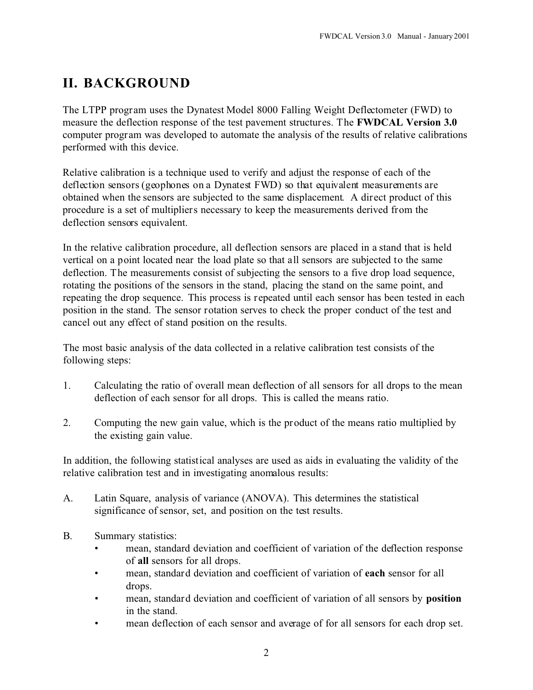# **II. BACKGROUND**

The LTPP program uses the Dynatest Model 8000 Falling Weight Deflectometer (FWD) to measure the deflection response of the test pavement structures. The **FWDCAL Version 3.0** computer program was developed to automate the analysis of the results of relative calibrations performed with this device.

Relative calibration is a technique used to verify and adjust the response of each of the deflection sensors (geophones on a Dynatest FWD) so that equivalent measurements are obtained when the sensors are subjected to the same displacement. A direct product of this procedure is a set of multipliers necessary to keep the measurements derived from the deflection sensors equivalent.

In the relative calibration procedure, all deflection sensors are placed in a stand that is held vertical on a point located near the load plate so that all sensors are subjected to the same deflection. The measurements consist of subjecting the sensors to a five drop load sequence, rotating the positions of the sensors in the stand, placing the stand on the same point, and repeating the drop sequence. This process is repeated until each sensor has been tested in each position in the stand. The sensor rotation serves to check the proper conduct of the test and cancel out any effect of stand position on the results.

The most basic analysis of the data collected in a relative calibration test consists of the following steps:

- 1. Calculating the ratio of overall mean deflection of all sensors for all drops to the mean deflection of each sensor for all drops. This is called the means ratio.
- 2. Computing the new gain value, which is the product of the means ratio multiplied by the existing gain value.

In addition, the following statistical analyses are used as aids in evaluating the validity of the relative calibration test and in investigating anomalous results:

- A. Latin Square, analysis of variance (ANOVA). This determines the statistical significance of sensor, set, and position on the test results.
- B. Summary statistics:
	- mean, standard deviation and coefficient of variation of the deflection response of **all** sensors for all drops.
	- mean, standard deviation and coefficient of variation of **each** sensor for all drops.
	- mean, standard deviation and coefficient of variation of all sensors by **position** in the stand.
	- mean deflection of each sensor and average of for all sensors for each drop set.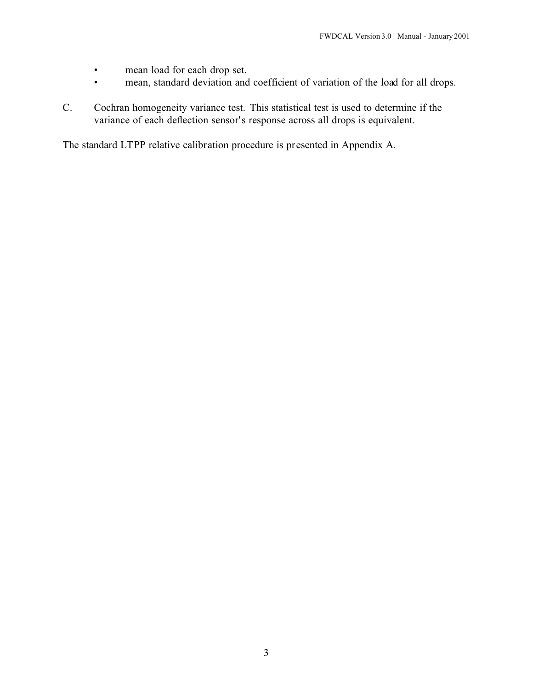- mean load for each drop set.
- mean, standard deviation and coefficient of variation of the load for all drops.
- C. Cochran homogeneity variance test. This statistical test is used to determine if the variance of each deflection sensor's response across all drops is equivalent.

The standard LTPP relative calibration procedure is presented in Appendix A.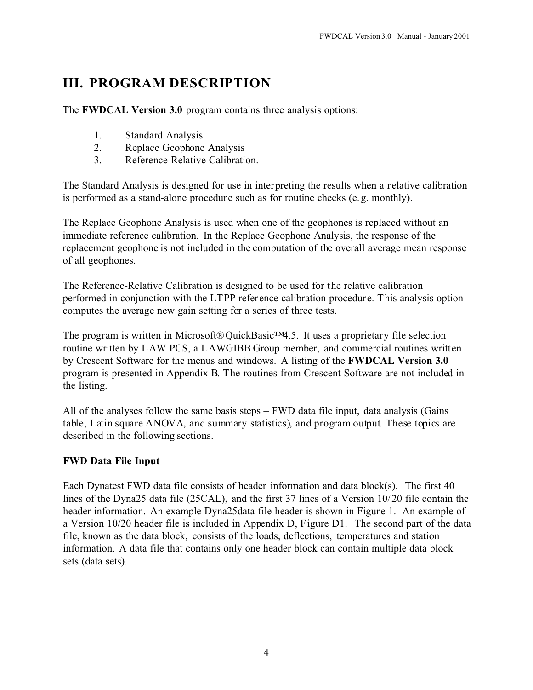# **III. PROGRAM DESCRIPTION**

The **FWDCAL Version 3.0** program contains three analysis options:

- 1. Standard Analysis
- 2. Replace Geophone Analysis
- 3. Reference-Relative Calibration.

The Standard Analysis is designed for use in interpreting the results when a relative calibration is performed as a stand-alone procedure such as for routine checks (e.g. monthly).

The Replace Geophone Analysis is used when one of the geophones is replaced without an immediate reference calibration. In the Replace Geophone Analysis, the response of the replacement geophone is not included in the computation of the overall average mean response of all geophones.

The Reference-Relative Calibration is designed to be used for the relative calibration performed in conjunction with the LTPP reference calibration procedure. This analysis option computes the average new gain setting for a series of three tests.

The program is written in Microsoft® QuickBasic<sup>™</sup>4.5. It uses a proprietary file selection routine written by LAW PCS, a LAWGIBB Group member, and commercial routines written by Crescent Software for the menus and windows. A listing of the **FWDCAL Version 3.0** program is presented in Appendix B. The routines from Crescent Software are not included in the listing.

All of the analyses follow the same basis steps – FWD data file input, data analysis (Gains table, Latin square ANOVA, and summary statistics), and program output. These topics are described in the following sections.

#### **FWD Data File Input**

Each Dynatest FWD data file consists of header information and data block(s). The first 40 lines of the Dyna25 data file (25CAL), and the first 37 lines of a Version 10/20 file contain the header information. An example Dyna25data file header is shown in Figure 1. An example of a Version 10/20 header file is included in Appendix D, Figure D1. The second part of the data file, known as the data block, consists of the loads, deflections, temperatures and station information. A data file that contains only one header block can contain multiple data block sets (data sets).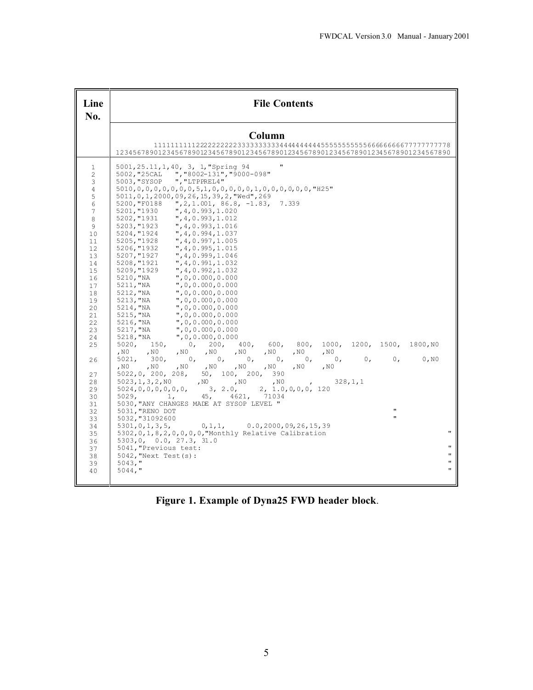| Line<br>No.                                                                                                                                                                                                      | <b>File Contents</b>                                                                                                                                                                                                                                                                                                                                                                                                                                                                                                                                                                                                                                                                                                                                                                                                                                                                                                                                                                                                                                                                                                                                                                                                                                                                                                                                                                        |
|------------------------------------------------------------------------------------------------------------------------------------------------------------------------------------------------------------------|---------------------------------------------------------------------------------------------------------------------------------------------------------------------------------------------------------------------------------------------------------------------------------------------------------------------------------------------------------------------------------------------------------------------------------------------------------------------------------------------------------------------------------------------------------------------------------------------------------------------------------------------------------------------------------------------------------------------------------------------------------------------------------------------------------------------------------------------------------------------------------------------------------------------------------------------------------------------------------------------------------------------------------------------------------------------------------------------------------------------------------------------------------------------------------------------------------------------------------------------------------------------------------------------------------------------------------------------------------------------------------------------|
|                                                                                                                                                                                                                  | Column<br>12345678901234567890123456789012345678901234567890123456789012345678901234567890                                                                                                                                                                                                                                                                                                                                                                                                                                                                                                                                                                                                                                                                                                                                                                                                                                                                                                                                                                                                                                                                                                                                                                                                                                                                                                  |
| $\mathbf{1}$<br>$\overline{c}$<br>3<br>$\overline{4}$<br>5<br>$\sqrt{6}$<br>$\overline{7}$<br>8<br>9<br>10<br>11<br>12<br>13<br>14<br>15<br>16<br>17<br>18<br>19<br>20<br>21<br>22<br>23<br>24<br>25<br>26<br>27 | $\pmb{\mathsf{H}}$<br>5001, 25.11, 1, 40, 3, 1, "Spring 94<br>", "8002-131", "9000-098"<br>5002, "25CAL<br>", "LTPPREL4"<br>5003, "SYSOP<br>5010, 0, 0, 0, 0, 0, 0, 0, 5, 1, 0, 0, 0, 0, 0, 1, 0, 0, 0, 0, 0, 0, 0, "H25"<br>5011, 0, 1, 2000, 09, 26, 15, 39, 2, "Wed", 269<br>5200, "F0188 ", 2, 1.001, 86.8, -1.83, 7.339<br>5201, "1930<br>", 4, 0.993, 1.020<br>", 4, 0.993, 1.012<br>5202, "1931<br>",4,0.993,1.016<br>",4,0.994,1.037<br>5203, "1923<br>5204, "1924<br>", 4, 0.997, 1.005<br>5205, "1928<br>", 4, 0.995, 1.015<br>5206, "1932<br>", 4, 0.999, 1.046<br>5207, "1927<br>", 4, 0.991, 1.032<br>5208, "1921<br>5209, "1929<br>", 4, 0.992, 1.032<br>", 0, 0.000, 0.000<br>5210, "NA<br>5211, "NA<br>", 0, 0.000, 0.000<br>5212, "NA<br>", 0, 0.000, 0.000<br>5213, "NA<br>", 0, 0.000, 0.000<br>5214, "NA<br>", 0, 0.000, 0.000<br>", 0, 0.000, 0.000<br>5215, "NA<br>", 0, 0.000, 0.000<br>5216, "NA<br>5217, "NA<br>", 0, 0.000, 0.000<br>5218, "NA<br>", 0, 0.000, 0.000<br>1000, 1200, 1500, 1800, NO<br>5020, 150,<br>0, 200, 400,<br>600.<br>800,<br>, $N0$<br>$, N0$ , $N0$<br>, $N0$<br>, $N0$<br>, N0<br>$\sim N0$<br>, N0<br>5021, 300,<br>0, 0,<br>$\mathbb{O}$ ,<br>0, N0<br>$\circ$ ,<br>$\mathbb{0}$ ,<br>$\circ$ .<br>$\mathbf{0}$ ,<br>$, N0$ , $N0$<br>, N0<br>, $NO$<br>, N0<br>, $N0$<br>, $\rm N0$<br>, $N0$<br>5022, 0, 200, 208, 50, 100, 200, 390 |
| 28<br>29<br>30<br>31<br>32<br>33<br>34<br>35<br>36<br>37<br>38<br>39<br>40                                                                                                                                       | 5023, 1, 3, 2, N0<br>$, N0$ , $N0$<br>328, 1, 1<br>$\,$ , NO $\,$<br>$\overline{ }$<br>5024, 0, 0, 0, 0, 0, 0,<br>2, 1.0, 0, 0, 0, 120<br>3, 2.0,<br>4621,<br>5029.<br>1,<br>45 <sub>1</sub><br>71034<br>5030, "ANY CHANGES MADE AT SYSOP LEVEL "<br>$\mathbf{u}$<br>5031, "RENO DOT<br>5032, "31092600<br>$5301, 0, 1, 3, 5,$ 0, 1, 1,<br>0.0, 2000, 09, 26, 15, 39<br>$\mathbf{u}$<br>$5302, 0, 1, 8, 2, 0, 0, 0, 0,$ "Monthly Relative Calibration<br>5303, 0, 0.0, 27.3, 31.0<br>п<br>5041, "Previous test:<br>$\mathbf{H}$<br>$5042$ , "Next Test(s):<br>п<br>$5043,$ "<br>π<br>$5044,$ "                                                                                                                                                                                                                                                                                                                                                                                                                                                                                                                                                                                                                                                                                                                                                                                              |

**Figure 1. Example of Dyna25 FWD header block**.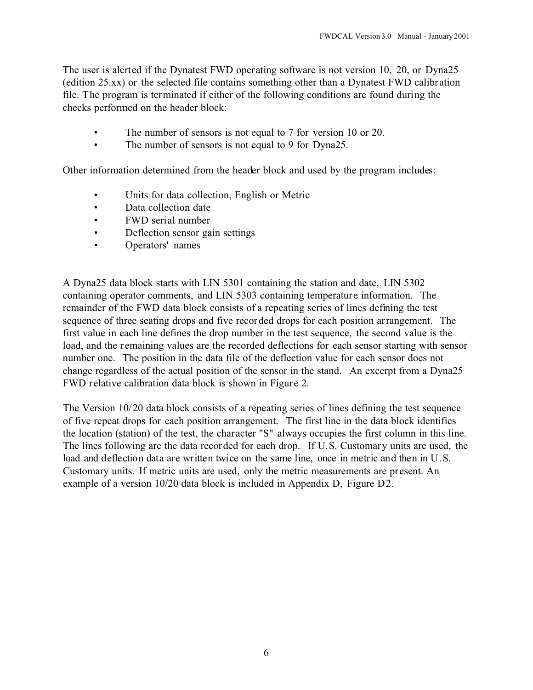The user is alerted if the Dynatest FWD operating software is not version 10, 20, or Dyna25 (edition 25.xx) or the selected file contains something other than a Dynatest FWD calibration file. The program is terminated if either of the following conditions are found during the checks performed on the header block:

- The number of sensors is not equal to 7 for version 10 or 20.
- The number of sensors is not equal to 9 for Dyna25.

Other information determined from the header block and used by the program includes:

- Units for data collection, English or Metric
- Data collection date
- FWD serial number
- Deflection sensor gain settings
- Operators' names

A Dyna25 data block starts with LIN 5301 containing the station and date, LIN 5302 containing operator comments, and LIN 5303 containing temperature information. The remainder of the FWD data block consists of a repeating series of lines defining the test sequence of three seating drops and five recorded drops for each position arrangement. The first value in each line defines the drop number in the test sequence, the second value is the load, and the remaining values are the recorded deflections for each sensor starting with sensor number one. The position in the data file of the deflection value for each sensor does not change regardless of the actual position of the sensor in the stand. An excerpt from a Dyna25 FWD relative calibration data block is shown in Figure 2.

The Version 10/20 data block consists of a repeating series of lines defining the test sequence of five repeat drops for each position arrangement. The first line in the data block identifies the location (station) of the test, the character "S" always occupies the first column in this line. The lines following are the data recorded for each drop. If U.S. Customary units are used, the load and deflection data are written twice on the same line, once in metric and then in U.S. Customary units. If metric units are used, only the metric measurements are present. An example of a version 10/20 data block is included in Appendix D, Figure D2.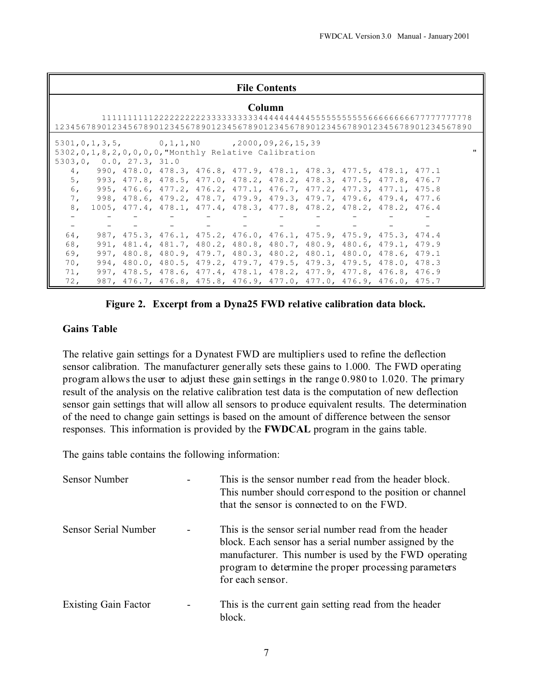#### **File Contents**

|     |                          |  |                                                                     | Column |  | 12345678901234567890123456789012345678901234567890123456789012345678901234567890 |  |
|-----|--------------------------|--|---------------------------------------------------------------------|--------|--|----------------------------------------------------------------------------------|--|
|     |                          |  | $5301, 0, 1, 3, 5,$ 0, 1, 1, NO $72000, 09, 26, 15, 39$             |        |  |                                                                                  |  |
|     |                          |  | $5302, 0, 1, 8, 2, 0, 0, 0, 0$ , "Monthly Relative Calibration      |        |  |                                                                                  |  |
|     | 5303, 0, 0.0, 27.3, 31.0 |  |                                                                     |        |  |                                                                                  |  |
| 4.  |                          |  | 990, 478.0, 478.3, 476.8, 477.9, 478.1, 478.3, 477.5, 478.1, 477.1  |        |  |                                                                                  |  |
| 5.  |                          |  | 993, 477.8, 478.5, 477.0, 478.2, 478.2, 478.3, 477.5, 477.8, 476.7  |        |  |                                                                                  |  |
| 6.  |                          |  | 995, 476.6, 477.2, 476.2, 477.1, 476.7, 477.2, 477.3, 477.1, 475.8  |        |  |                                                                                  |  |
| 7.  |                          |  | 998, 478.6, 479.2, 478.7, 479.9, 479.3, 479.7, 479.6, 479.4, 477.6  |        |  |                                                                                  |  |
| 8,  |                          |  | 1005, 477.4, 478.1, 477.4, 478.3, 477.8, 478.2, 478.2, 478.2, 476.4 |        |  |                                                                                  |  |
|     |                          |  |                                                                     |        |  |                                                                                  |  |
|     |                          |  | 로 이 사는 사이 사는 사이에 들어가 아들이 아니는 사이에 들어가 아들이 아니는 사이에 들어갔다.              |        |  |                                                                                  |  |
| 64, |                          |  | 987, 475.3, 476.1, 475.2, 476.0, 476.1, 475.9, 475.9, 475.3, 474.4  |        |  |                                                                                  |  |
| 68. |                          |  | 991, 481.4, 481.7, 480.2, 480.8, 480.7, 480.9, 480.6, 479.1, 479.9  |        |  |                                                                                  |  |
| 69. |                          |  | 997, 480.8, 480.9, 479.7, 480.3, 480.2, 480.1, 480.0, 478.6, 479.1  |        |  |                                                                                  |  |
| 70. |                          |  | 994, 480.0, 480.5, 479.2, 479.7, 479.5, 479.3, 479.5, 478.0, 478.3  |        |  |                                                                                  |  |
| 71. |                          |  | 997, 478.5, 478.6, 477.4, 478.1, 478.2, 477.9, 477.8, 476.8, 476.9  |        |  |                                                                                  |  |
| 72, |                          |  | 987, 476.7, 476.8, 475.8, 476.9, 477.0, 477.0, 476.9, 476.0, 475.7  |        |  |                                                                                  |  |

#### **Figure 2. Excerpt from a Dyna25 FWD relative calibration data block.**

#### **Gains Table**

The relative gain settings for a Dynatest FWD are multipliers used to refine the deflection sensor calibration. The manufacturer generally sets these gains to 1.000. The FWD operating program allows the user to adjust these gain settings in the range 0.980 to 1.020. The primary result of the analysis on the relative calibration test data is the computation of new deflection sensor gain settings that will allow all sensors to produce equivalent results. The determination of the need to change gain settings is based on the amount of difference between the sensor responses. This information is provided by the **FWDCAL** program in the gains table.

The gains table contains the following information:

| <b>Sensor Number</b>        |   | This is the sensor number read from the header block.<br>This number should correspond to the position or channel<br>that the sensor is connected to on the FWD.                                                                                       |
|-----------------------------|---|--------------------------------------------------------------------------------------------------------------------------------------------------------------------------------------------------------------------------------------------------------|
| Sensor Serial Number        |   | This is the sensor serial number read from the header<br>block. Each sensor has a serial number assigned by the<br>manufacturer. This number is used by the FWD operating<br>program to determine the proper processing parameters<br>for each sensor. |
| <b>Existing Gain Factor</b> | - | This is the current gain setting read from the header<br>block.                                                                                                                                                                                        |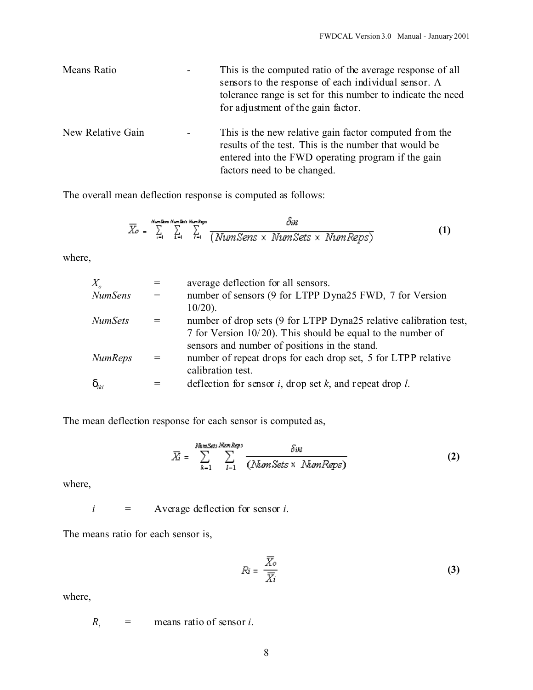| Means Ratio       |                | This is the computed ratio of the average response of all<br>sensors to the response of each individual sensor. A<br>tolerance range is set for this number to indicate the need<br>for adjustment of the gain factor. |
|-------------------|----------------|------------------------------------------------------------------------------------------------------------------------------------------------------------------------------------------------------------------------|
| New Relative Gain | $\blacksquare$ | This is the new relative gain factor computed from the<br>results of the test. This is the number that would be<br>entered into the FWD operating program if the gain<br>factors need to be changed.                   |

The overall mean deflection response is computed as follows:

$$
\overline{X}_{o} = \sum_{i=1}^{N_{\text{tr}} \times 2 \text{ in } N_{\text{tr}} \times N_{\text{tr}} \times N_{\text{tr}}} \frac{\delta n}{(N_{\text{tr}} \times N_{\text{tr}} \times N_{\text{tr}} \times N_{\text{tr}} \times N_{\text{tr}} \times N_{\text{tr}} \times N_{\text{tr}} \times N_{\text{tr}} \times N_{\text{tr}} \times N_{\text{tr}} \times N_{\text{tr}} \times N_{\text{tr}} \times N_{\text{tr}} \times N_{\text{tr}} \times N_{\text{tr}} \times N_{\text{tr}} \times N_{\text{tr}} \times N_{\text{tr}} \times N_{\text{tr}} \times N_{\text{tr}} \times N_{\text{tr}} \times N_{\text{tr}} \times N_{\text{tr}} \times N_{\text{tr}} \times N_{\text{tr}} \times N_{\text{tr}} \times N_{\text{tr}} \times N_{\text{tr}} \times N_{\text{tr}} \times N_{\text{tr}} \times N_{\text{tr}} \times N_{\text{tr}} \times N_{\text{tr}} \times N_{\text{tr}} \times N_{\text{tr}} \times N_{\text{tr}} \times N_{\text{tr}} \times N_{\text{tr}} \times N_{\text{tr}} \times N_{\text{tr}} \times N_{\text{tr}} \times N_{\text{tr}} \times N_{\text{tr}} \times N_{\text{tr}} \times N_{\text{tr}} \times N_{\text{tr}} \times N_{\text{tr}} \times N_{\text{tr}} \times N_{\text{tr}} \times N_{\text{tr}} \times N_{\text{tr}} \times N_{\text{tr}} \times N_{\text{tr}} \times N_{\text{tr}} \times N_{\text{tr}} \times N_{\text{tr}} \times N_{\text{tr}} \times N_{\text{tr}} \times N_{\text{tr}} \times N_{\text{tr}} \times N_{\text{tr}} \times N_{\text{tr}} \times N_{\text{tr}} \times N_{\text{tr}} \times N_{\text{tr}} \times N_{\text{tr}} \times N_{\text{tr}} \times N_{\text{tr}} \times N_{\text{tr}} \times N_{\text{tr}} \times N_{\text{tr}} \times N_{\text{tr}} \times N_{\text{tr}} \times N_{\text{tr}} \times N_{\text{tr}} \times N_{\text{tr}} \times N_{\text{tr}} \times N_{
$$

where,

| $X_{\scriptscriptstyle\alpha}$ |     | average deflection for all sensors.                               |
|--------------------------------|-----|-------------------------------------------------------------------|
| NumSens                        | $=$ | number of sensors (9 for LTPP Dyna25 FWD, 7 for Version           |
|                                |     | $10/20$ ).                                                        |
| NumSets                        | $=$ | number of drop sets (9 for LTPP Dyna25 relative calibration test, |
|                                |     | 7 for Version $10/20$ ). This should be equal to the number of    |
|                                |     | sensors and number of positions in the stand.                     |
| NumReps                        |     | number of repeat drops for each drop set, 5 for LTPP relative     |
|                                |     | calibration test.                                                 |
| ikl                            |     | deflection for sensor $i$ , drop set $k$ , and repeat drop $l$ .  |
|                                |     |                                                                   |

The mean deflection response for each sensor is computed as,

$$
\overline{X}_{i} = \sum_{k=1}^{Num\, \text{Sets}} \sum_{l=1}^{Num\, \text{Reps}} \frac{\delta u}{(N \text{tan} \text{Sets} \times N \text{tan} \text{Reps})}
$$
(2)

where,

*i* = Average deflection for sensor *i*.

The means ratio for each sensor is,

$$
Ri = \frac{\overline{X_o}}{\overline{X_i}}
$$
 (3)

where,

 $R_i$  = means ratio of sensor *i*.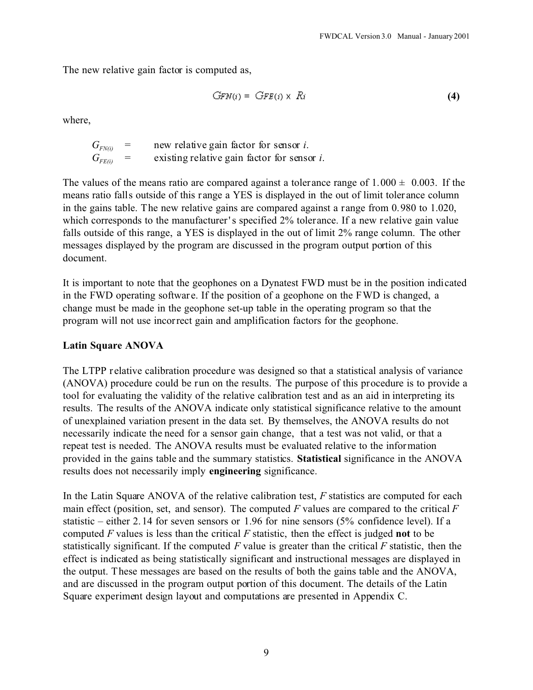The new relative gain factor is computed as,

$$
GFN(i) = GFE(i) \times Ri \tag{4}
$$

where,

 $G_{FN(i)}$  = new relative gain factor for sensor *i*.<br> $G_{FF(i)}$  = existing relative gain factor for sensor existing relative gain factor for sensor *i*.

The values of the means ratio are compared against a tolerance range of  $1.000 \pm 0.003$ . If the means ratio falls outside of this range a YES is displayed in the out of limit toler ance column in the gains table. The new relative gains are compared against a range from 0.980 to 1.020, which corresponds to the manufacturer's specified 2% tolerance. If a new relative gain value falls outside of this range, a YES is displayed in the out of limit 2% range column. The other messages displayed by the program are discussed in the program output portion of this document.

It is important to note that the geophones on a Dynatest FWD must be in the position indicated in the FWD operating softwar e. If the position of a geophone on the FWD is changed, a change must be made in the geophone set-up table in the operating program so that the program will not use incorrect gain and amplification factors for the geophone.

#### **Latin Square ANOVA**

The LTPP r elative calibration procedure was designed so that a statistical analysis of variance (ANOVA) procedure could be run on the results. The purpose of this procedure is to provide a tool for evaluating the validity of the relative calibration test and as an aid in interpreting its results. The results of the ANOVA indicate only statistical significance relative to the amount of unexplained variation present in the data set. By themselves, the ANOVA results do not necessarily indicate the need for a sensor gain change, that a test was not valid, or that a repeat test is needed. The ANOVA results must be evaluated relative to the information provided in the gains table and the summary statistics. **Statistical** significance in the ANOVA results does not necessarily imply **engineering** significance.

In the Latin Square ANOVA of the relative calibration test, *F* statistics are computed for each main effect (position, set, and sensor). The computed *F* values are compared to the critical *F* statistic – either 2.14 for seven sensors or 1.96 for nine sensors (5% confidence level). If a computed *F* values is less than the critical *F* statistic, then the effect is judged **not** to be statistically significant. If the computed *F* value is greater than the critical *F* statistic, then the effect is indicated as being statistically significant and instructional messages are displayed in the output. These messages are based on the results of both the gains table and the ANOVA, and are discussed in the program output portion of this document. The details of the Latin Square experiment design layout and computations are presented in Appendix C.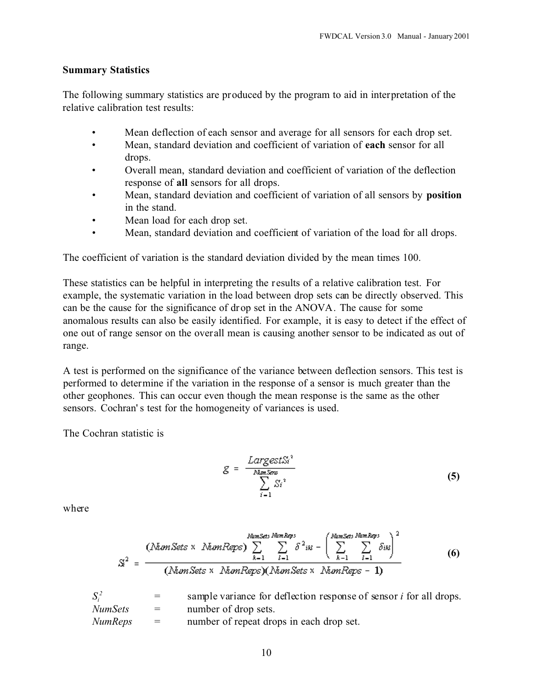#### **Summary Statistics**

The following summary statistics are produced by the program to aid in interpretation of the relative calibration test results:

- Mean deflection of each sensor and average for all sensors for each drop set.
- Mean, standard deviation and coefficient of variation of **each** sensor for all drops.
- Overall mean, standard deviation and coefficient of variation of the deflection response of **all** sensors for all drops.
- Mean, standard deviation and coefficient of variation of all sensors by **position** in the stand.
- Mean load for each drop set.
- Mean, standard deviation and coefficient of variation of the load for all drops.

The coefficient of variation is the standard deviation divided by the mean times 100.

These statistics can be helpful in interpreting the r esults of a relative calibration test. For example, the systematic variation in the load between drop sets can be directly observed. This can be the cause for the significance of drop set in the ANOVA. The cause for some anomalous results can also be easily identified. For example, it is easy to detect if the effect of one out of range sensor on the overall mean is causing another sensor to be indicated as out of range.

A test is performed on the significance of the variance between deflection sensors. This test is performed to determine if the variation in the response of a sensor is much greater than the other geophones. This can occur even though the mean response is the same as the other sensors. Cochran's test for the homogeneity of variances is used.

The Cochran statistic is

$$
g = \frac{LargestS_i^3}{\sum_{i=1}^{Name, Seny}} \tag{5}
$$

where

$$
S^{2} = \frac{(\text{NumSets} \times \text{NumReps}) \sum_{k=1}^{\text{NumSets}} \sum_{i=1}^{\text{NumRes}} \delta^{2}^{2}^{i} \mathcal{U} - \left(\sum_{k=1}^{\text{NumSets}} \sum_{i=1}^{\text{NumRes}} \delta^{i} \mathcal{U}\right)^{2}}{(\text{NumSets} \times \text{NumReps})(\text{NumSets} \times \text{NumReps} - 1)}
$$
(6)

| $S_i^2$        | $=$ $-$ | sample variance for deflection response of sensor <i>i</i> for all drops. |
|----------------|---------|---------------------------------------------------------------------------|
| <i>NumSets</i> | $=$ $-$ | number of drop sets.                                                      |
| <i>NumReps</i> | $=$     | number of repeat drops in each drop set.                                  |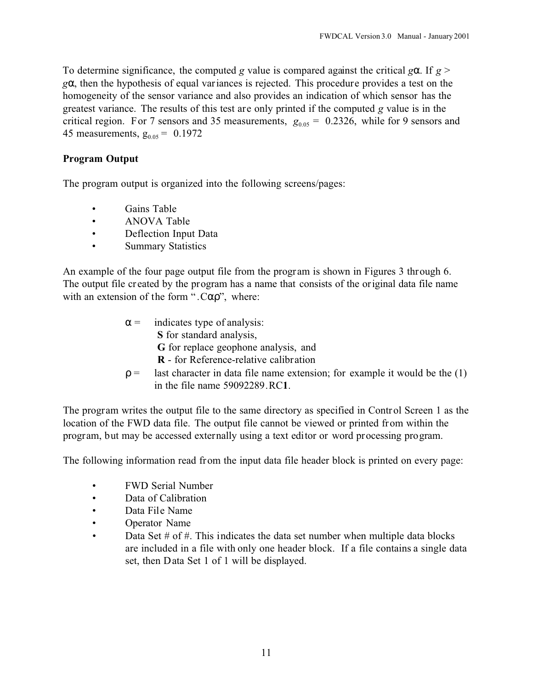To determine significance, the computed *g* value is compared against the critical *g*. If  $g >$ *g* , then the hypothesis of equal variances is rejected. This procedure provides a test on the homogeneity of the sensor variance and also provides an indication of which sensor has the greatest variance. The results of this test are only printed if the computed *g* value is in the critical region. For 7 sensors and 35 measurements,  $g_{0.05} = 0.2326$ , while for 9 sensors and 45 measurements,  $g_{0.05} = 0.1972$ 

### **Program Output**

The program output is organized into the following screens/pages:

- Gains Table
- ANOVA Table
- Deflection Input Data
- Summary Statistics

An example of the four page output file from the program is shown in Figures 3 through 6. The output file cr eated by the program has a name that consists of the original data file name with an extension of the form " $.C$ ", where:

- indicates type of analysis:  **S** for standard analysis,  **G** for replace geophone analysis, and  **R** - for Reference-relative calibration
- last character in data file name extension; for example it would be the  $(1)$ in the file name 59092289.RC**1**.

The program writes the output file to the same directory as specified in Control Screen 1 as the location of the FWD data file. The output file cannot be viewed or printed from within the program, but may be accessed externally using a text editor or word processing program.

The following information read from the input data file header block is printed on every page:

- FWD Serial Number
- Data of Calibration
- Data File Name
- Operator Name
- Data Set  $#$  of  $#$ . This indicates the data set number when multiple data blocks are included in a file with only one header block. If a file contains a single data set, then Data Set 1 of 1 will be displayed.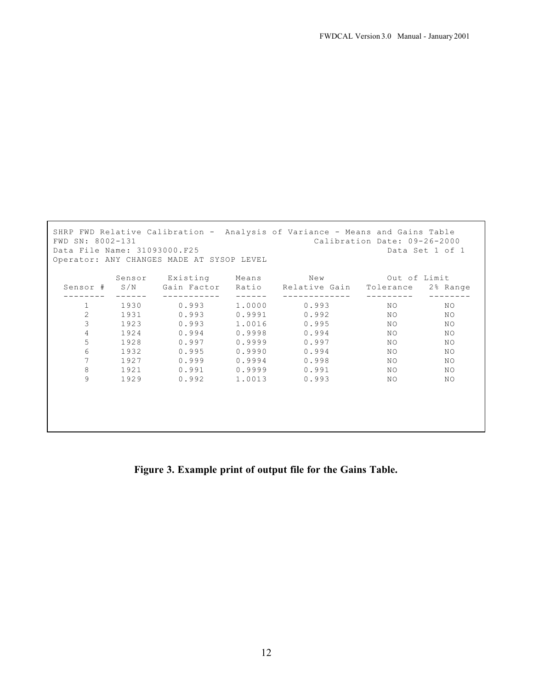| SHRP FWD Relative Calibration - Analysis of Variance - Means and Gains Table<br>FWD SN: 8002-131<br>Calibration Date: 09-26-2000<br>Data File Name: 31093000.F25<br>Data Set 1 of 1<br>Operator: ANY CHANGES MADE AT SYSOP LEVEL |        |             |        |                               |              |          |  |  |
|----------------------------------------------------------------------------------------------------------------------------------------------------------------------------------------------------------------------------------|--------|-------------|--------|-------------------------------|--------------|----------|--|--|
|                                                                                                                                                                                                                                  | Sensor | Existing    | Means  | $N \in W$                     | Out of Limit |          |  |  |
| Sensor #                                                                                                                                                                                                                         | S/N    | Gain Factor |        | Ratio Relative Gain Tolerance |              | 2% Range |  |  |
| $\mathbf{1}$                                                                                                                                                                                                                     | 1930   | 0.993       | 1,0000 | 0.993                         | NO.          | ΝO       |  |  |
| 2                                                                                                                                                                                                                                | 1931   | 0.993       | 0.9991 | 0.992                         | NO.          | NO.      |  |  |
| 3                                                                                                                                                                                                                                | 1923   | 0.993       | 1.0016 | 0.995                         | NO.          | NO.      |  |  |
| 4                                                                                                                                                                                                                                | 1924   | 0.994       | 0.9998 | 0.994                         | NO.          | NO.      |  |  |
| 5                                                                                                                                                                                                                                | 1928   | 0.997       | 0.9999 | 0.997                         | NO.          | NO.      |  |  |
| 6                                                                                                                                                                                                                                | 1932   | 0.995       | 0.9990 | 0.994                         | NO.          | NO       |  |  |
| 7                                                                                                                                                                                                                                | 1927   | 0.999       | 0.9994 | 0.998                         | NO.          | NO.      |  |  |
| 8                                                                                                                                                                                                                                | 1921   | 0.991       | 0.9999 | 0.991                         | NO.          | NO.      |  |  |
| 9                                                                                                                                                                                                                                | 1929   | 0.992       | 1.0013 | 0.993                         | NO.          | ΝO       |  |  |
|                                                                                                                                                                                                                                  |        |             |        |                               |              |          |  |  |

**Figure 3. Example print of output file for the Gains Table.**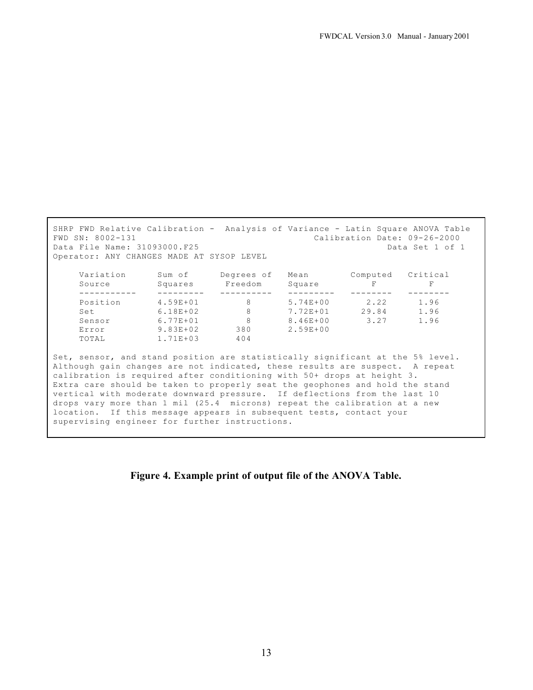SHRP FWD Relative Calibration - Analysis of Variance - Latin Square ANOVA Table FWD SN: 8002-131 Calibration Date: 09-26-2000 Data File Name: 31093000.F25 **Data Set 1 of 1** Operator: ANY CHANGES MADE AT SYSOP LEVEL Variation Sum of Degrees of Mean Computed Critical Source Squares Freedom Square F F ----------- --------- ---------- --------- -------- -------- Position 4.59E+01 8 5.74E+00 2.22 1.96 Set 6.18E+02 8 7.72E+01 29.84 1.96 Sensor 6.77E+01 8 8.46E+00 3.27 1.96 Error 9.83E+02 380 2.59E+00 TOTAL 1.71E+03 404 Set, sensor, and stand position are statistically significant at the 5% level. Although gain changes are not indicated, these results are suspect. A repeat calibration is required after conditioning with 50+ drops at height 3. Extra care should be taken to properly seat the geophones and hold the stand vertical with moderate downward pressure. If deflections from the last 10 drops vary more than 1 mil (25.4 microns) repeat the calibration at a new location. If this message appears in subsequent tests, contact your supervising engineer for further instructions.

**Figure 4. Example print of output file of the ANOVA Table.**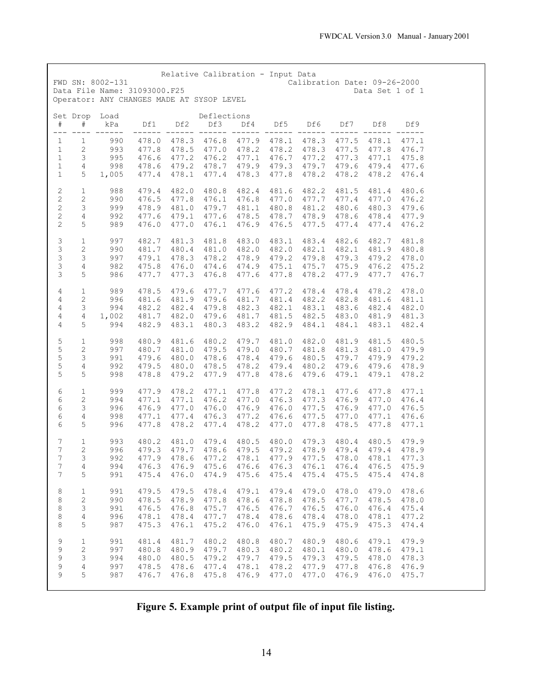| FWD SN: 8002-131                                                                                                                                 |                                   |                                           |                                           | Relative Calibration - Input Data                                    |                                                       |                                           | Calibration Date: 09-26-2000                                                                                                                    |                                                             |                                           |                                                 |  |
|--------------------------------------------------------------------------------------------------------------------------------------------------|-----------------------------------|-------------------------------------------|-------------------------------------------|----------------------------------------------------------------------|-------------------------------------------------------|-------------------------------------------|-------------------------------------------------------------------------------------------------------------------------------------------------|-------------------------------------------------------------|-------------------------------------------|-------------------------------------------------|--|
| Data File Name: 31093000.F25                                                                                                                     |                                   |                                           |                                           |                                                                      |                                                       |                                           |                                                                                                                                                 |                                                             | Data Set 1 of 1                           |                                                 |  |
| Operator: ANY CHANGES MADE AT SYSOP LEVEL                                                                                                        |                                   |                                           |                                           |                                                                      |                                                       |                                           |                                                                                                                                                 |                                                             |                                           |                                                 |  |
| Set Drop Load<br>$\#$<br>$\#$<br>$---$                                                                                                           | kPa                               | Df1                                       | Df2                                       | Deflections<br>Df3<br>------ ------ -                                | Df4                                                   | Df5                                       | Df6                                                                                                                                             | Df7                                                         | Df8                                       | Df9                                             |  |
| $\,1\,$<br>$\mathbf{1}$<br>$\,1$<br>$\mathbf{2}$<br>$\mathbf{1}$<br>3<br>$\overline{4}$<br>$1\,$<br>$\,1$<br>5 <sub>1</sub>                      | 990<br>993<br>995<br>998<br>1,005 | 477.8<br>476.6<br>478.6<br>477.4          | 478.1                                     | 478.5 477.0 478.2<br>477.2 476.2 477.1<br>479.2 478.7 479.9<br>477.4 | 478.3                                                 | 477.8                                     | 478.0 478.3 476.8 477.9 478.1 478.3 477.5 478.1<br>478.2 478.3 477.5 477.8<br>476.7 477.2 477.3 477.1<br>479.3 479.7 479.6 479.4 477.6<br>478.2 | 478.2                                                       | 478.2                                     | 477.1<br>476.7<br>475.8<br>476.4                |  |
| $\sqrt{2}$<br>$\,1$<br>$\sqrt{2}$<br>$\mathbf{2}$<br>$\overline{c}$<br>3<br>$\sqrt{2}$<br>$\overline{4}$<br>$\sqrt{2}$<br>5                      | 988<br>990<br>999<br>992<br>989   | 479.4<br>476.5<br>478.9<br>477.6<br>476.0 | 481.0<br>479.1<br>477.0                   | 482.0 480.8<br>477.8 476.1<br>479.7<br>477.6<br>476.1                | 482.4<br>476.8<br>481.1<br>478.5<br>476.9             | 480.8<br>478.7                            | 481.6 482.2<br>477.0 477.7 477.4 477.0<br>481.2<br>476.5 477.5 477.4 477.4 476.2                                                                | 481.5<br>478.9 478.6 478.4                                  | 481.4<br>480.6 480.3                      | 480.6<br>476.2<br>479.6<br>477.9                |  |
| $\ensuremath{\mathsf{3}}$<br>$\mathbf{1}$<br>$\mathfrak{Z}$<br>$\mathbf{2}$<br>$\mathfrak{Z}$<br>3<br>$\mathfrak{Z}$<br>$\overline{4}$<br>3<br>5 | 997<br>990<br>997<br>982<br>986   | 482.7<br>481.7<br>479.1<br>475.8<br>477.7 | 481.3<br>480.4<br>478.3<br>476.0<br>477.3 | 481.8<br>481.0<br>478.2<br>474.6<br>476.8                            | 483.0<br>482.0<br>478.9<br>474.9<br>477.6             | 483.1<br>475.1<br>477.8                   | 483.4<br>482.0 482.1 482.1 481.9 480.8<br>479.2 479.8<br>475.7<br>478.2                                                                         | 479.3<br>475.9<br>477.9                                     | 482.6 482.7<br>479.2 478.0<br>476.2 475.2 | 481.8<br>477.7 476.7                            |  |
| 4<br>$\mathbf{1}$<br>$\overline{4}$<br>$\mathbf{2}$<br>4<br>3<br>$\overline{4}$<br>4<br>$\overline{4}$<br>5                                      | 989<br>996<br>994<br>1,002<br>994 | 478.5<br>481.6<br>482.2<br>481.7<br>482.9 | 479.6<br>481.9<br>482.4<br>482.0<br>483.1 | 477.7<br>479.6<br>479.8<br>479.6                                     | 477.6<br>481.7<br>482.3<br>481.7<br>480.3 483.2       | 481.4<br>482.1<br>481.5<br>482.9          | 477.2 478.4<br>482.2<br>483.1<br>482.5<br>484.1                                                                                                 | 478.4<br>482.8<br>483.6<br>483.0<br>484.1                   | 478.2<br>481.6<br>481.9<br>483.1          | 478.0<br>481.1<br>482.4 482.0<br>481.3<br>482.4 |  |
| 5<br>$\mathbf{1}$<br>$\frac{5}{5}$<br>$\sqrt{2}$<br>3<br>5<br>$\overline{4}$<br>5<br>5                                                           | 998<br>997<br>991<br>992<br>998   | 480.9<br>480.7<br>479.6<br>479.5<br>478.8 | 481.6<br>481.0<br>480.0<br>480.0<br>479.2 | 480.2<br>478.5<br>477.9                                              | 479.7<br>479.5 479.0<br>478.6 478.4<br>478.2<br>477.8 | 479.6<br>479.4<br>478.6                   | 481.0 482.0 481.9<br>480.7 481.8 481.3<br>480.2<br>479.6                                                                                        | 480.5 479.7 479.9<br>479.6<br>479.1                         | 481.5<br>481.0<br>479.6<br>479.1          | 480.5<br>479.9<br>479.2<br>478.9<br>478.2       |  |
| 6<br>$\mathbf{1}$<br>6<br>$\mathbf{2}$<br>$\epsilon$<br>3<br>6<br>$\overline{4}$<br>6<br>5                                                       | 999<br>994<br>996<br>998<br>996   | 477.9<br>477.1<br>476.9<br>477.1<br>477.8 | 478.2<br>477.1<br>477.0<br>477.4<br>478.2 | 477.1<br>476.2<br>476.0<br>477.4                                     | 477.8<br>477.0<br>476.9<br>476.3 477.2<br>478.2       | 476.3<br>476.6<br>477.0                   | 477.2 478.1<br>477.3<br>476.0 477.5 476.9 477.0<br>477.8                                                                                        | 477.6<br>476.9<br>477.5 477.0<br>478.5                      | 477.8<br>477.0<br>477.1<br>477.8          | 477.1<br>476.4<br>476.5<br>476.6<br>477.1       |  |
| $\overline{7}$<br>$\mathbf{1}$<br>$\boldsymbol{7}$<br>2<br>$7^{\circ}$<br>$\mathcal{S}$<br>7<br>$\overline{4}$<br>7<br>5                         | 993<br>996<br>992<br>994<br>991   | 480.2<br>479.3<br>477.9<br>476.3<br>475.4 | 479.7<br>478.6<br>476.0                   | 481.0 479.4 480.5                                                    | 478.6 479.5<br>474.9 475.6                            | 475.4                                     | 480.0 479.3 480.4<br>479.2 478.9 479.4<br>477.2 478.1 477.9 477.5 478.0 478.1<br>476.9 475.6 476.6 476.3 476.1 476.4 476.5 475.9<br>475.4       | 475.5                                                       | 480.5<br>479.4<br>475.4                   | 479.9<br>478.9<br>477.3<br>474.8                |  |
| 8<br>$\mathbf{1}$<br>$\,8\,$<br>$\mathbf{2}$<br>$\,8\,$<br>$\mathsf 3$<br>$\,8\,$<br>$\overline{4}$<br>$\,8\,$<br>5                              | 991<br>990<br>991<br>996<br>987   | 479.5<br>478.5<br>476.5<br>478.1<br>475.3 | 479.5<br>478.9<br>476.8<br>478.4<br>476.1 | 478.4<br>477.8<br>475.7<br>477.7<br>475.2                            | 479.1<br>478.6<br>476.5<br>478.4<br>476.0             | 479.4<br>478.8<br>476.7<br>478.6<br>476.1 | 479.0<br>476.5<br>478.4<br>475.9                                                                                                                | 478.0 479.0<br>478.5 477.7 478.5<br>476.0<br>478.0<br>475.9 | 476.4<br>478.1<br>475.3                   | 478.6<br>478.0<br>475.4<br>477.2<br>474.4       |  |
| 9<br>$\,1$<br>$\mathsf 9$<br>$\mathbf{2}$<br>9<br>3<br>9<br>$\sqrt{4}$<br>9<br>5                                                                 | 991<br>997<br>994<br>997<br>987   | 481.4<br>480.8<br>480.0<br>478.5<br>476.7 | 481.7<br>480.9<br>480.5<br>478.6<br>476.8 | 480.2<br>479.7<br>479.2<br>477.4<br>475.8                            | 480.8<br>480.3<br>479.7<br>478.1<br>476.9             | 480.7<br>480.2<br>479.5<br>478.2<br>477.0 | 480.9<br>480.1<br>479.3<br>477.9<br>477.0                                                                                                       | 480.6<br>480.0<br>479.5<br>477.8<br>476.9                   | 479.1<br>478.6<br>478.0<br>476.8<br>476.0 | 479.9<br>479.1<br>478.3<br>476.9<br>475.7       |  |

**Figure 5. Example print of output file of input file listing.**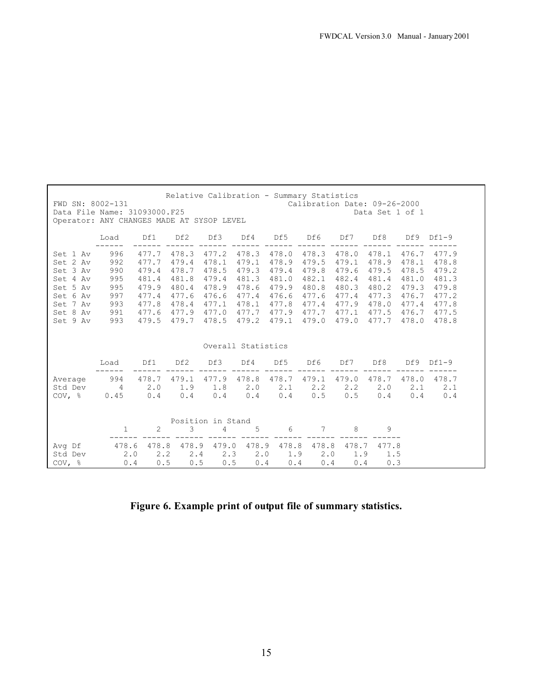| Relative Calibration - Summary Statistics<br>FWD SN: 8002-131<br>Calibration Date: 09-26-2000<br>Data File Name: 31093000.F25<br>Data Set 1 of 1<br>Operator: ANY CHANGES MADE AT SYSOP LEVEL |                                                             |                                                                               |                                                                               |                                                                               |                                                                               |                                                                               |                                                             |                                                                                           |                                                                               |                                                                               |                                                                               |
|-----------------------------------------------------------------------------------------------------------------------------------------------------------------------------------------------|-------------------------------------------------------------|-------------------------------------------------------------------------------|-------------------------------------------------------------------------------|-------------------------------------------------------------------------------|-------------------------------------------------------------------------------|-------------------------------------------------------------------------------|-------------------------------------------------------------|-------------------------------------------------------------------------------------------|-------------------------------------------------------------------------------|-------------------------------------------------------------------------------|-------------------------------------------------------------------------------|
|                                                                                                                                                                                               | Load                                                        | Df1                                                                           | Df2                                                                           | Df3                                                                           | Df4                                                                           | Df5                                                                           | Df6                                                         | Df7                                                                                       | Df8                                                                           | Df9                                                                           | $Df1-9$                                                                       |
| Set 1 Av<br>Set 2 Av<br>Set 3 Av<br>Set 4 Av<br>Set 5 Av<br>Set 6 Av<br>Set 7 Av<br>Set 8 Av<br>Set 9 Av                                                                                      | 996<br>992<br>990<br>995<br>995<br>997<br>993<br>991<br>993 | 477.7<br>477.7<br>479.4<br>481.4<br>479.9<br>477.4<br>477.8<br>477.6<br>479.5 | 478.3<br>479.4<br>478.7<br>481.8<br>480.4<br>477.6<br>478.4<br>477.9<br>479.7 | 477.2<br>478.1<br>478.5<br>479.4<br>478.9<br>476.6<br>477.1<br>477.0<br>478.5 | 478.3<br>479.1<br>479.3<br>481.3<br>478.6<br>477.4<br>478.1<br>477.7<br>479.2 | 478.0<br>478.9<br>479.4<br>481.0<br>479.9<br>476.6<br>477.8<br>477.9<br>479.1 | 478.3<br>479.5<br>479.8<br>482.1<br>480.8<br>477.7<br>479.0 | 478.0<br>479.1<br>479.6<br>482.4<br>480.3<br>477.6 477.4<br>477.4 477.9<br>477.1<br>479.0 | 478.1<br>478.9<br>479.5<br>481.4<br>480.2<br>477.3<br>478.0<br>477.5<br>477.7 | 476.7<br>478.1<br>478.5<br>481.0<br>479.3<br>476.7<br>477.4<br>476.7<br>478.0 | 477.9<br>478.8<br>479.2<br>481.3<br>479.8<br>477.2<br>477.8<br>477.5<br>478.8 |
|                                                                                                                                                                                               |                                                             |                                                                               |                                                                               |                                                                               | Overall Statistics                                                            |                                                                               |                                                             |                                                                                           |                                                                               |                                                                               |                                                                               |
|                                                                                                                                                                                               | Load                                                        | Df1                                                                           | Df2                                                                           | Df3                                                                           | Df4                                                                           | Df5                                                                           | Df6                                                         | Df7                                                                                       | Df8                                                                           | Df9                                                                           | $Df1-9$                                                                       |
| Average<br>Std Dev<br>$COV$ , $\frac{8}{9}$                                                                                                                                                   | 994<br>$\overline{4}$<br>0.45                               | 478.7 479.1<br>2.0<br>0.4                                                     | 1.9<br>0.4                                                                    | 477.9<br>1.8<br>0.4                                                           | 478.8<br>2.0<br>0.4                                                           | 478.7<br>2.1<br>0.4                                                           | 479.1<br>2, 2<br>0.5                                        | 479.0<br>$2 \cdot 2$<br>0.5                                                               | 478.7<br>$2 \cdot 0$<br>0.4                                                   | 478.0<br>2.1<br>0.4                                                           | 478.7<br>2.1<br>0.4                                                           |
|                                                                                                                                                                                               |                                                             |                                                                               |                                                                               | Position in Stand                                                             |                                                                               |                                                                               |                                                             |                                                                                           |                                                                               |                                                                               |                                                                               |
| Avg Df<br>Std Dev<br>$COV$ , $\frac{6}{9}$                                                                                                                                                    | 1<br>478.6<br>2.0<br>0.4                                    | 2<br>478.8<br>$2 \cdot 2$<br>0.5                                              | 3<br>478.9<br>2.4<br>0.5                                                      | 4<br>479.0<br>2.3<br>0.5                                                      | 5<br>478.9<br>$2 \cdot 0$<br>0.4                                              | 6<br>1.9<br>0.4                                                               | 7<br>478.8 478.8<br>$2 \cdot 0$<br>0.4                      | 8<br>478.7<br>1.9<br>0.4                                                                  | 9<br>477.8<br>1.5<br>0.3                                                      |                                                                               |                                                                               |

**Figure 6. Example print of output file of summary statistics.**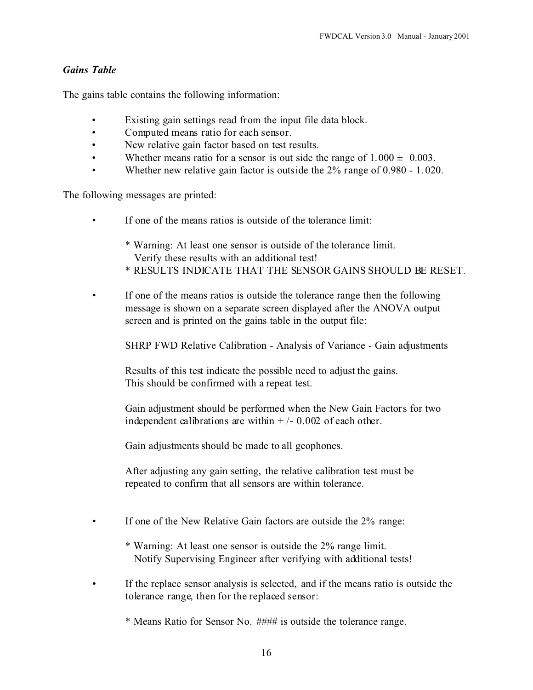#### *Gains Table*

The gains table contains the following information:

- Existing gain settings read from the input file data block.
- Computed means ratio for each sensor.
- New relative gain factor based on test results.
- Whether means ratio for a sensor is out side the range of  $1.000 \pm 0.003$ .
- Whether new relative gain factor is outside the 2% range of 0.980 1.020.

The following messages are printed:

- If one of the means ratios is outside of the tolerance limit:
	- \* Warning: At least one sensor is outside of the tolerance limit. Verify these results with an additional test!
	- \* RESULTS INDICATE THAT THE SENSOR GAINS SHOULD BE RESET.
- If one of the means ratios is outside the tolerance range then the following message is shown on a separate screen displayed after the ANOVA output screen and is printed on the gains table in the output file:

SHRP FWD Relative Calibration - Analysis of Variance - Gain adjustments

Results of this test indicate the possible need to adjust the gains. This should be confirmed with a repeat test.

Gain adjustment should be performed when the New Gain Factors for two independent calibrations are within  $+/- 0.002$  of each other.

Gain adjustments should be made to all geophones.

After adjusting any gain setting, the relative calibration test must be repeated to confirm that all sensors are within tolerance.

- If one of the New Relative Gain factors are outside the 2% range:
	- \* Warning: At least one sensor is outside the 2% range limit. Notify Supervising Engineer after verifying with additional tests!
- If the replace sensor analysis is selected, and if the means ratio is outside the tolerance range, then for the replaced sensor:
	- \* Means Ratio for Sensor No. #### is outside the tolerance range.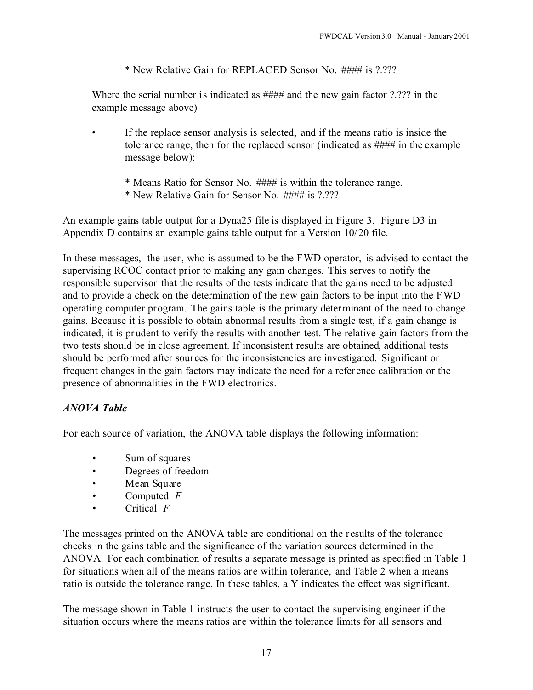\* New Relative Gain for REPLACED Sensor No. #### is ?.???

Where the serial number is indicated as #### and the new gain factor ?.??? in the example message above)

- If the replace sensor analysis is selected, and if the means ratio is inside the tolerance range, then for the replaced sensor (indicated as #### in the example message below):
	- \* Means Ratio for Sensor No. #### is within the tolerance range.
	- \* New Relative Gain for Sensor No. #### is ?.???

An example gains table output for a Dyna25 file is displayed in Figure 3. Figure D3 in Appendix D contains an example gains table output for a Version 10/20 file.

In these messages, the user, who is assumed to be the FWD operator, is advised to contact the supervising RCOC contact prior to making any gain changes. This serves to notify the responsible supervisor that the results of the tests indicate that the gains need to be adjusted and to provide a check on the determination of the new gain factors to be input into the FWD operating computer program. The gains table is the primary determinant of the need to change gains. Because it is possible to obtain abnormal results from a single test, if a gain change is indicated, it is prudent to verify the results with another test. The relative gain factors from the two tests should be in close agreement. If inconsistent results are obtained, additional tests should be performed after sour ces for the inconsistencies are investigated. Significant or frequent changes in the gain factors may indicate the need for a reference calibration or the presence of abnormalities in the FWD electronics.

## *ANOVA Table*

For each source of variation, the ANOVA table displays the following information:

- Sum of squares
- Degrees of freedom
- Mean Square
- Computed *F*
- Critical *F*

The messages printed on the ANOVA table are conditional on the results of the tolerance checks in the gains table and the significance of the variation sources determined in the ANOVA. For each combination of results a separate message is printed as specified in Table 1 for situations when all of the means ratios are within tolerance, and Table 2 when a means ratio is outside the tolerance range. In these tables, a Y indicates the effect was significant.

The message shown in Table 1 instructs the user to contact the supervising engineer if the situation occurs where the means ratios are within the tolerance limits for all sensors and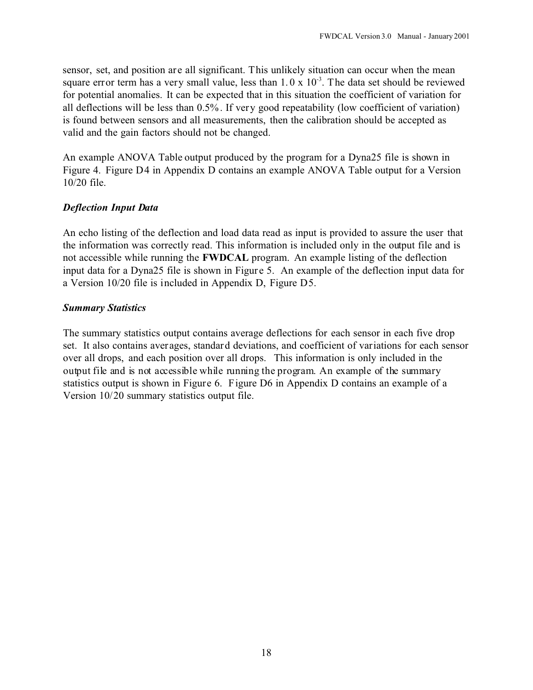sensor, set, and position are all significant. This unlikely situation can occur when the mean square error term has a very small value, less than  $1.0 \times 10^{-3}$ . The data set should be reviewed for potential anomalies. It can be expected that in this situation the coefficient of variation for all deflections will be less than 0.5%. If very good repeatability (low coefficient of variation) is found between sensors and all measurements, then the calibration should be accepted as valid and the gain factors should not be changed.

An example ANOVA Table output produced by the program for a Dyna25 file is shown in Figure 4. Figure D4 in Appendix D contains an example ANOVA Table output for a Version 10/20 file.

#### *Deflection Input Data*

An echo listing of the deflection and load data read as input is provided to assure the user that the information was correctly read. This information is included only in the output file and is not accessible while running the **FWDCAL** program. An example listing of the deflection input data for a Dyna25 file is shown in Figure 5. An example of the deflection input data for a Version 10/20 file is included in Appendix D, Figure D5.

#### *Summary Statistics*

The summary statistics output contains average deflections for each sensor in each five drop set. It also contains averages, standard deviations, and coefficient of variations for each sensor over all drops, and each position over all drops. This information is only included in the output file and is not accessible while running the program. An example of the summary statistics output is shown in Figure 6. Figure D6 in Appendix D contains an example of a Version 10/20 summary statistics output file.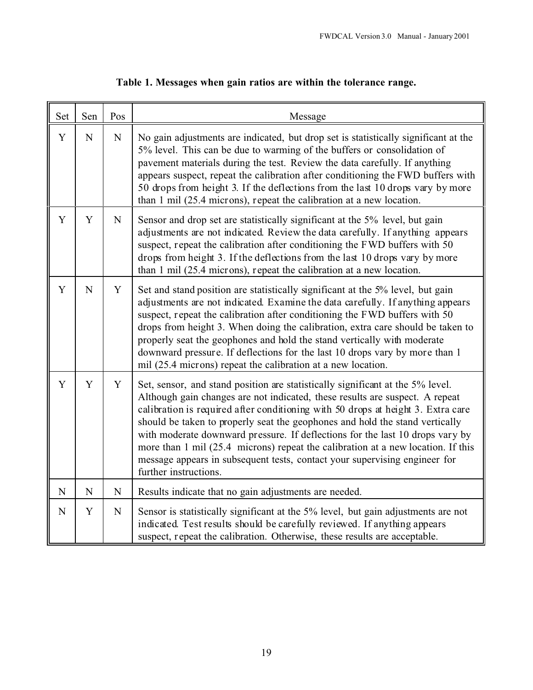| Set         | Sen         | Pos         | Message                                                                                                                                                                                                                                                                                                                                                                                                                                                                                                                                                                                                        |
|-------------|-------------|-------------|----------------------------------------------------------------------------------------------------------------------------------------------------------------------------------------------------------------------------------------------------------------------------------------------------------------------------------------------------------------------------------------------------------------------------------------------------------------------------------------------------------------------------------------------------------------------------------------------------------------|
| Y           | $\mathbf N$ | ${\bf N}$   | No gain adjustments are indicated, but drop set is statistically significant at the<br>5% level. This can be due to warming of the buffers or consolidation of<br>pavement materials during the test. Review the data carefully. If anything<br>appears suspect, repeat the calibration after conditioning the FWD buffers with<br>50 drops from height 3. If the deflections from the last 10 drops vary by more<br>than 1 mil (25.4 microns), repeat the calibration at a new location.                                                                                                                      |
| Y           | Y           | $\mathbf N$ | Sensor and drop set are statistically significant at the 5% level, but gain<br>adjustments are not indicated. Review the data carefully. If anything appears<br>suspect, repeat the calibration after conditioning the FWD buffers with 50<br>drops from height 3. If the deflections from the last 10 drops vary by more<br>than $1 \text{ mil}$ (25.4 microns), repeat the calibration at a new location.                                                                                                                                                                                                    |
| Y           | $\mathbf N$ | $\mathbf Y$ | Set and stand position are statistically significant at the 5% level, but gain<br>adjustments are not indicated. Examine the data carefully. If anything appears<br>suspect, repeat the calibration after conditioning the FWD buffers with 50<br>drops from height 3. When doing the calibration, extra care should be taken to<br>properly seat the geophones and hold the stand vertically with moderate<br>downward pressure. If deflections for the last 10 drops vary by more than 1<br>mil (25.4 microns) repeat the calibration at a new location.                                                     |
| Y           | Y           | Y           | Set, sensor, and stand position are statistically significant at the 5% level.<br>Although gain changes are not indicated, these results are suspect. A repeat<br>calibration is required after conditioning with 50 drops at height 3. Extra care<br>should be taken to properly seat the geophones and hold the stand vertically<br>with moderate downward pressure. If deflections for the last 10 drops vary by<br>more than 1 mil (25.4 microns) repeat the calibration at a new location. If this<br>message appears in subsequent tests, contact your supervising engineer for<br>further instructions. |
| $\mathbf N$ | ${\bf N}$   | ${\bf N}$   | Results indicate that no gain adjustments are needed.                                                                                                                                                                                                                                                                                                                                                                                                                                                                                                                                                          |
| $\mathbf N$ | Y           | $\mathbf N$ | Sensor is statistically significant at the 5% level, but gain adjustments are not<br>indicated. Test results should be carefully reviewed. If anything appears<br>suspect, repeat the calibration. Otherwise, these results are acceptable.                                                                                                                                                                                                                                                                                                                                                                    |

## **Table 1. Messages when gain ratios are within the tolerance range.**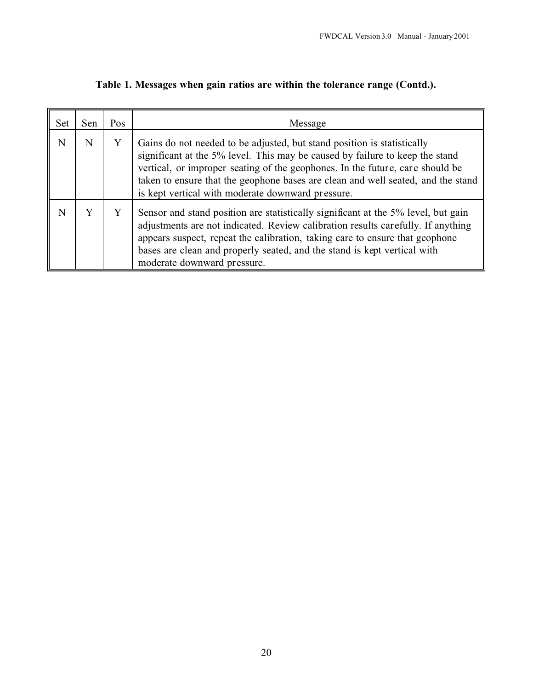| <b>Set</b> | Sen | Pos | Message                                                                                                                                                                                                                                                                                                                                                                           |
|------------|-----|-----|-----------------------------------------------------------------------------------------------------------------------------------------------------------------------------------------------------------------------------------------------------------------------------------------------------------------------------------------------------------------------------------|
| N          | N   | Y   | Gains do not needed to be adjusted, but stand position is statistically<br>significant at the 5% level. This may be caused by failure to keep the stand<br>vertical, or improper seating of the geophones. In the future, care should be<br>taken to ensure that the geophone bases are clean and well seated, and the stand<br>is kept vertical with moderate downward pressure. |
| N          |     |     | Sensor and stand position are statistically significant at the 5% level, but gain<br>adjustments are not indicated. Review calibration results carefully. If anything<br>appears suspect, repeat the calibration, taking care to ensure that geophone<br>bases are clean and properly seated, and the stand is kept vertical with<br>moderate downward pressure.                  |

## **Table 1. Messages when gain ratios are within the tolerance range (Contd.).**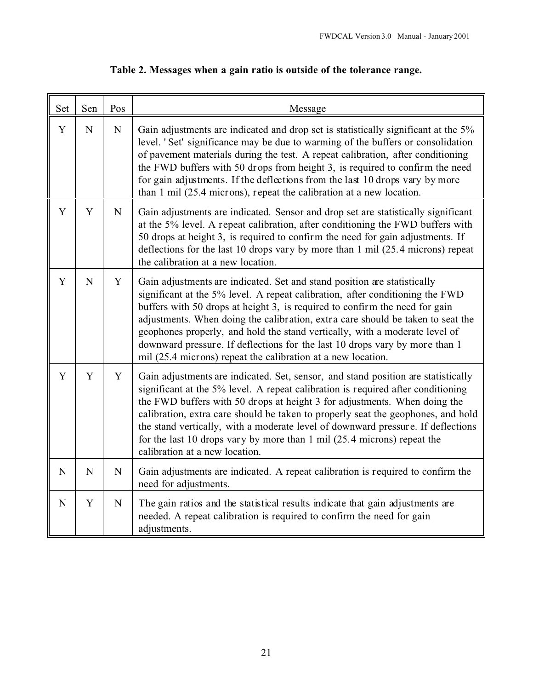| Set         | Sen         | Pos         | Message                                                                                                                                                                                                                                                                                                                                                                                                                                                                                                                                                   |
|-------------|-------------|-------------|-----------------------------------------------------------------------------------------------------------------------------------------------------------------------------------------------------------------------------------------------------------------------------------------------------------------------------------------------------------------------------------------------------------------------------------------------------------------------------------------------------------------------------------------------------------|
| Y           | N           | $\mathbf N$ | Gain adjustments are indicated and drop set is statistically significant at the 5%<br>level. 'Set' significance may be due to warming of the buffers or consolidation<br>of pavement materials during the test. A repeat calibration, after conditioning<br>the FWD buffers with 50 drops from height 3, is required to confirm the need<br>for gain adjustments. If the deflections from the last 10 drops vary by more<br>than 1 mil (25.4 microns), repeat the calibration at a new location.                                                          |
| Y           | Y           | N           | Gain adjustments are indicated. Sensor and drop set are statistically significant<br>at the 5% level. A repeat calibration, after conditioning the FWD buffers with<br>50 drops at height 3, is required to confirm the need for gain adjustments. If<br>deflections for the last 10 drops vary by more than 1 mil (25.4 microns) repeat<br>the calibration at a new location.                                                                                                                                                                            |
| Y           | $\mathbf N$ | Y           | Gain adjustments are indicated. Set and stand position are statistically<br>significant at the 5% level. A repeat calibration, after conditioning the FWD<br>buffers with 50 drops at height 3, is required to confirm the need for gain<br>adjustments. When doing the calibration, extra care should be taken to seat the<br>geophones properly, and hold the stand vertically, with a moderate level of<br>downward pressure. If deflections for the last 10 drops vary by more than 1<br>mil (25.4 microns) repeat the calibration at a new location. |
| Y           | Y           | Y           | Gain adjustments are indicated. Set, sensor, and stand position are statistically<br>significant at the 5% level. A repeat calibration is required after conditioning<br>the FWD buffers with 50 drops at height 3 for adjustments. When doing the<br>calibration, extra care should be taken to properly seat the geophones, and hold<br>the stand vertically, with a moderate level of downward pressure. If deflections<br>for the last 10 drops vary by more than 1 mil $(25.4 \text{ microns})$ repeat the<br>calibration at a new location.         |
| N           | $\mathbf N$ | $\mathbf N$ | Gain adjustments are indicated. A repeat calibration is required to confirm the<br>need for adjustments.                                                                                                                                                                                                                                                                                                                                                                                                                                                  |
| $\mathbf N$ | Y           | $\mathbf N$ | The gain ratios and the statistical results indicate that gain adjustments are<br>needed. A repeat calibration is required to confirm the need for gain<br>adjustments.                                                                                                                                                                                                                                                                                                                                                                                   |

# **Table 2. Messages when a gain ratio is outside of the tolerance range.**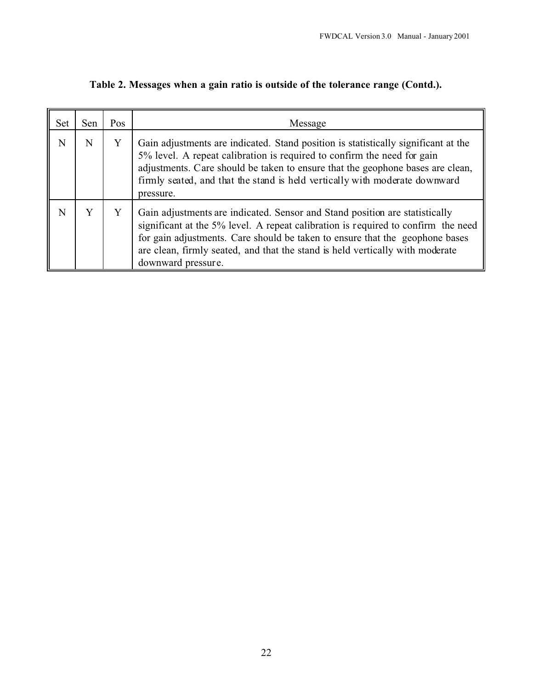| <b>Set</b> | Sen | Pos | Message                                                                                                                                                                                                                                                                                                                                                 |
|------------|-----|-----|---------------------------------------------------------------------------------------------------------------------------------------------------------------------------------------------------------------------------------------------------------------------------------------------------------------------------------------------------------|
| N          | N   | Y   | Gain adjustments are indicated. Stand position is statistically significant at the<br>5% level. A repeat calibration is required to confirm the need for gain<br>adjustments. Care should be taken to ensure that the geophone bases are clean,<br>firmly seated, and that the stand is held vertically with moderate downward<br>pressure.             |
| N          | Y   | Y   | Gain adjustments are indicated. Sensor and Stand position are statistically<br>significant at the 5% level. A repeat calibration is required to confirm the need<br>for gain adjustments. Care should be taken to ensure that the geophone bases<br>are clean, firmly seated, and that the stand is held vertically with moderate<br>downward pressure. |

**Table 2. Messages when a gain ratio is outside of the tolerance range (Contd.).**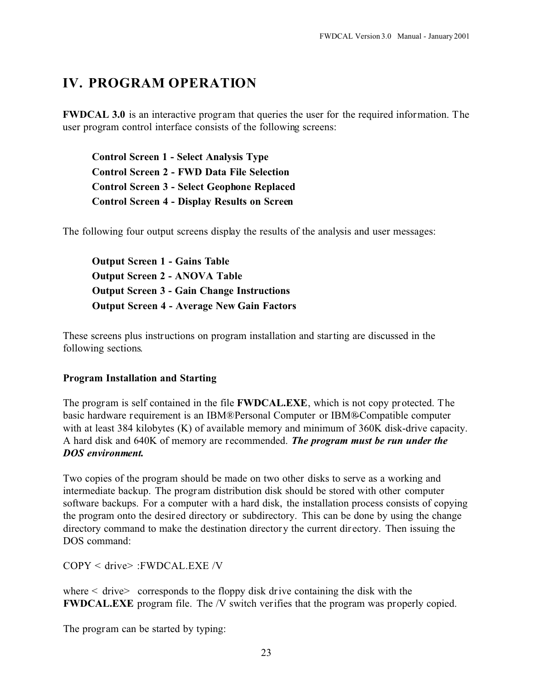# **IV. PROGRAM OPERATION**

**FWDCAL 3.0** is an interactive program that queries the user for the required information. The user program control interface consists of the following screens:

**Control Screen 1 - Select Analysis Type Control Screen 2 - FWD Data File Selection Control Screen 3 - Select Geophone Replaced Control Screen 4 - Display Results on Screen**

The following four output screens display the results of the analysis and user messages:

**Output Screen 1 - Gains Table Output Screen 2 - ANOVA Table Output Screen 3 - Gain Change Instructions Output Screen 4 - Average New Gain Factors**

These screens plus instructions on program installation and starting are discussed in the following sections.

#### **Program Installation and Starting**

The program is self contained in the file **FWDCAL.EXE**, which is not copy protected. The basic hardware requirement is an IBM® Personal Computer or IBM®-Compatible computer with at least 384 kilobytes (K) of available memory and minimum of 360K disk-drive capacity. A hard disk and 640K of memory are recommended. *The program must be run under the DOS environment.*

Two copies of the program should be made on two other disks to serve as a working and intermediate backup. The program distribution disk should be stored with other computer software backups. For a computer with a hard disk, the installation process consists of copying the program onto the desired directory or subdirectory. This can be done by using the change directory command to make the destination directory the current directory. Then issuing the DOS command:

COPY < drive> :FWDCAL.EXE /V

where  $\le$  drive $\ge$  corresponds to the floppy disk drive containing the disk with the **FWDCAL.EXE** program file. The /V switch verifies that the program was properly copied.

The program can be started by typing: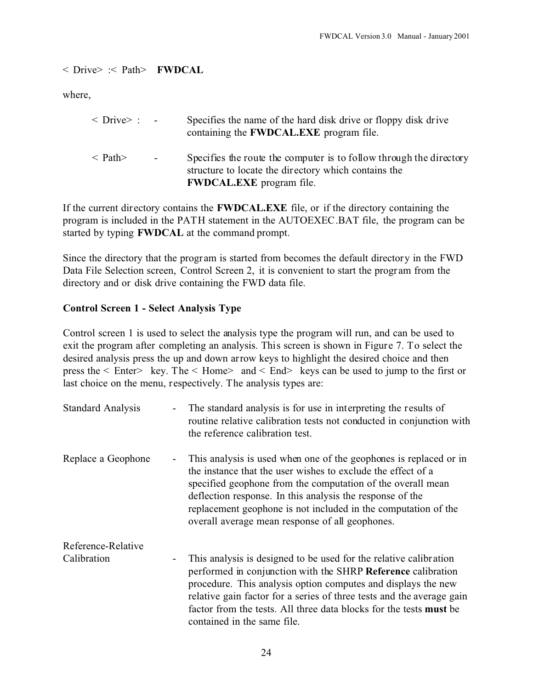< Drive> :< Path> **FWDCAL**

where,

| $\langle$ Drive $\rangle$ : - |        | Specifies the name of the hard disk drive or floppy disk drive<br>containing the <b>FWDCAL.EXE</b> program file.                                               |
|-------------------------------|--------|----------------------------------------------------------------------------------------------------------------------------------------------------------------|
| $\langle$ Path $\rangle$      | $\sim$ | Specifies the route the computer is to follow through the directory<br>structure to locate the directory which contains the<br><b>FWDCAL.EXE</b> program file. |

If the current directory contains the **FWDCAL.EXE** file, or if the directory containing the program is included in the PATH statement in the AUTOEXEC.BAT file, the program can be started by typing **FWDCAL** at the command prompt.

Since the directory that the program is started from becomes the default directory in the FWD Data File Selection screen, Control Screen 2, it is convenient to start the program from the directory and or disk drive containing the FWD data file.

#### **Control Screen 1 - Select Analysis Type**

Control screen 1 is used to select the analysis type the program will run, and can be used to exit the program after completing an analysis. This screen is shown in Figure 7. To select the desired analysis press the up and down arrow keys to highlight the desired choice and then press the < Enter> key. The < Home> and < End> keys can be used to jump to the first or last choice on the menu, respectively. The analysis types are:

| <b>Standard Analysis</b> | The standard analysis is for use in interpreting the results of<br>$\overline{\phantom{a}}$<br>routine relative calibration tests not conducted in conjunction with<br>the reference calibration test.                                                                                                                                                                                                              |
|--------------------------|---------------------------------------------------------------------------------------------------------------------------------------------------------------------------------------------------------------------------------------------------------------------------------------------------------------------------------------------------------------------------------------------------------------------|
| Replace a Geophone       | This analysis is used when one of the geophones is replaced or in<br>-<br>the instance that the user wishes to exclude the effect of a<br>specified geophone from the computation of the overall mean<br>deflection response. In this analysis the response of the<br>replacement geophone is not included in the computation of the<br>overall average mean response of all geophones.                             |
| Reference-Relative       |                                                                                                                                                                                                                                                                                                                                                                                                                     |
| Calibration              | This analysis is designed to be used for the relative calibration<br>$\overline{\phantom{a}}$<br>performed in conjunction with the SHRP Reference calibration<br>procedure. This analysis option computes and displays the new<br>relative gain factor for a series of three tests and the average gain<br>factor from the tests. All three data blocks for the tests <b>must</b> be<br>contained in the same file. |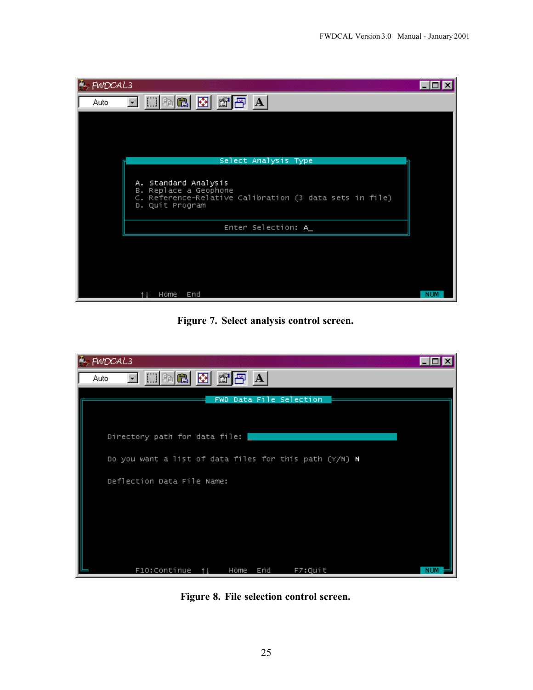

**Figure 7. Select analysis control screen.**

| $\mathbb{F}_p$ FWDCAL3                                 |            |
|--------------------------------------------------------|------------|
| Auto.                                                  |            |
| FWD Data File Selection                                |            |
| Directory path for data file:                          |            |
| Do you want a list of data files for this path (Y/N) N |            |
| Deflection Data File Name:                             |            |
|                                                        |            |
|                                                        |            |
|                                                        |            |
| F10:Continue †1<br>Home End<br>F7:Quit                 | <b>NUM</b> |

**Figure 8. File selection control screen.**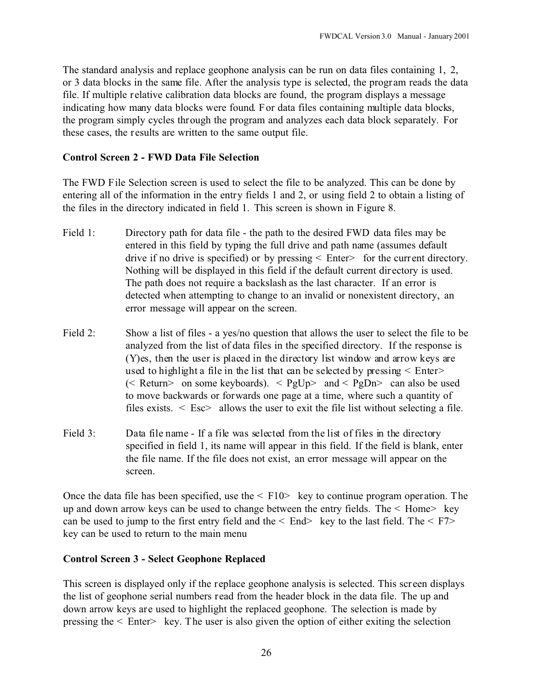The standard analysis and replace geophone analysis can be run on data files containing 1, 2, or 3 data blocks in the same file. After the analysis type is selected, the program reads the data file. If multiple relative calibration data blocks are found, the program displays a message indicating how many data blocks were found. For data files containing multiple data blocks, the program simply cycles through the program and analyzes each data block separately. For these cases, the results are written to the same output file.

#### **Control Screen 2 - FWD Data File Selection**

The FWD File Selection screen is used to select the file to be analyzed. This can be done by entering all of the information in the entry fields 1 and 2, or using field 2 to obtain a listing of the files in the directory indicated in field 1. This screen is shown in Figure 8.

- Field 1: Directory path for data file the path to the desired FWD data files may be entered in this field by typing the full drive and path name (assumes default drive if no drive is specified) or by pressing  $\leq$  Enter $\geq$  for the current directory. Nothing will be displayed in this field if the default current dir ectory is used. The path does not require a backslash as the last character. If an error is detected when attempting to change to an invalid or nonexistent directory, an error message will appear on the screen.
- Field 2: Show a list of files a yes/no question that allows the user to select the file to be analyzed from the list of data files in the specified directory. If the response is (Y)es, then the user is placed in the directory list window and arrow keys are used to highlight a file in the list that can be selected by pressing < Enter> ( $\leq$  Return $\geq$  on some keyboards).  $\leq$  PgUp $\geq$  and  $\leq$  PgDn $\geq$  can also be used to move backwards or forwards one page at a time, where such a quantity of files exists.  $\leq$  Esc $>$  allows the user to exit the file list without selecting a file.
- Field 3: Data file name If a file was selected from the list of files in the directory specified in field 1, its name will appear in this field. If the field is blank, enter the file name. If the file does not exist, an error message will appear on the screen.

Once the data file has been specified, use the  $\leq$  F10 $\geq$  key to continue program operation. The up and down arrow keys can be used to change between the entry fields. The < Home> key can be used to jump to the first entry field and the  $\leq$  End $\geq$  key to the last field. The  $\leq$  F7 $>$ key can be used to return to the main menu

#### **Control Screen 3 - Select Geophone Replaced**

This screen is displayed only if the replace geophone analysis is selected. This screen displays the list of geophone serial numbers read from the header block in the data file. The up and down arrow keys are used to highlight the replaced geophone. The selection is made by pressing the  $\leq$  Enter $\geq$  key. The user is also given the option of either exiting the selection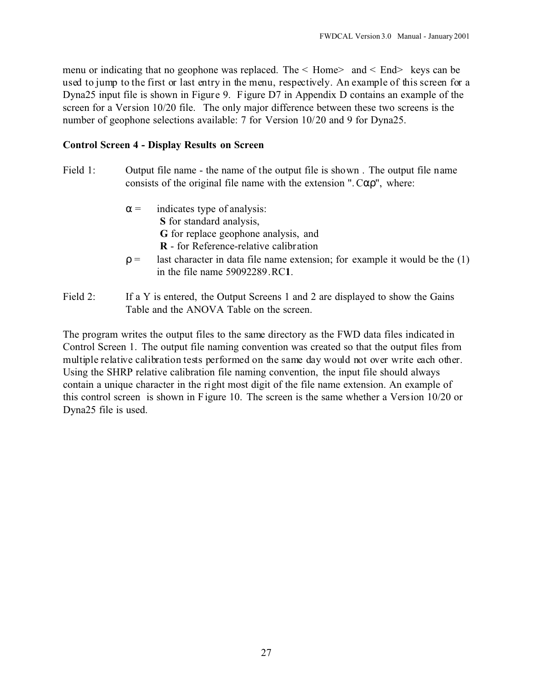menu or indicating that no geophone was replaced. The  $\leq$  Home $>$  and  $\leq$  End $>$  keys can be used to jump to the first or last entry in the menu, respectively. An example of this screen for a Dyna25 input file is shown in Figure 9. Figure D7 in Appendix D contains an example of the screen for a Version 10/20 file. The only major difference between these two screens is the number of geophone selections available: 7 for Version 10/20 and 9 for Dyna25.

#### **Control Screen 4 - Display Results on Screen**

- Field 1: Output file name the name of the output file is shown. The output file name consists of the original file name with the extension " $C$ ", where:
	- = indicates type of analysis: **S** for standard analysis, **G** for replace geophone analysis, and **R** - for Reference-relative calibration
	- = last character in data file name extension; for example it would be the (1) in the file name 59092289.RC**1**.
- Field 2: If a Y is entered, the Output Screens 1 and 2 are displayed to show the Gains Table and the ANOVA Table on the screen.

The program writes the output files to the same directory as the FWD data files indicated in Control Screen 1. The output file naming convention was created so that the output files from multiple relative calibration tests performed on the same day would not over write each other. Using the SHRP relative calibration file naming convention, the input file should always contain a unique character in the right most digit of the file name extension. An example of this control screen is shown in Figure 10. The screen is the same whether a Version 10/20 or Dyna25 file is used.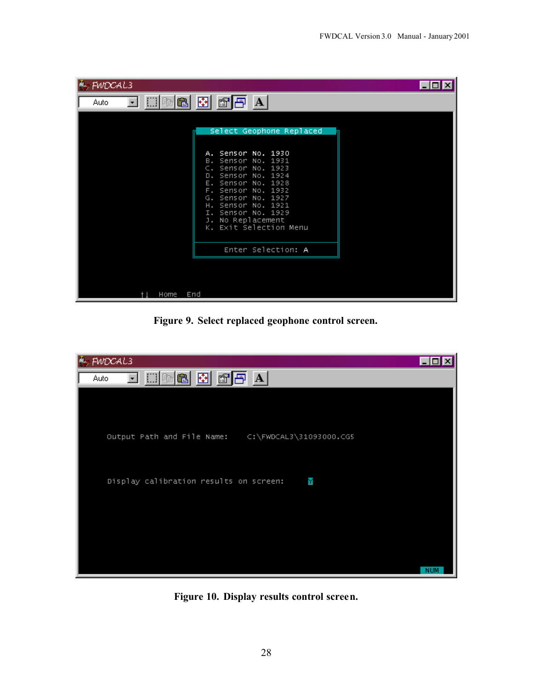| 圈<br>$\mathbb{C}$ $\mathbb{F}$ A<br>亀<br>自<br>Auto.<br>Select Geophone Replaced<br>A. Sensor No. 1930<br>B. Sensor No. 1931<br>$C.$ Sensor No. 1923<br>Sensor No. 1924<br>D.<br>Sensor No. 1928<br>Е.<br>Sensor No. 1932<br>F.<br>Sensor No. 1927<br>G.<br>Sensor No. 1921<br>н.<br>Sensor No. 1929<br>Ι.<br>No Replacement<br>J.<br>K. Exit Selection Menu<br>Enter Selection: A | $\sim$ FWDCAL3 | $\Box$ o $\mathsf{X}$ |
|-----------------------------------------------------------------------------------------------------------------------------------------------------------------------------------------------------------------------------------------------------------------------------------------------------------------------------------------------------------------------------------|----------------|-----------------------|
|                                                                                                                                                                                                                                                                                                                                                                                   |                |                       |
|                                                                                                                                                                                                                                                                                                                                                                                   |                |                       |
|                                                                                                                                                                                                                                                                                                                                                                                   |                |                       |
|                                                                                                                                                                                                                                                                                                                                                                                   |                |                       |
| End<br>Home                                                                                                                                                                                                                                                                                                                                                                       |                |                       |

**Figure 9. Select replaced geophone control screen.**



**Figure 10. Display results control screen.**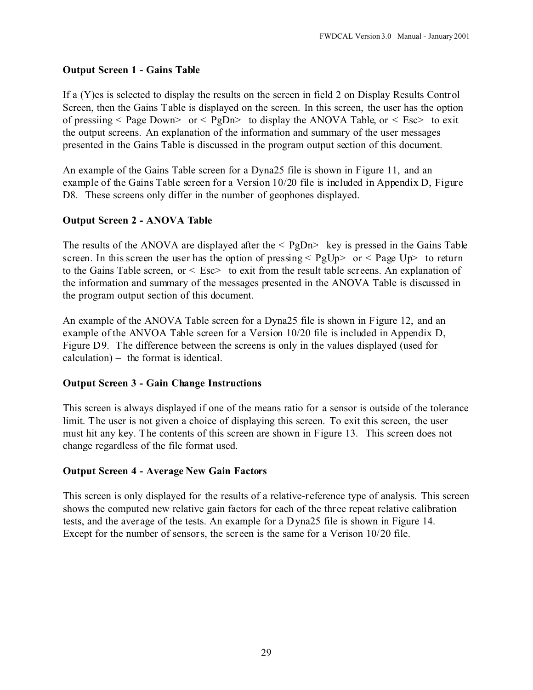### **Output Screen 1 - Gains Table**

If a (Y)es is selected to display the results on the screen in field 2 on Display Results Control Screen, then the Gains Table is displayed on the screen. In this screen, the user has the option of pressiing  $\leq$  Page Down $\geq$  or  $\leq$  PgDn $\geq$  to display the ANOVA Table, or  $\leq$  Esc $\geq$  to exit the output screens. An explanation of the information and summary of the user messages presented in the Gains Table is discussed in the program output section of this document.

An example of the Gains Table screen for a Dyna25 file is shown in Figure 11, and an example of the Gains Table screen for a Version 10/20 file is included in Appendix D, Figure D8. These screens only differ in the number of geophones displayed.

### **Output Screen 2 - ANOVA Table**

The results of the ANOVA are displayed after the  $\leq$  PgDn $>$  key is pressed in the Gains Table screen. In this screen the user has the option of pressing  $\leq$  PgUp $>$  or  $\leq$  Page Up $>$  to return to the Gains Table screen, or  $\leq$  Esc $>$  to exit from the result table screens. An explanation of the information and summary of the messages presented in the ANOVA Table is discussed in the program output section of this document.

An example of the ANOVA Table screen for a Dyna25 file is shown in Figure 12, and an example of the ANVOA Table screen for a Version 10/20 file is included in Appendix D, Figure D9. The difference between the screens is only in the values displayed (used for calculation) – the format is identical.

### **Output Screen 3 - Gain Change Instructions**

This screen is always displayed if one of the means ratio for a sensor is outside of the tolerance limit. The user is not given a choice of displaying this screen. To exit this screen, the user must hit any key. The contents of this screen are shown in Figure 13. This screen does not change regardless of the file format used.

### **Output Screen 4 - Average New Gain Factors**

This screen is only displayed for the results of a relative-reference type of analysis. This screen shows the computed new relative gain factors for each of the three repeat relative calibration tests, and the average of the tests. An example for a Dyna25 file is shown in Figure 14. Except for the number of sensors, the screen is the same for a Verison 10/20 file.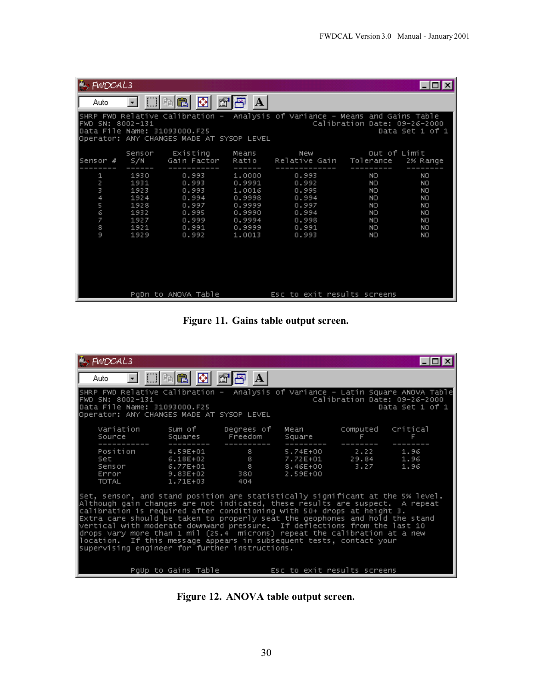| $\mathcal{F}_{\mathcal{D}}$ FWDCAL3               |                                                                      |                                                                               |                                                                                        |                                                                               |                                                              | EI⊡EXI                                               |
|---------------------------------------------------|----------------------------------------------------------------------|-------------------------------------------------------------------------------|----------------------------------------------------------------------------------------|-------------------------------------------------------------------------------|--------------------------------------------------------------|------------------------------------------------------|
| Auto-                                             |                                                                      | 母<br>q<br>會                                                                   | A                                                                                      |                                                                               |                                                              |                                                      |
| FWD SN: 8002–131                                  |                                                                      | Data File Name: 31093000.F25<br>Operator: ANY CHANGES MADE AT SYSOP LEVEL     |                                                                                        | SHRP FWD Relative Calibration - Analysis of Variance - Means and Gains Table  | Calibration Date: 09-26-2000                                 | Data Set 1 of 1                                      |
| ∣Sensor #                                         | Sensor<br>S/N                                                        | Existing<br>Gain Factor Ratio                                                 | Means                                                                                  | New<br>Relative Gain                                                          | Out of Limit<br>Tolerance                                    | 2% Range                                             |
| 2<br>3<br>$\overline{4}$<br>5<br>6<br>7<br>8<br>9 | 1930<br>1931<br>1923<br>1924<br>1928<br>1932<br>1927<br>1921<br>1929 | 0.993<br>0.993<br>0.993<br>0.994<br>0.997<br>0.995<br>0.999<br>0.991<br>0.992 | 1,0000<br>0.9991<br>1,0016<br>0.9998<br>0.9999<br>0.9990<br>0.9994<br>0.9999<br>1.0013 | 0.993<br>0.992<br>0.995<br>0.994<br>0.997<br>0.994<br>0.998<br>0.991<br>0.993 | NO<br>NO<br>NO.<br>NO.<br>NO<br><b>NO</b><br>NO.<br>NO<br>NO | NO<br>ΝO<br>NO<br>NO<br>NO.<br>NO<br>NO.<br>NO<br>NO |
|                                                   |                                                                      | PqDn to ANOVA Table                                                           |                                                                                        | Esc to exit results screens                                                   |                                                              |                                                      |

**Figure 11. Gains table output screen.**

| $\mathbb{F}_p$ FWDCAL3                                                                                                                                                                                                                                                                                                                                                                                                                                                                                                                                                                                          |                                                                                                                                                                                                                   |                                                                                              |          |                                                            |               |  |  |
|-----------------------------------------------------------------------------------------------------------------------------------------------------------------------------------------------------------------------------------------------------------------------------------------------------------------------------------------------------------------------------------------------------------------------------------------------------------------------------------------------------------------------------------------------------------------------------------------------------------------|-------------------------------------------------------------------------------------------------------------------------------------------------------------------------------------------------------------------|----------------------------------------------------------------------------------------------|----------|------------------------------------------------------------|---------------|--|--|
| Auto                                                                                                                                                                                                                                                                                                                                                                                                                                                                                                                                                                                                            | ⊡ □■■ 图 ■                                                                                                                                                                                                         | $\mathbf{A}$                                                                                 |          |                                                            |               |  |  |
| FWD SN: 8002-131                                                                                                                                                                                                                                                                                                                                                                                                                                                                                                                                                                                                | SHRP FWD Relative Calibration –  Analysis of Variance – Latin Square ANOVA Table<br>Calibration Date: 09-26-2000<br> Data File Name: 31093000.F25<br>Data Set 1 of 1<br>Operator: ANY CHANGES MADE AT SYSOP LEVEL |                                                                                              |          |                                                            |               |  |  |
| Source                                                                                                                                                                                                                                                                                                                                                                                                                                                                                                                                                                                                          | Variation Sum of Degrees of<br>Squares                                                                                                                                                                            | Freedom                                                                                      | Square   | Mean Computed<br>F                                         | Critical<br>F |  |  |
| Position<br><b>Set</b><br>Sensor<br>Error the second second second second second second second second second second second second second second second second second second second second second second second second second second second second second second se<br>TOTAL                                                                                                                                                                                                                                                                                                                                     | 4.59E+01<br>$6.18E+02$<br>6.77E+01<br>9.83E+02<br>1.71E+03                                                                                                                                                        | $\overline{\phantom{a}}$ 8<br><b>Service State State</b><br><b>B B B B</b><br>380 380<br>404 | 2.59E+00 | 5.74E+00 2.22 1.96<br>7.72E+01 29.84 1.96<br>8.46E+00 3.27 | 1.96          |  |  |
| Set, sensor, and stand position are statistically significant at the S% level.<br>Although gain changes are not indicated, these results are suspect.  A repeat<br>calibration is required after conditioning with 50+ drops at height 3.<br>Extra care should be taken to properly seat the geophones and hold the stand<br>vertical with moderate downward pressure. If deflections from the last 10<br>drops vary more than 1 mil (25.4  microns) repeat the calibration at a new<br> location.  If this message appears in subsequent tests, contact your<br>supervising engineer for further instructions. |                                                                                                                                                                                                                   |                                                                                              |          |                                                            |               |  |  |
|                                                                                                                                                                                                                                                                                                                                                                                                                                                                                                                                                                                                                 | PqUp to Gains Table The Resort of exit results screens                                                                                                                                                            |                                                                                              |          |                                                            |               |  |  |

**Figure 12. ANOVA table output screen.**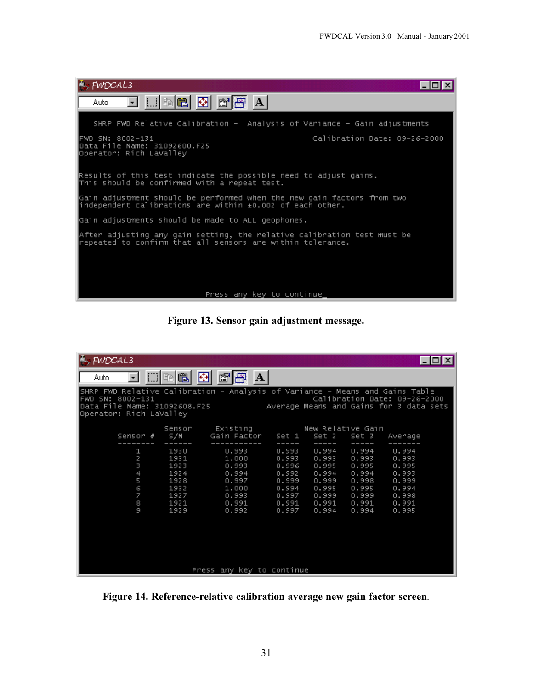

**Figure 13. Sensor gain adjustment message.**

| FWDCAL3                                                                                                                                                     |                                                                      |                                                                               |                                                                               |                                                                               |                                                                               | $ \Box$ $\times$                                                              |
|-------------------------------------------------------------------------------------------------------------------------------------------------------------|----------------------------------------------------------------------|-------------------------------------------------------------------------------|-------------------------------------------------------------------------------|-------------------------------------------------------------------------------|-------------------------------------------------------------------------------|-------------------------------------------------------------------------------|
| Auto:                                                                                                                                                       | 圈<br>⊞■白                                                             | $\mathbf{A}$<br>图圖                                                            |                                                                               |                                                                               |                                                                               |                                                                               |
| SHRP FWD Relative Calibration - Analysis of Variance - Means and Gains Table<br>FWD SN: 8002–131<br>Data File Name: 31092608.F25<br>Operator: Rich LaValley |                                                                      |                                                                               |                                                                               |                                                                               |                                                                               | Calibration Date: 09-26-2000<br>Average Means and Gains for 3 data sets       |
| Sensor #                                                                                                                                                    | Sensor<br>S/N                                                        | Existing<br>Gain Factor 9 Set 1                                               |                                                                               | New Relative Gain<br>Set 2                                                    | Set 3                                                                         | Average                                                                       |
| 1<br>2<br>3<br>4<br>5<br>$\overline{6}$<br>7<br>8<br>9                                                                                                      | 1930<br>1931<br>1923<br>1924<br>1928<br>1932<br>1927<br>1921<br>1929 | 0.993<br>1,000<br>0.993<br>0.994<br>0.997<br>1,000<br>0.993<br>0.991<br>0.992 | 0.993<br>0.993<br>0.996<br>0.992<br>0.999<br>0.994<br>0.997<br>0.991<br>0.997 | 0.994<br>0.993<br>0.995<br>0.994<br>0.999<br>0.995<br>0.999<br>0.991<br>0.994 | 0.994<br>0.993<br>0.995<br>0.994<br>0.998<br>0.995<br>0.999<br>0.991<br>0.994 | 0.994<br>0.993<br>0.995<br>0.993<br>0.999<br>0.994<br>0.998<br>0.991<br>0.995 |
|                                                                                                                                                             |                                                                      | Press any key to continue                                                     |                                                                               |                                                                               |                                                                               |                                                                               |

**Figure 14. Reference-relative calibration average new gain factor screen**.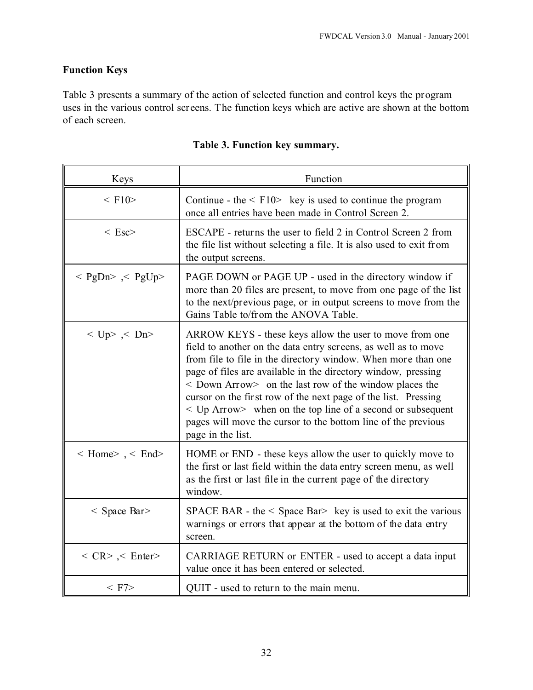## **Function Keys**

Table 3 presents a summary of the action of selected function and control keys the program uses in the various control screens. The function keys which are active are shown at the bottom of each screen.

| Keys                                   | Function                                                                                                                                                                                                                                                                                                                                                                                                                                                                                                                                                    |
|----------------------------------------|-------------------------------------------------------------------------------------------------------------------------------------------------------------------------------------------------------------------------------------------------------------------------------------------------------------------------------------------------------------------------------------------------------------------------------------------------------------------------------------------------------------------------------------------------------------|
| $\leq$ F10 $>$                         | Continue - the $\leq$ F10 $\geq$ key is used to continue the program<br>once all entries have been made in Control Screen 2.                                                                                                                                                                                                                                                                                                                                                                                                                                |
| $\langle$ Esc $>$                      | ESCAPE - returns the user to field 2 in Control Screen 2 from<br>the file list without selecting a file. It is also used to exit from<br>the output screens.                                                                                                                                                                                                                                                                                                                                                                                                |
| $<$ PgDn> $\leq$ PgUp>                 | PAGE DOWN or PAGE UP - used in the directory window if<br>more than 20 files are present, to move from one page of the list<br>to the next/previous page, or in output screens to move from the<br>Gains Table to/from the ANOVA Table.                                                                                                                                                                                                                                                                                                                     |
| $<$ Up> $<$ Dn>                        | ARROW KEYS - these keys allow the user to move from one<br>field to another on the data entry screens, as well as to move<br>from file to file in the directory window. When more than one<br>page of files are available in the directory window, pressing<br>$\leq$ Down Arrow $>$ on the last row of the window places the<br>cursor on the first row of the next page of the list. Pressing<br>$\leq$ Up Arrow $>$ when on the top line of a second or subsequent<br>pages will move the cursor to the bottom line of the previous<br>page in the list. |
| $\leq$ Home $\geq$ , $\leq$ End $\geq$ | HOME or END - these keys allow the user to quickly move to<br>the first or last field within the data entry screen menu, as well<br>as the first or last file in the current page of the directory<br>window.                                                                                                                                                                                                                                                                                                                                               |
| $<$ Space Bar $>$                      | SPACE BAR - the $\leq$ Space Bar $>$ key is used to exit the various<br>warnings or errors that appear at the bottom of the data entry<br>screen.                                                                                                                                                                                                                                                                                                                                                                                                           |
| $\langle$ CR> $\langle$ Enter>         | CARRIAGE RETURN or ENTER - used to accept a data input<br>value once it has been entered or selected.                                                                                                                                                                                                                                                                                                                                                                                                                                                       |
| $<$ F7 $>$                             | QUIT - used to return to the main menu.                                                                                                                                                                                                                                                                                                                                                                                                                                                                                                                     |

### **Table 3. Function key summary.**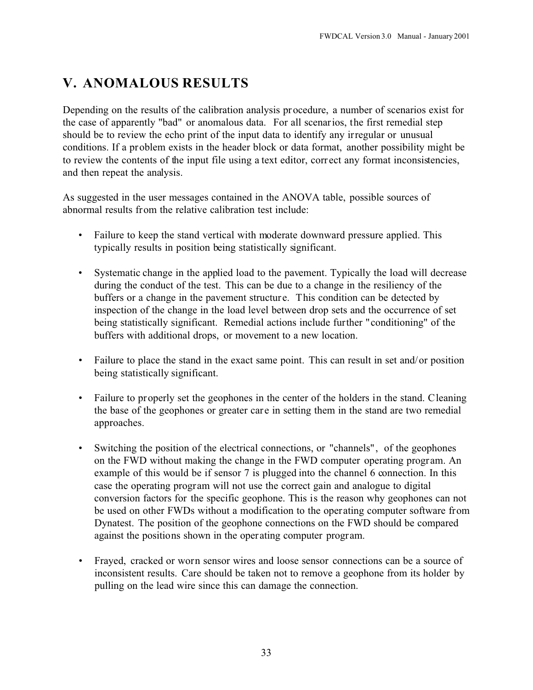# **V. ANOMALOUS RESULTS**

Depending on the results of the calibration analysis procedure, a number of scenarios exist for the case of apparently "bad" or anomalous data. For all scenarios, the first remedial step should be to review the echo print of the input data to identify any irregular or unusual conditions. If a problem exists in the header block or data format, another possibility might be to review the contents of the input file using a text editor, corr ect any format inconsistencies, and then repeat the analysis.

As suggested in the user messages contained in the ANOVA table, possible sources of abnormal results from the relative calibration test include:

- Failure to keep the stand vertical with moderate downward pressure applied. This typically results in position being statistically significant.
- Systematic change in the applied load to the pavement. Typically the load will decrease during the conduct of the test. This can be due to a change in the resiliency of the buffers or a change in the pavement structure. This condition can be detected by inspection of the change in the load level between drop sets and the occurrence of set being statistically significant. Remedial actions include further "conditioning" of the buffers with additional drops, or movement to a new location.
- Failure to place the stand in the exact same point. This can result in set and/or position being statistically significant.
- Failure to properly set the geophones in the center of the holders in the stand. Cleaning the base of the geophones or greater care in setting them in the stand are two remedial approaches.
- Switching the position of the electrical connections, or "channels", of the geophones on the FWD without making the change in the FWD computer operating program. An example of this would be if sensor 7 is plugged into the channel 6 connection. In this case the operating program will not use the correct gain and analogue to digital conversion factors for the specific geophone. This is the reason why geophones can not be used on other FWDs without a modification to the operating computer software from Dynatest. The position of the geophone connections on the FWD should be compared against the positions shown in the operating computer program.
- Frayed, cracked or worn sensor wires and loose sensor connections can be a source of inconsistent results. Care should be taken not to remove a geophone from its holder by pulling on the lead wire since this can damage the connection.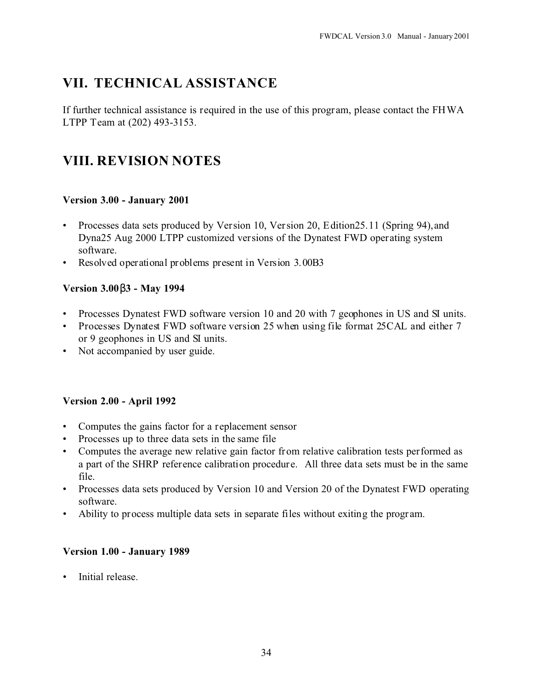# **VII. TECHNICAL ASSISTANCE**

If further technical assistance is required in the use of this program, please contact the FHWA LTPP Team at (202) 493-3153.

# **VIII. REVISION NOTES**

### **Version 3.00 - January 2001**

- Processes data sets produced by Version 10, Version 20, Edition25.11 (Spring 94),and Dyna25 Aug 2000 LTPP customized versions of the Dynatest FWD operating system software.
- Resolved operational problems present in Version 3.00B3

### **Version 3.00 3 - May 1994**

- Processes Dynatest FWD software version 10 and 20 with 7 geophones in US and SI units.
- Processes Dynatest FWD software version 25 when using file format 25CAL and either 7 or 9 geophones in US and SI units.
- Not accompanied by user guide.

### **Version 2.00 - April 1992**

- Computes the gains factor for a replacement sensor
- Processes up to three data sets in the same file
- Computes the average new relative gain factor from relative calibration tests performed as a part of the SHRP reference calibration procedur e. All three data sets must be in the same file.
- Processes data sets produced by Version 10 and Version 20 of the Dynatest FWD operating software.
- Ability to process multiple data sets in separate files without exiting the program.

### **Version 1.00 - January 1989**

• Initial release.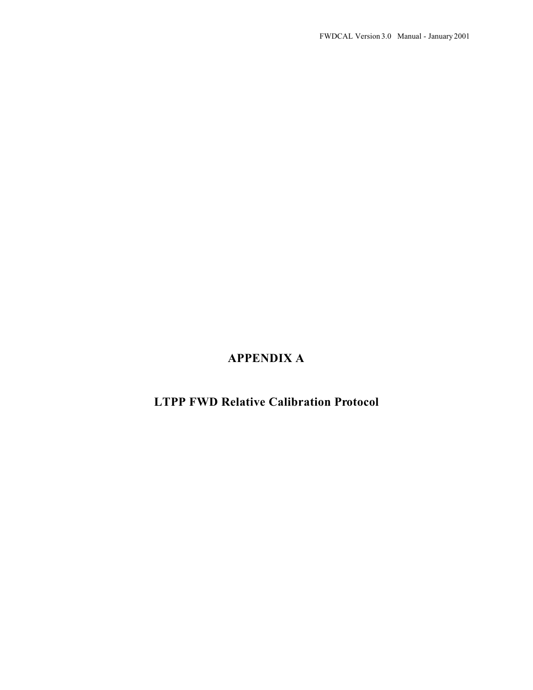## **APPENDIX A**

# **LTPP FWD Relative Calibration Protocol**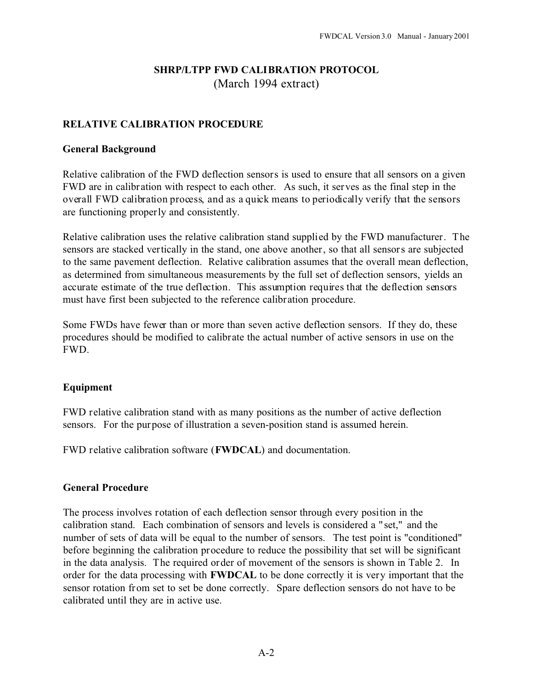### **SHRP/LTPP FWD CALIBRATION PROTOCOL** (March 1994 extract)

#### **RELATIVE CALIBRATION PROCEDURE**

#### **General Background**

Relative calibration of the FWD deflection sensors is used to ensure that all sensors on a given FWD are in calibr ation with respect to each other. As such, it serves as the final step in the overall FWD calibration process, and as a quick means to periodically verify that the sensors are functioning properly and consistently.

Relative calibration uses the relative calibration stand supplied by the FWD manufacturer. The sensors are stacked vertically in the stand, one above another, so that all sensors are subjected to the same pavement deflection. Relative calibration assumes that the overall mean deflection, as determined from simultaneous measurements by the full set of deflection sensors, yields an accurate estimate of the true deflection. This assumption requires that the deflection sensors must have first been subjected to the reference calibration procedure.

Some FWDs have fewer than or more than seven active deflection sensors. If they do, these procedures should be modified to calibrate the actual number of active sensors in use on the FWD.

#### **Equipment**

FWD relative calibration stand with as many positions as the number of active deflection sensors. For the purpose of illustration a seven-position stand is assumed herein.

FWD relative calibration software (**FWDCAL**) and documentation.

#### **General Procedure**

The process involves rotation of each deflection sensor through every position in the calibration stand. Each combination of sensors and levels is considered a " set," and the number of sets of data will be equal to the number of sensors. The test point is "conditioned" before beginning the calibration procedure to reduce the possibility that set will be significant in the data analysis. The required order of movement of the sensors is shown in Table 2. In order for the data processing with **FWDCAL** to be done correctly it is very important that the sensor rotation from set to set be done correctly. Spare deflection sensors do not have to be calibrated until they are in active use.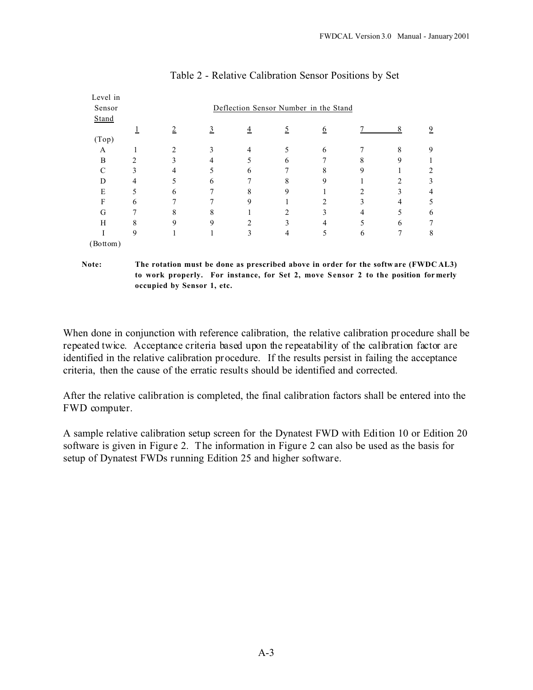| Level in<br>Sensor |                | Deflection Sensor Number in the Stand |   |                |                |                |   |   |                |  |
|--------------------|----------------|---------------------------------------|---|----------------|----------------|----------------|---|---|----------------|--|
| Stand              |                |                                       |   |                |                |                |   |   |                |  |
|                    |                | $\overline{2}$                        | 3 | $\overline{4}$ | 5              | 6              |   | 8 | $\overline{9}$ |  |
| (Top)              |                |                                       |   |                |                |                |   |   |                |  |
| A                  | ш              | 2                                     | 3 | 4              | 5              | 6              |   | 8 | 9              |  |
| B                  | 2              | 3                                     | 4 | 5              | 6              | 7              | 8 | 9 |                |  |
| $\mathsf{C}$       | 3              | 4                                     | 5 | 6              | 7              | 8              | 9 |   | 2              |  |
| D                  | $\overline{4}$ | 5                                     | 6 | 7              | 8              | 9              |   | 2 | 3              |  |
| E                  | 5              | 6                                     | 7 | 8              | 9              |                | 2 | 3 | 4              |  |
| F                  | 6              | π                                     | 7 | 9              |                | $\overline{c}$ | 3 | 4 | 5              |  |
| G                  | 7              | 8                                     | 8 |                | $\mathfrak{D}$ | 3              | 4 | 5 | 6              |  |
| H                  | 8              | 9                                     | 9 | 2              | 3              | 4              |   | 6 | 7              |  |
|                    | 9              |                                       |   | 3              | 4              | 5              | 6 | 7 | 8              |  |
| (Bottom)           |                |                                       |   |                |                |                |   |   |                |  |

#### Table 2 - Relative Calibration Sensor Positions by Set

**Note: The rotation must be done as prescribed above in order for the softw are (FWDC AL3) to work properly. For instance, for Set 2, move S ensor 2 to the position for merly occupied by Sensor 1, etc.**

When done in conjunction with reference calibration, the relative calibration procedure shall be repeated twice. Acceptance criteria based upon the repeatability of the calibration factor are identified in the relative calibration procedure. If the results persist in failing the acceptance criteria, then the cause of the erratic results should be identified and corrected.

After the relative calibration is completed, the final calibration factors shall be entered into the FWD computer.

A sample relative calibration setup screen for the Dynatest FWD with Edition 10 or Edition 20 software is given in Figure 2. The information in Figure 2 can also be used as the basis for setup of Dynatest FWDs running Edition 25 and higher software.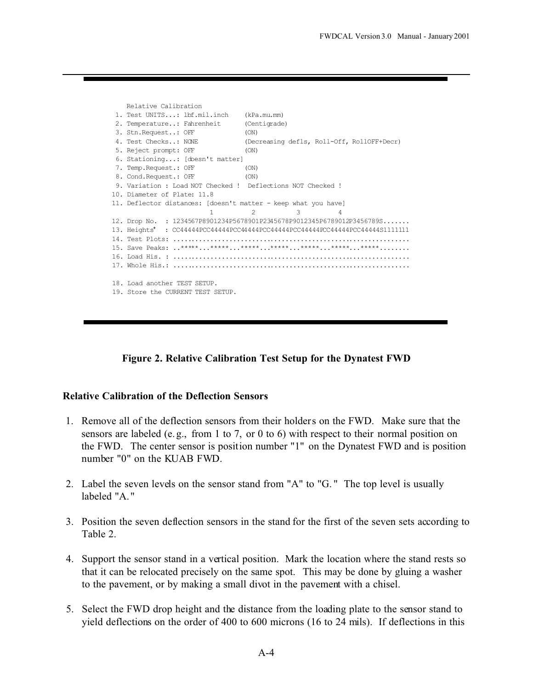```
 Relative Calibration
  1. Test UNITS...: lbf.mil.inch (kPa.mu.mm)
  2. Temperature..: Fahrenheit (Centigrade)
 3. Stn.Request..: OFF (ON)
 4. Test Checks..: NONE (Decreasing defls, Roll-Off, RollOFF+Decr)
 5. Reject prompt: OFF (ON)
  6. Stationing...: [doesn't matter] 
7. Temp.Request.: OFF (ON)
8. Cond.Request.: OFF (ON)
9. Variation : Load NOT Checked ! Deflections NOT Checked !
10. Diameter of Plate: 11.8
11. Deflector distances: [doesn't matter - keep what you have]
                       1 2 3 4
12. Drop No. : 1234567P8901234P5678901P2345678P9012345P6789012P3456789S.......
13. Heights+ : CC44444PCC44444PCC44444PCC44444PCC44444PCC44444PCC44444S1111111
14. Test Plots: ...............................................................
15. Save Peaks: ..*****...*****...*****...*****...*****...*****...*****........
16. Load His. : ...............................................................
17. Whole His.: ...............................................................
18. Load another TEST SETUP.
19. Store the CURRENT TEST SETUP.
```


#### **Relative Calibration of the Deflection Sensors**

- 1. Remove all of the deflection sensors from their holders on the FWD. Make sure that the sensors are labeled (e.g., from 1 to 7, or 0 to 6) with respect to their normal position on the FWD. The center sensor is position number "1" on the Dynatest FWD and is position number "0" on the KUAB FWD.
- 2. Label the seven levels on the sensor stand from "A" to "G. " The top level is usually labeled "A. "
- 3. Position the seven deflection sensors in the stand for the first of the seven sets according to Table 2.
- 4. Support the sensor stand in a vertical position. Mark the location where the stand rests so that it can be relocated precisely on the same spot. This may be done by gluing a washer to the pavement, or by making a small divot in the pavement with a chisel.
- 5. Select the FWD drop height and the distance from the loading plate to the sensor stand to yield deflections on the order of 400 to 600 microns (16 to 24 mils). If deflections in this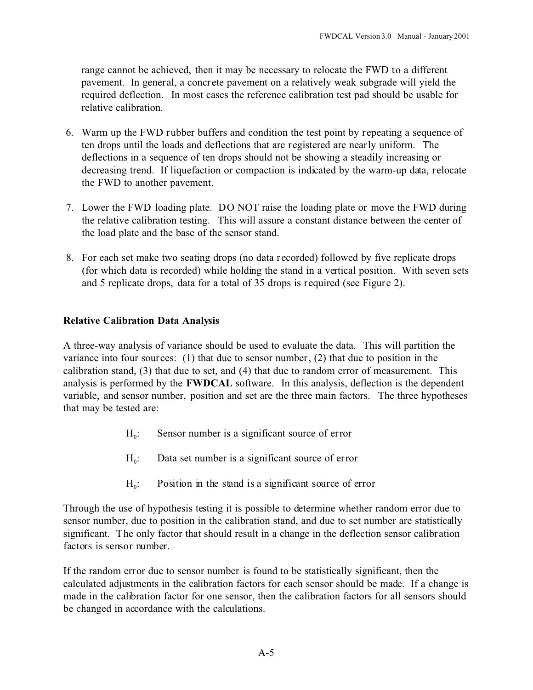range cannot be achieved, then it may be necessary to relocate the FWD to a different pavement. In general, a concrete pavement on a relatively weak subgrade will yield the required deflection. In most cases the reference calibration test pad should be usable for relative calibration.

- 6. Warm up the FWD rubber buffers and condition the test point by repeating a sequence of ten drops until the loads and deflections that are registered are nearly uniform. The deflections in a sequence of ten drops should not be showing a steadily increasing or decreasing trend. If liquefaction or compaction is indicated by the warm-up data, relocate the FWD to another pavement.
- 7. Lower the FWD loading plate. DO NOT raise the loading plate or move the FWD during the relative calibration testing. This will assure a constant distance between the center of the load plate and the base of the sensor stand.
- 8. For each set make two seating drops (no data recorded) followed by five replicate drops (for which data is recorded) while holding the stand in a vertical position. With seven sets and 5 replicate drops, data for a total of 35 drops is required (see Figure 2).

#### **Relative Calibration Data Analysis**

A three-way analysis of variance should be used to evaluate the data. This will partition the variance into four sources:  $(1)$  that due to sensor number,  $(2)$  that due to position in the calibration stand, (3) that due to set, and (4) that due to random error of measurement. This analysis is performed by the **FWDCAL** software. In this analysis, deflection is the dependent variable, and sensor number, position and set are the three main factors. The three hypotheses that may be tested are:

- $H_0$ : Sensor number is a significant source of error
- $H_0$ : Data set number is a significant source of error
- $H_0$ : Position in the stand is a significant source of error

Through the use of hypothesis testing it is possible to determine whether random error due to sensor number, due to position in the calibration stand, and due to set number are statistically significant. The only factor that should result in a change in the deflection sensor calibration factors is sensor number.

If the random error due to sensor number is found to be statistically significant, then the calculated adjustments in the calibration factors for each sensor should be made. If a change is made in the calibration factor for one sensor, then the calibration factors for all sensors should be changed in accordance with the calculations.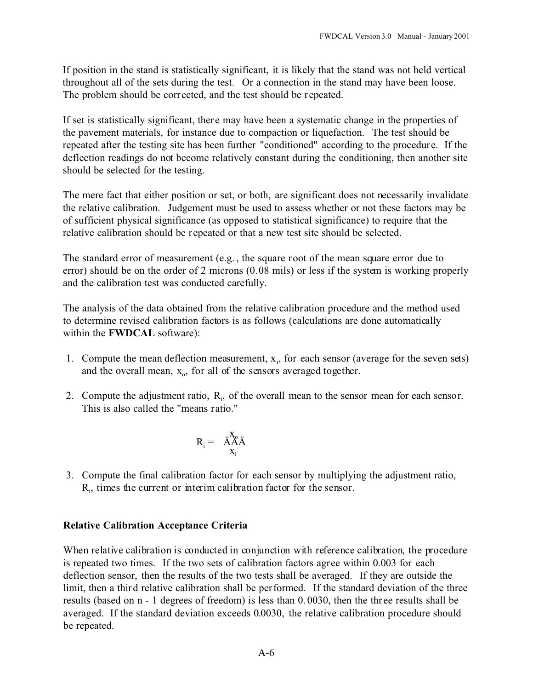If position in the stand is statistically significant, it is likely that the stand was not held vertical throughout all of the sets during the test. Or a connection in the stand may have been loose. The problem should be corrected, and the test should be repeated.

If set is statistically significant, there may have been a systematic change in the properties of the pavement materials, for instance due to compaction or liquefaction. The test should be repeated after the testing site has been further "conditioned" according to the procedure. If the deflection readings do not become relatively constant during the conditioning, then another site should be selected for the testing.

The mere fact that either position or set, or both, are significant does not necessarily invalidate the relative calibration. Judgement must be used to assess whether or not these factors may be of sufficient physical significance (as opposed to statistical significance) to require that the relative calibration should be repeated or that a new test site should be selected.

The standard error of measurement (e.g. , the square root of the mean square error due to error) should be on the order of 2 microns (0.08 mils) or less if the system is working properly and the calibration test was conducted carefully.

The analysis of the data obtained from the relative calibration procedure and the method used to determine revised calibration factors is as follows (calculations are done automatically within the **FWDCAL** software):

- 1. Compute the mean deflection measurement,  $x_i$ , for each sensor (average for the seven sets) and the overall mean,  $x_0$ , for all of the sensors averaged together.
- 2. Compute the adjustment ratio,  $R_i$ , of the overall mean to the sensor mean for each sensor. This is also called the "means ratio."

$$
R_i = \ddot{A}^X \ddot{A} \ddot{A}
$$

$$
x_i
$$

 3. Compute the final calibration factor for each sensor by multiplying the adjustment ratio,  $R<sub>i</sub>$ , times the current or interim calibration factor for the sensor.

#### **Relative Calibration Acceptance Criteria**

When relative calibration is conducted in conjunction with reference calibration, the procedure is repeated two times. If the two sets of calibration factors agree within 0.003 for each deflection sensor, then the results of the two tests shall be averaged. If they are outside the limit, then a third relative calibration shall be performed. If the standard deviation of the three results (based on n - 1 degrees of freedom) is less than 0. 0030, then the thr ee results shall be averaged. If the standard deviation exceeds 0.0030, the relative calibration procedure should be repeated.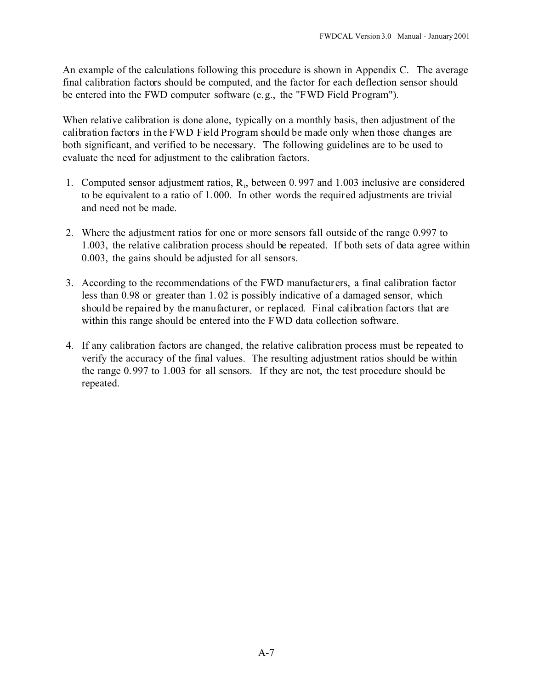An example of the calculations following this procedure is shown in Appendix C. The average final calibration factors should be computed, and the factor for each deflection sensor should be entered into the FWD computer software (e.g., the "FWD Field Program").

When relative calibration is done alone, typically on a monthly basis, then adjustment of the calibration factors in the FWD Field Program should be made only when those changes are both significant, and verified to be necessary. The following guidelines are to be used to evaluate the need for adjustment to the calibration factors.

- 1. Computed sensor adjustment ratios,  $R_i$ , between 0.997 and 1.003 inclusive are considered to be equivalent to a ratio of 1.000. In other words the required adjustments are trivial and need not be made.
- 2. Where the adjustment ratios for one or more sensors fall outside of the range 0.997 to 1.003, the relative calibration process should be repeated. If both sets of data agree within 0.003, the gains should be adjusted for all sensors.
- 3. According to the recommendations of the FWD manufacturers, a final calibration factor less than 0.98 or greater than 1. 02 is possibly indicative of a damaged sensor, which should be repaired by the manufacturer, or replaced. Final calibration factors that are within this range should be entered into the FWD data collection software.
- 4. If any calibration factors are changed, the relative calibration process must be repeated to verify the accuracy of the final values. The resulting adjustment ratios should be within the range 0.997 to 1.003 for all sensors. If they are not, the test procedure should be repeated.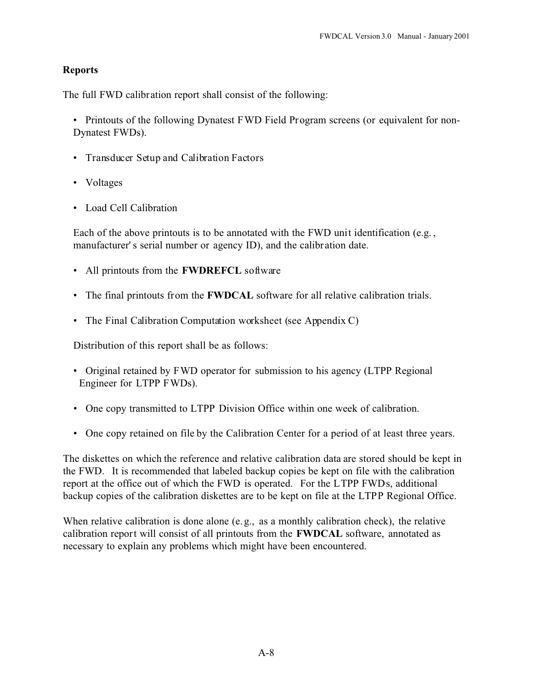#### **Reports**

The full FWD calibration report shall consist of the following:

• Printouts of the following Dynatest FWD Field Program screens (or equivalent for non-Dynatest FWDs).

- Transducer Setup and Calibration Factors
- Voltages
- Load Cell Calibration

Each of the above printouts is to be annotated with the FWD unit identification (e.g., manufacturer' s serial number or agency ID), and the calibration date.

- All printouts from the **FWDREFCL** software
- The final printouts from the **FWDCAL** software for all relative calibration trials.
- The Final Calibration Computation worksheet (see Appendix C)

Distribution of this report shall be as follows:

- Original retained by FWD operator for submission to his agency (LTPP Regional Engineer for LTPP FWDs).
- One copy transmitted to LTPP Division Office within one week of calibration.
- One copy retained on file by the Calibration Center for a period of at least three years.

The diskettes on which the reference and relative calibration data are stored should be kept in the FWD. It is recommended that labeled backup copies be kept on file with the calibration report at the office out of which the FWD is operated. For the LTPP FWDs, additional backup copies of the calibration diskettes are to be kept on file at the LTPP Regional Office.

When relative calibration is done alone (e.g., as a monthly calibration check), the relative calibration report will consist of all printouts from the **FWDCAL** software, annotated as necessary to explain any problems which might have been encountered.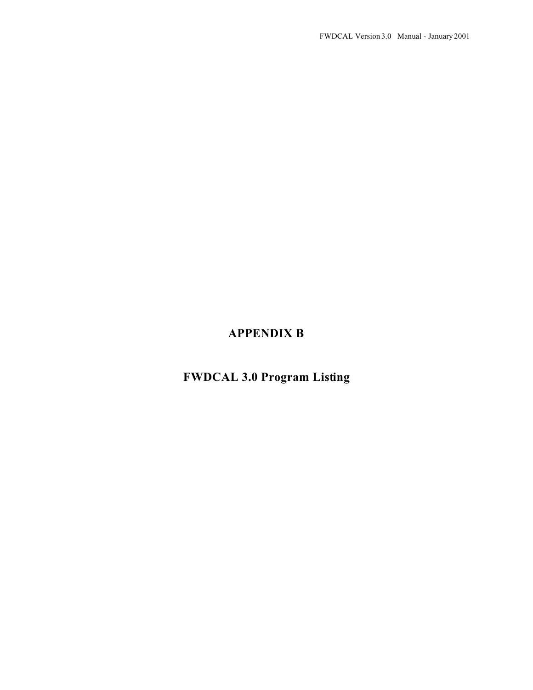# **APPENDIX B**

# **FWDCAL 3.0 Program Listing**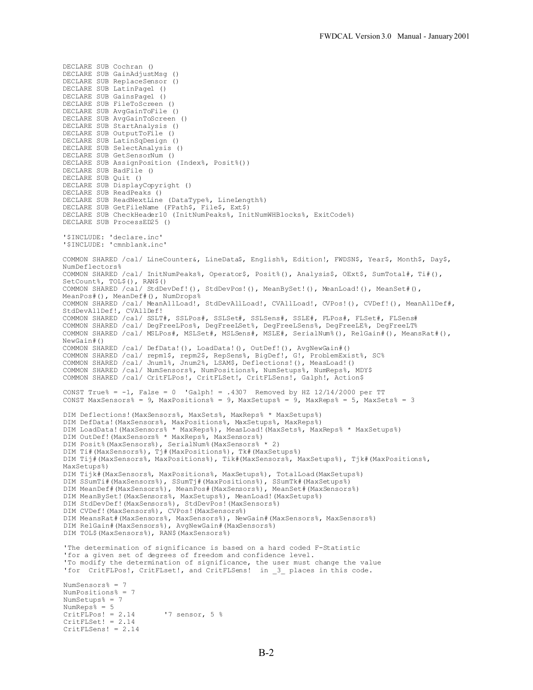DECLARE SUB Cochran () DECLARE SUB GainAdjustMsg () DECLARE SUB ReplaceSensor () DECLARE SUB LatinPage1 () DECLARE SUB GainsPage1 () DECLARE SUB FileToScreen () DECLARE SUB AvgGainToFile () DECLARE SUB AvgGainToScreen () DECLARE SUB StartAnalysis () DECLARE SUB OutputToFile () DECLARE SUB LatinSqDesign () DECLARE SUB SelectAnalysis () DECLARE SUB GetSensorNum () DECLARE SUB AssignPosition (Index%, Posit%()) DECLARE SUB BadFile () DECLARE SUB Quit () DECLARE SUB DisplayCopyright () DECLARE SUB ReadPeaks () DECLARE SUB ReadNextLine (DataType%, LineLength%) DECLARE SUB GetFileName (FPath\$, File\$, Ext\$) DECLARE SUB CheckHeader10 (InitNumPeaks%, InitNumWHBlocks%, ExitCode%) DECLARE SUB ProcessED25 () '\$INCLUDE: 'declare.inc' '\$INCLUDE: 'cmnblank.inc' COMMON SHARED /cal/ LineCounter&, LineData\$, English%, Edition!, FWDSN\$, Year\$, Month\$, Day\$, NumDeflectors% COMMON SHARED /cal/ InitNumPeaks%, Operator\$, Posit%(), Analysis\$, OExt\$, SumTotal#, Ti#(), SetCount%, TOL\$(), RAN\$() COMMON SHARED /cal/ StdDevDef!(), StdDevPos!(), MeanBySet!(), MeanLoad!(), MeanSet#(), MeanPos#(), MeanDef#(), NumDrops% COMMON SHARED /cal/ MeanAllLoad!, StdDevAllLoad!, CVAllLoad!, CVPos!(), CVDef!(), MeanAllDef#, StdDevAllDef!, CVAllDef! COMMON SHARED /cal/ SSLT#, SSLPos#, SSLSet#, SSLSens#, SSLE#, FLPos#, FLSet#, FLSens# COMMON SHARED /cal/ DegFreeLPos%, DegFreeLSet%, DegFreeLSens%, DegFreeLE%, DegFreeLT% COMMON SHARED /cal/ MSLPos#, MSLSet#, MSLSens#, MSLE#, SerialNum%(), RelGain#(), MeansRat#(), NewGain#() COMMON SHARED /cal/ DefData!(), LoadData!(), OutDef!(), AvgNewGain#() COMMON SHARED /cal/ repm1\$, repm2\$, RepSens%, BigDef!, G!, ProblemExist%, SC% COMMON SHARED /cal/ Jnum1%, Jnum2%, LSAM\$, Deflections!(), MeasLoad!() COMMON SHARED /cal/ NumSensors%, NumPositions%, NumSetups%, NumReps%, MDY\$ COMMON SHARED /cal/ CritFLPos!, CritFLSet!, CritFLSens!, Galph!, Action\$ CONST True% =  $-1$ , False = 0 'Galph! = .4307 Removed by HZ  $12/14/2000$  per TT CONST MaxSensors% = 9, MaxPositions% = 9, MaxSetups% = 9, MaxReps% = 5, MaxSets% = 3 DIM Deflections! (MaxSensors%, MaxSets%, MaxReps% \* MaxSetups%) DIM DefData!(MaxSensors%, MaxPositions%, MaxSetups%, MaxReps%) DIM LoadData!(MaxSensors% \* MaxReps%), MeasLoad!(MaxSets%, MaxReps% \* MaxSetups%) DIM OutDef!(MaxSensors% \* MaxReps%, MaxSensors%) DIM Posit%(MaxSensors%), SerialNum%(MaxSensors% \* 2) DIM Ti#(MaxSensors%), Tj#(MaxPositions%), Tk#(MaxSetups%) DIM Tij#(MaxSensors%, MaxPositions%), Tik#(MaxSensors%, MaxSetups%), Tjk#(MaxPositions%, MaxSetups%) DIM Tijk#(MaxSensors%, MaxPositions%, MaxSetups%), TotalLoad(MaxSetups%) DIM SSumTi#(MaxSensors%), SSumTj#(MaxPositions%), SSumTk#(MaxSetups%) DIM MeanDef#(MaxSensors%), MeanPos#(MaxSensors%), MeanSet#(MaxSensors%) DIM MeanBySet!(MaxSensors%, MaxSetups%), MeanLoad!(MaxSetups%) DIM StdDevDef!(MaxSensors%), StdDevPos!(MaxSensors%) DIM CVDef!(MaxSensors%), CVPos!(MaxSensors%) DIM MeansRat#(MaxSensors%, MaxSensors%), NewGain#(MaxSensors%, MaxSensors%) DIM RelGain#(MaxSensors%), AvgNewGain#(MaxSensors%) DIM TOL\$(MaxSensors%), RAN\$(MaxSensors%) 'The determination of significance is based on a hard coded F-Statistic 'for a given set of degrees of freedom and confidence level. 'To modify the determination of significance, the user must change the value 'for CritFLPos!, CritFLset!, and CritFLSens! in \_3\_ places in this code. NumSensors% = 7 NumPositions% = 7 NumSetups% = 7 NumReps% = 5 CritFLPos! =  $2.14$  '7 sensor,  $5 \text{ }^{\circ}$ CritFLSet! = 2.14  $CritFLSens! = 2.14$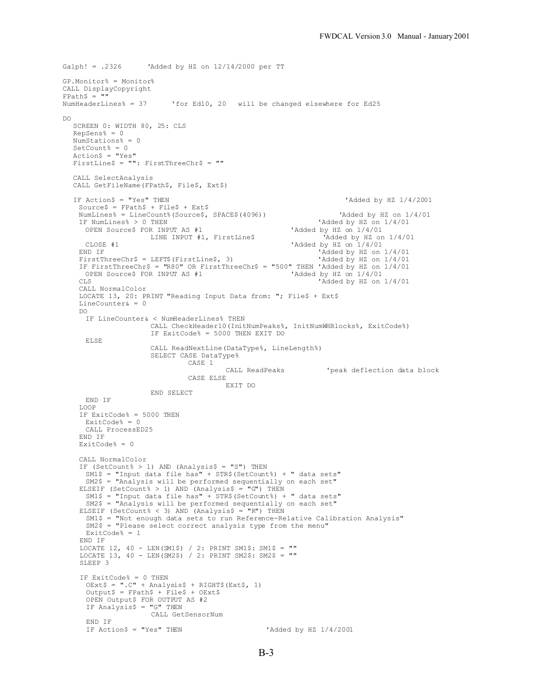```
Galph! = .2326 'Added by HZ on 12/14/2000 per TT
GP.Monitor% = Monitor%
CALL DisplayCopyright
\text{FPath}\$ = \text{""}<br>NumHeaderLines% = 37
                             'for Ed10, 20 will be changed elsewhere for Ed25
D<sub>O</sub>SCREEN 0: WIDTH 80, 25: CLS
  Repsens<sup>2</sup> = 0
  NumStations% = 0
  SetCount<sup>%</sup> = 0
  Action$ = "Yes"
  FirstLine$ = " " :  FirstThreeChr$ = ""CALL SelectAnalysis
  CALL GetFileName(FPath$, File$, Ext$)
  IF Action$ = "Yes" THEN 'Added by HZ 1/4/2001
    Source$ = FPath$ + File$ + Ext$NumLines% = LineCount% (Source$, SPACE$(4096)) 'Added by HZ on 1/4/01IF NumLines > 0 THEN 'Added by HZ on 1/4/01<br>OPEN Source \frac{5}{4} FOR INPUT AS #1 'Added by HZ on 1/4/01OPEN Source$ FOR INPUT AS #1 'Added by HZ on 1/4/01<br>LINE INPUT #1, FirstLine$ 'Added by HZ on 1/4/01
                       LINE INPUT #1, FirstLine$
    CLOSE #1 \blacksquare \blacksquare \blacksquare \blacksquare \blacksquare \blacksquare \blacksquare \blacksquare \blacksquare \blacksquare \blacksquare \blacksquare \blacksquare \blacksquare \blacksquare \blacksquare \blacksquare \blacksquare \blacksquare \blacksquare \blacksquare \blacksquare \blacksquare \blacksquare \blacksquare \blacksquare \blacksquare \blacksquare \blacksquare \blacksquare \bl'Added by HZ on 1/4/01<br>'Added by HZ on 1/4/01
    FirstThreeChr$ = LEFT$ (FirstLine$, 3)
    IF FirstThreeChr$ = "R80" OR FirstThreeChr$ = "500" THEN 'Added by HZ on 1/4/01<br>OPEN Source$ FOR INPUT AS #1 \qquad 'Added by HZ on 1/4/01OPEN Source$ FOR INPUT AS #1<br>CLS
                                                                         'Added by HZ on 1/4/01CALL NormalColor
    LOCATE 13, 20: PRINT "Reading Input Data from: "; File$ + Ext$
    LineCounter\& = 0D<sub>O</sub>IF LineCounter& < NumHeaderLines% THEN
                        CALL CheckHeader10(InitNumPeaks%, InitNumWHBlocks%, ExitCode%)
                        IF ExitCode% = 5000 THEN EXIT DO
      ELSE
                        CALL ReadNextLine(DataType%, LineLength%)
                        SELECT CASE DataType%
                                   CASE 1
                                              CALL ReadPeaks 'peak deflection data block
                                   CASE ELSE
                                             EXIT DO
                        END SELECT
     END IF
    LOOP
    IF ExitCode% = 5000 THEN
     ExitCode% = 0
      CALL ProcessED25
    END IF
    ExitCode% = 0CALL NormalColor
    IF (SetCount% > 1) AND (Analysis$ = "S") THEN
      SM1$ = "Input data file has" + STR$(SetCount%) + " data sets"
      SM2$ = "Analysis will be performed sequentially on each set"
    ELSEIF (SetCount% > 1) AND (Analysis$ = "G") THEN
      SM1$ = "Input data file has" + STR$(SetCount%) + " data sets"
       SM2$ = "Analysis will be performed sequentially on each set"
     ELSEIF (SetCount% < 3) AND (Analysis$ = "R") THEN
      SM1$ = "Not enough data sets to run Reference-Relative Calibration Analysis"
      SM2$ = "Please select correct analysis type from the menu"
      ExitCode% = 1
    END IF
     LOCATE 12, 40 - LEN(SM1$) / 2: PRINT SM1$: SM1$ = ""
     LOCATE 13, 40 - LEN(SM2$) / 2: PRINT SM2$: SM2$ = ""
    SLEEP 3
    IF ExitCode% = 0 THEN
      OExt$ = "C" + Analysis$ + RIGHT$ (Ext$, 1)Output$ = FPath$ + File$ + OExt$
      OPEN Output$ FOR OUTPUT AS #2
      IF Analysis$ = "G" THEN
                        CALL GetSensorNum
      END IF
      IF Action$ = "Yes" THEN 'Added by HZ 1/4/2001
```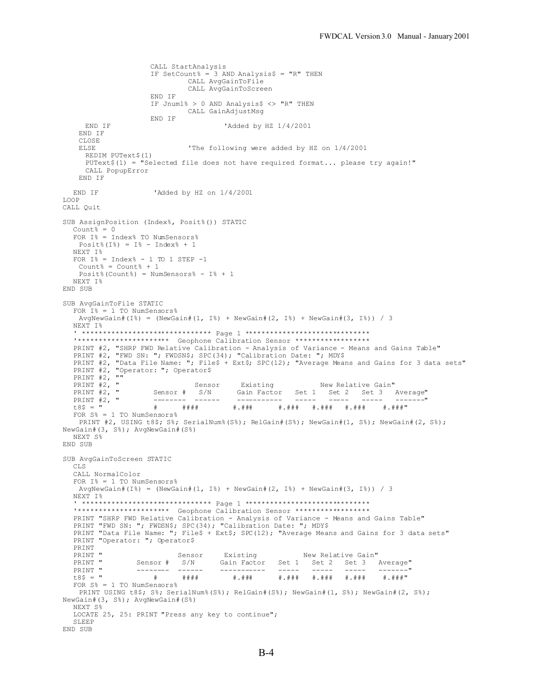```
CALL StartAnalysis
                     IF SetCount% = 3 AND Analysis$ = "R" THEN
                             CALL AvgGainToFile
                              CALL AvgGainToScreen
                     END IF
                     IF Jnum1% > 0 AND Analysis$ <> "R" THEN
                             CALL GainAdjustMsg
                     END IF
    END IF 'Added by HZ 1/4/2001
   END IF
   CLOSE<br>ELSE
                              'The following were added by HZ on 1/4/2001
     REDIM PUText$(1)
     PUText$(1) = "Selected file does not have required format... please try again!"
     CALL PopupError
   END IF
 END IF 'Added by HZ on 1/4/2001
LOOP
CALL Quit
SUB AssignPosition (Index%, Posit%()) STATIC
  Count<sup>2</sup> = 0
  FOR I% = Index% TO NumSensors%
   Post8(I_8) = I_8 - Index_8 + 1NEXT I%
  FOR I^* = \text{Index} - 1 \text{ TO } 1 \text{ STEP } -1Count% = Count% + 1
   Posit%(Count%) = NumSensors % - I% + 1NEXT I%
END SUB
SUB AvgGainToFile STATIC
  FOR I^* = 1 TO NumSensors%
   AvgNewGain#(I%) = (NewGain#(1, I%) + NewGain#(2, I%) + NewGain#(3, I%)) / 3
  NEXT I%
  ' ******************************* Page 1 ******************************
  '********************** Geophone Calibration Sensor ******************
  PRINT #2, "SHRP FWD Relative Calibration - Analysis of Variance - Means and Gains Table"
  PRINT #2, "FWD SN: "; FWDSN$; SPC(34); "Calibration Date: "; MDY$
  PRINT #2, "Data File Name: "; File$ + Ext$; SPC(12); "Average Means and Gains for 3 data sets"
  PRINT #2, "Operator: "; Operator$
  PRINT #2, ""<br>PRINT #2, "
  PRINT #2, " Sensor Existing New Relative Gain"
                                        Gain Factor Set 1 Set 2 Set 3 Average"
  PRINT #2, " -------- ------ ----------- ----- ----- ----- -------"
                                                  t8$ = " # #### #.### #.### #.### #.### #.###"
  FOR S_{\theta}^s = 1 TO NumSensors\frac{1}{6}PRINT #2, USING t8$; S%; SerialNum%(S%); RelGain#(S%); NewGain#(1, S%); NewGain#(2, S%);
NewGain#(3, S%); AvgNewGain#(S%)
  NEXT S%
END SUB
SUB AvgGainToScreen STATIC
  CLS
  CALL NormalColor
  FOR I% = 1 TO NumSensors%
   AvgNewGain#(I%) = (NewGain#(1, I%) + NewGain#(2, I%) + NewGain#(3, I%)) / 3
  NEXT I%
  .......<br>• *****************************    Page 1 ******************************
  '********************** Geophone Calibration Sensor ******************
  PRINT "SHRP FWD Relative Calibration - Analysis of Variance - Means and Gains Table"
  PRINT "FWD SN: "; FWDSN$; SPC(34); "Calibration Date: "; MDY$
  PRINT "Data File Name: "; File$ + Ext$; SPC(12); "Average Means and Gains for 3 data sets"
  PRINT "Operator: "; Operator$
  PRINT<br>PRINT "
  PRINT " Sensor Existing New Relative Gain"<br>PRINT " Sensor # S/N Gain Factor Set 1 Set 2 Set 3
  PRINT " Sensor # S/N Gain Factor Set 1 Set 2 Set 3 Average"
  PRINT " -------- ------ ----------- ----- ----- ----- -------"
                                                          #.### #.###
  FOR S<sup>8</sup> = 1 TO NumSensors%
   PRINT USING t8$; S%; SerialNum%(S%); RelGain#(S%); NewGain#(1, S%); NewGain#(2, S%);
NewGain#(3, S%); AvgNewGain#(S%)
  NEXT S%
  LOCATE 25, 25: PRINT "Press any key to continue";
  SLEEP
END SUB
```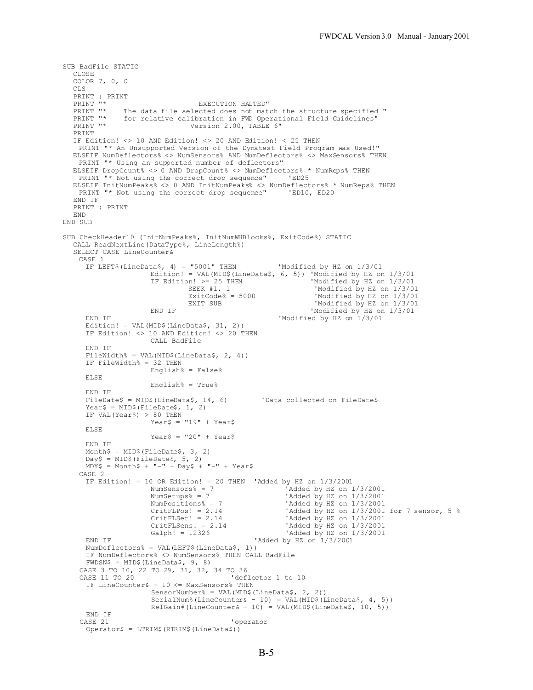```
SUB BadFile STATIC
  CLOSE
   COLOR 7, 0, 0
  CLS
   PRINT : PRINT<br>PRINT "*
  PRINT "* EXECUTION HALTED"<br>PRINT "* The data file selected does not mate
   PRINT "* The data file selected does not match the structure specified "<br>PRINT "* for relative calibration in FWD Operational Field Guidelines"
  PRINT "* for relative calibration in FWD Operational Field Guidelines"<br>PRINT "* 799 Version 2.00, TABLE 6"
                                    Version 2.00, TABLE 6"
   PRINT
  IF Edition! <> 10 AND Edition! <> 20 AND Edition! < 25 THEN
    PRINT "* An Unsupported Version of the Dynatest Field Program was Used!"
  ELSEIF NumDeflectors% <> NumSensors% AND NumDeflectors% <> MaxSensors% THEN
   PRINT "* Using an supported number of deflectors"
  ELSEIF DropCount% <> 0 AND DropCount% <> NumDeflectors% * NumReps% THEN
   PRINT "* Not using the correct drop sequence" 'ED25
   ELSEIF InitNumPeaks% <> 0 AND InitNumPeaks% <> NumDeflectors% * NumReps% THEN
     PRINT "* Not using the correct drop sequence" 'ED10, ED20
   END IF
   PRINT : PRINT
  END
END SUB
SUB CheckHeader10 (InitNumPeaks%, InitNumWHBlocks%, ExitCode%) STATIC
  CALL ReadNextLine(DataType%, LineLength%)
   SELECT CASE LineCounter&
    CASE 1
      IF LEFT$(LineData$, 4) = "5001" THEN 'Modified by HZ on 1/3/01Edition! = VAL(MID$(LineData$, 6, 5)) 'Modified by HZ on 1/3/01<br>IF Edition! > = 25 THEN 'Modified by HZ on 1/3/01\text{In!} >= 25 THEN \text{Mod} 'Modified by HZ on 1/3/01<br>SEEK #1, 1 \text{Modified by HZ on } 1/3/01SEEK #1, 1 <br>ExitCode% = 5000 <br>Modified by HZ on 1/3/01
                                   ExitCode% = 5000 M\text{M} and N\text{ HZ} on 1/3/01<br>EXIT SUB M\text{M} and M\text{M} and M\text{M} and M\text{M} and M\text{M} and M\text{M} and M\text{M} and M\text{M} and M\text{M} and M\text{M} and M\text{M} and M\text{M} and M'Modified by HZ on 1/3/01
                         END IF 'Modified by HZ on 1/3/01END IF 'Modified by HZ on 1/3/01
      Edition! = VAL(MID$(LineData$, 31, 2))
      IF Edition! <> 10 AND Edition! <> 20 THEN
                        CALL BadFile
      END IF
      FileWidth<sup>8</sup> = VAL(MID$(LineData$, 2, 4))
      IF FileWidth% = 32 THEN
                        English% = False%
      ELSE
                        English% = True%
      END IF
      FileDate$ = MID$ (LineData$, 14, 6) 'Data collected on FileDate$
      Year$ = MID$(FileDate$, 1, 2)
      IF VAL(Year$) > 80 THEN
                         Year$ = "19" + YearsELSE
                        Year\frac{1}{20} + Year\frac{1}{20}END IF
      Month$ = MID$(FileDate$, 3, 2)
      Day$ = MID$(FileDate$, 5, 2)
      MDY$ = Monthly + "-" + Day$ + "-" + Year$CASE 2
      IF Edition! = 10 OR Edition! = 20 THEN 'Added by HZ on 1/3/2001<br>NumSensors% = 7 'Added by HZ on 1
                                                                'Added by HZ on 1/3/2001
                         NumSetups% = 7 \text{YAdded by HZ on } 1/3/2001<br>NumPositions% = 7 \text{YAdded by HZ on } 1/3/2001NumPositions% = 7 \text{V}{\text{Added by HZ on } 1/3/2001}<br>CritFLPos! = 2.14 \text{V}{\text{Added by HZ on } 1/3/2001}CritFLPos! = 2.14<br>CritFLSet! = 2.14<br>'Added by HZ on 1/3/2001 for 7 sensor, 5 %
                         CritFLSet! = 2.14 'Added by HZ on 1/3/2001<br>CritFLSens! = 2.14 'Added by HZ on 1/3/2001
                         CritFLSens! = 2.14 'Added by HZ on 1/3/2001<br>Galph! = .2326 'Added by HZ on 1/3/2001'Added by HZ on 1/3/2001
      END IF 'Added by HZ on 1/3/2001NumDeflectors% = VAL(LEFT$(LineData$, 1))
      IF NumDeflectors% <> NumSensors% THEN CALL BadFile
      FWDSN$ = MID$ (LineData$, 9, 8)CASE 3 TO 10, 22 TO 29, 31, 32, 34 TO 36
                                                'deflector 1 to 10
      IF LineCounter& - 10 <= MaxSensors% THEN
                         SensorNumber% = VAL(MID$(LineData$, 2, 2))
                         SerialNum% (LineCounter& - 10) = VAL (MID$ (LineData$, 4, 5))
                         RelGain#(LineCounter& - 10) = VAL(MID$(LineData$, 10, 5))
    END IF<br>CASE 21
                                                'operator
      Operator$ = LTRIM$(RTRIM$(LineData$))
```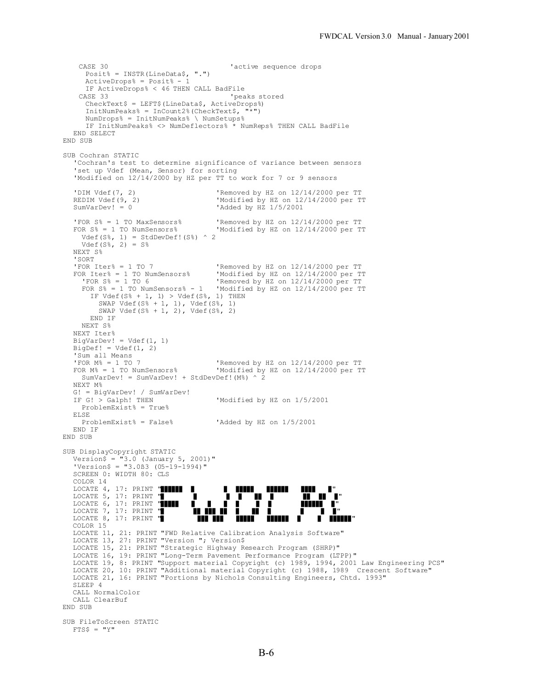```
CASE 30 ' active sequence drops
     Posit% = INSTR(LineData$, ".")
     ActiveDrops% = Posit - 1
     IF ActiveDrops% < 46 THEN CALL BadFile
    CASE 33 'peaks stored
     CheckText$ = LEFT$ (LineData$, ActiveDrops$)InitNumPeaks<sup>% =</sup> Incount2 (CheckText<sup>$</sup>,
     NumDrops% = InitNumPeaks% \ NumSetups%
     IF InitNumPeaks% <> NumDeflectors% * NumReps% THEN CALL BadFile
  END SELECT
END SUB
SUB Cochran STATIC
  'Cochran's test to determine significance of variance between sensors
   'set up Vdef (Mean, Sensor) for sorting
   'Modified on 12/14/2000 by HZ per TT to work for 7 or 9 sensors
  'DIM Vdef(7, 2) 'Removed by HZ on 12/14/2000 per TT
  REDIM Vdef(9, 2) <br>
SumVarDev! = 0 <br>
YAdded by HZ 1/5/2001<br>
Yadded by HZ 1/5/2001
                                        'Added by HZ 1/5/2001
  'FOR S% = 1 TO MaxSensors% 'Removed by HZ on 12/14/2000 per TT<br>FOR S% = 1 TO NumSensors% 'Modified by HZ on 12/14/2000 per T
                                       'Modified by HZ on 12/14/2000 per TT
    Vdef(S*, 1) = StdDevDef:(S*) ^ 2Vdef(S_{6}^{8}, 2) = S_{6}^{8}NEXT S%
  'SORT<br>'FOR Iter% = 1 TO 7
  'FOR Iter% = 1 TO 7 <br>
FOR Iter% = 1 TO NumSensors% <br>
Modified by HZ on 12/14/2000 per TT
     R Iter% = 1 TO NumSensors% 'Modified by HZ on 12/14/2000 per TT<br>'FOR S% = 1 TO 6 'Removed by HZ on 12/14/2000 per TT
                                       'Removed by HZ on 12/14/2000 per TT
     FOR S% = 1 TO NumSensors% - 1 'Modified by HZ on 12/14/2000 per TT
       IF Vdef(S^s + 1, 1) > Vdef(S^s, 1) THEN
    SWAP Vdef(S% + 1, 1), Vdef(S%, 1)
   SWAP Vdef(S<sup>8</sup> + 1, 2), Vdef(S<sup>8</sup>, 2) END IF
     NEXT S%
  NEXT Iter%
  BigVarDev! = Vdef(1, 1)
  BigDef! = Vdef(1, 2)'Sum all Means<br>'FOR M% = 1 TO 7
  'FOR M% = 1 TO 7 <br>
FOR M% = 1 TO NumSensors% VModified by HZ on 12/14/2000 per TT
                                       'Modified by HZ on 12/14/2000 per TT
     SumVarDev! = SumVarDev! + StdDevDef!(M%) ^ 2
  NEXT M%
  G! = BigVarDev! / SumVarDev!<br>IF G! > Galph! THEN
                                       'Modified by HZ on 1/5/2001
     ProblemExist% = True%
  ELSE<br>ProblemExist% = False%
                                       'Added by HZ on 1/5/2001END IF
END SUB
SUB DisplayCopyright STATIC
   Version$ = "3.0 (January 5, 2001)"
   'Version$ = "3.0ß3 (05-19-1994)"
  SCREEN 0: WIDTH 80: CLS
  COLOR 14
  LOCATE 4, 17: PRINT "$$$$$$ $ $ $$$$$ $$$$$$ $$$$ $"
   LOCATE 5, 17: PRINT "\blacksquare \blacksquare \blacksquare \blacksquare \blacksquare \blacksquare \blacksquare \blacksquare \blacksquareLOCATE 6, 17: PRINT "$$$$$ $ $ $ $ $ $ $$$$$$ $"
   LOCATE 7, 17: PRINT "$ $$ $$ $ $ $ $ $ $ $ $ $ $ $ $ $
   LOCATE 8, 17: PRINT "$ $$$ $$$ $$$$$ $$$$$$ $ $ $$$$$$"
  COLOR 15
  LOCATE 11, 21: PRINT "FWD Relative Calibration Analysis Software"
  LOCATE 13, 27: PRINT "Version "; Version$
   LOCATE 15, 21: PRINT "Strategic Highway Research Program (SHRP)"
   LOCATE 16, 19: PRINT "Long-Term Pavement Performance Program (LTPP)"
  LOCATE 19, 8: PRINT "Support material Copyright (c) 1989, 1994, 2001 Law Engineering PCS"
   LOCATE 20, 10: PRINT "Additional material Copyright (c) 1988, 1989 Crescent Software"
   LOCATE 21, 16: PRINT "Portions by Nichols Consulting Engineers, Chtd. 1993"
  SLEEP 4
  CALL NormalColor
  CALL ClearBuf
END SUB
SUB FileToScreen STATIC
  FTS$ = "Y"
```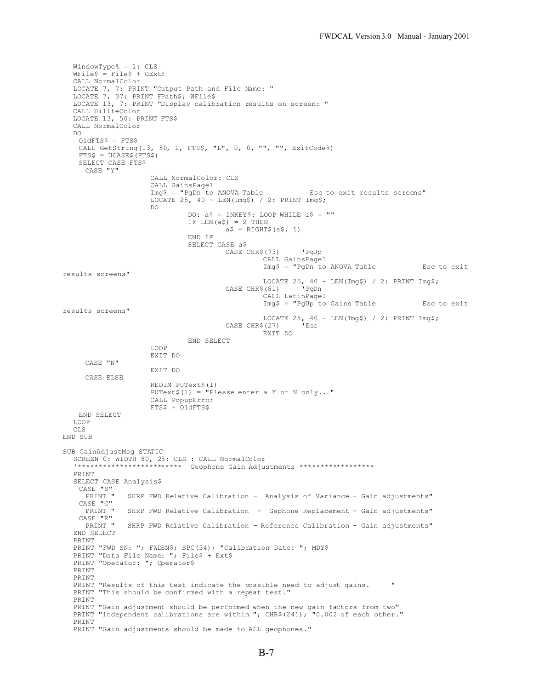```
WindowType% = 1: CLS
  WFile$ = File$ + OExt$CALL NormalColor
  LOCATE 7, 7: PRINT "Output Path and File Name: "
  LOCATE 7, 37: PRINT FPath$; WFile$
  LOCATE 13, 7: PRINT "Display calibration results on screen: "
  CALL HiliteColor
  LOCATE 13, 50: PRINT FTS$
  CALL NormalColor
  D<sub>O</sub>OldFTS$ = FTS$
   CALL GetString(13, 50, 1, FTS$, "L", 0, 0, "", "", ExitCode%)
    FTS$ = UCASE$(FTS$)
   SELECT CASE FTS$
     CASE "Y"
                     CALL NormalColor: CLS
                     CALL GainsPage1<br>Img$ = "PgDn to ANOVA Table
                                                           Esc to exit results screens"
                     LOCATE 25, 40 - LEN(Img$) / 2: PRINT Imq$;
                     DO
                              DO: a$ = INKEY$: LOOP WHILE a$ = ""
                              IF LEN(a$) = 2 THEN
                                       a$ = RIGHT$(a$, 1)
                              END IF
                              SELECT CASE a$
                                       CASE CHR$(73) 'PgUp
                                                 CALL GainsPage1
                                                 Img$ = "PgDn to ANOVA Table Esc to exit
results screens"
                                                 LOCATE 25, 40 - LEN(Img$) / 2: PRINT Img$;
                                        CASE CHR$(81) 'PgDn
                                                 CALL LatinPage1
                                                 Img$ = "PgUp to Gains Table Esc to exit
results screens"
                                                LOCATE 25, 40 - LEN(Img$) / 2: PRINT Img$;<br>$(27) <br>Esc
                                       CASE CHR$(27)
                                                EXIT DO
                              END SELECT
                     LOOP
                    EXIT DO
     CASE "N"
                     EXIT DO
     CASE ELSE
                     REDIM PUText$(1)
                     PUText$(1) = "Please enter a Y or N only..."
                     CALL PopupError
                    FTS$ = 01dFTS$END SELECT
  LOOP
  CLS
END SUB
SUB GainAdjustMsg STATIC
  SCREEN 0: WIDTH 80, 25: CLS : CALL NormalColor
                      ******* Geophone Gain Adjustments ******************
  PRINT
  SELECT CASE Analysis$
   CASE "S"<br>PRINT "
               SHRP FWD Relative Calibration - Analysis of Variance - Gain adjustments"
   CASE "G"<br>PRINT "
               SHRP FWD Relative Calibration - Gephone Replacement - Gain adjustments"
   CASE "R"
               SHRP FWD Relative Calibration - Reference Calibration - Gain adjustments"
  END SELECT
  PRINT
  PRINT "FWD SN: "; FWDSN$; SPC(34); "Calibration Date: "; MDY$
  PRINT "Data File Name: "; File$ + Ext$
  PRINT "Operator: "; Operator$
  PRINT
  PRINT
  PRINT "Results of this test indicate the possible need to adjust gains. "
  PRINT "This should be confirmed with a repeat test."
  PRINT
  PRINT "Gain adjustment should be performed when the new gain factors from two"
  PRINT "independent calibrations are within "; CHR$(241); "0.002 of each other."
  PRINT
  PRINT "Gain adjustments should be made to ALL geophones."
```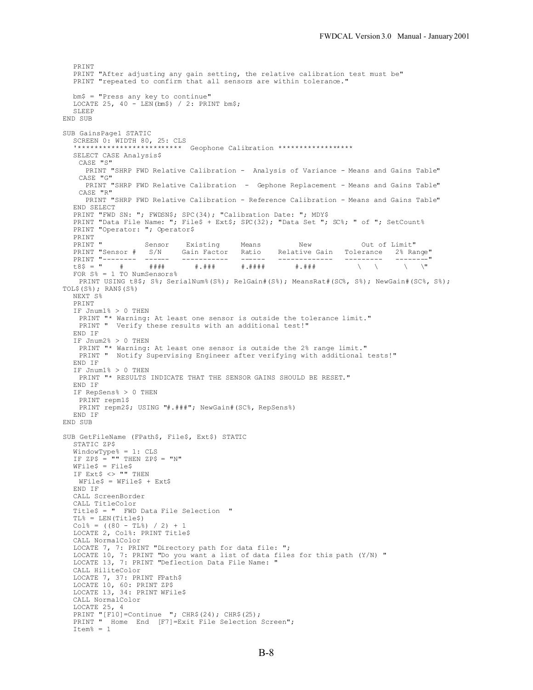```
PRINT
  PRINT "After adjusting any gain setting, the relative calibration test must be"
  PRINT "repeated to confirm that all sensors are within tolerance."
  bm$ = "Press any key to continue"
  LOCATE 25, 40 - LEN(bm$) / 2: PRINT bm$;
  SLEEP
END SUB
SUB GainsPage1 STATIC
  SCREEN 0: WIDTH 80, 25: CLS<br>'**************************
                     ******** Geophone Calibration ******************
  SELECT CASE Analysis$
   CASE "S"
     PRINT "SHRP FWD Relative Calibration - Analysis of Variance - Means and Gains Table"
   CASE "G"
     PRINT "SHRP FWD Relative Calibration - Gephone Replacement - Means and Gains Table"
   CASE "R"
    PRINT "SHRP FWD Relative Calibration - Reference Calibration - Means and Gains Table"
  END SELECT
  PRINT "FWD SN: "; FWDSN$; SPC(34); "Calibration Date: "; MDY$
  PRINT "Data File Name: "; File$ + Ext$; SPC(32); "Data Set "; SC%; " of "; SetCount%
  PRINT "Operator: "; Operator$
  PRINT<br>PRINT "
  PRINT " Sensor Existing Means New Out of Limit"
  PRINT "Sensor # S/N Gain Factor Ratio Relative Gain Tolerance 2% Range"
  PRINT "-------- ------ ----------- ------ ------------- --------- --------"
  t8$ = " # #### #.### #.#### #.### \ \ \ \"
  FOR S<sup>8</sup> = 1 TO NumSensors % S<sup>8</sup> = 1PRINT USING t8$; S%; SerialNum%(S%); RelGain#(S%); MeansRat#(SC%, S%); NewGain#(SC%, S%);
TOL$(S%); RAN$(S%)
  NEXT S%
  PRINT
  IF Jnum1% > 0 THEN
   PRINT "* Warning: At least one sensor is outside the tolerance limit."
   PRINT " Verify these results with an additional test!"
  END IF
  IF Jnum2% > 0 THEN
   PRINT "* Warning: At least one sensor is outside the 2% range limit."
   PRINT " Notify Supervising Engineer after verifying with additional tests!"
  END IF
  IF Jnum1% > 0 THEN
   PRINT "* RESULTS INDICATE THAT THE SENSOR GAINS SHOULD BE RESET."
  END IF
  IF RepSens% > 0 THEN
   PRINT repm1$
   PRINT repm2$; USING "#.###"; NewGain#(SC%, RepSens%)
  END IF
END SUB
SUB GetFileName (FPath$, File$, Ext$) STATIC
  STATIC ZP$
  WindowType% = 1: CLS
  IF ZP$ = "" THEN ZP$ = "N"
  WFile$ = File$
  IF Ext$ <> "" THEN
   WFile$ = WFile$ + Ext$
  END IF
  CALL ScreenBorder
  CALL TitleColor
  Title$ = " FWD Data File Selection "
  TL% = LEN(Title$)
  Col<sup>8</sup> = ((80 - TL<sup>8</sup>) / 2) + 1
  LOCATE 2, Col%: PRINT Title$
  CALL NormalColor
  LOCATE 7, 7: PRINT "Directory path for data file: ";
  LOCATE 10, 7: PRINT "Do you want a list of data files for this path (Y/N) "
  LOCATE 13, 7: PRINT "Deflection Data File Name: "
  CALL HiliteColor
  LOCATE 7, 37: PRINT FPath$
  LOCATE 10, 60: PRINT ZP$
  LOCATE 13, 34: PRINT WFile$
  CALL NormalColor
  LOCATE 25, 4
  PRINT "[F10]=Continue "; CHR$(24); CHR$(25);<br>PRINT " Home End [F7]=Exit File Selection
          Home End [F7]=Exit File Selection Screen";
  Item% = 1
```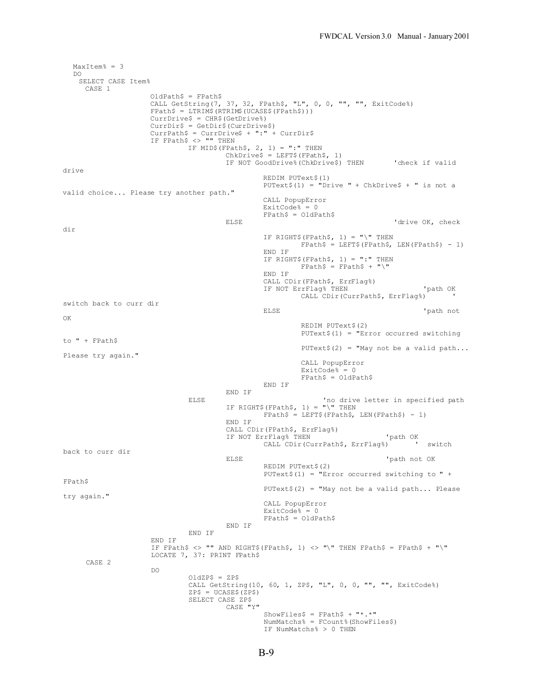```
MaxItem% = 3
  DO
   SELECT CASE Item%
     CASE 1
                   OldPath$ = FPath$
                   CALL GetString(7, 37, 32, FPath$, "L", 0, 0, "", "", ExitCode%)
                   FPath$ = LTRIM$(RTRIM$(UCASE$(FPath$)))
                   CurrDrive$ = CHR$(GetDrive%)
                    CurrDir$ = GetDir$(CurrDrive$)
                    CurrPath$ = CurrDrive$ + ":" + CurrDir$
                   IF FPath$ <> "" THEN
                            IF MID$(FPath$, 2, 1) = ":" THEN
                                     ChkDrive$ = LEFT$(FPath$, 1)
                                    IF NOT GoodDrive%(ChkDrive$) THEN 'check if valid
drive
                                             REDIM PUText$(1)
                                             PUText$(1) = "Drive " + ChkDrive$ + " is not a
valid choice... Please try another path."
                                             CALL PopupError
                                             ExitCode% = 0FPath$ = OldPath$
                                    ELSE 'drive OK, check
dir
                                             IF RIGHT$(FPath$, 1) = "\" THEN
                                                     FPath$ = LEFT$ (FPath$, LEN (FPath$) - 1)END IF
                                             IF RIGHT$(FPath$, 1) = ":" THEN
                                                      FPath$ = FPath$ + "\\"END IF
                                             CALL CDir(FPath$, ErrFlag%)
                                             IF NOT ErrFlag% THEN 'path OK
                                                     CALL CDir(CurrPath$, ErrFlag%) ' 
switch back to curr dir
                                             ELSE 'path not
OK
                                                     REDIM PUText$(2)
                                                     PUText$(1) = "Error occurred switching
to " + FPath$
                                                     PUText$(2) = "May not be a valid path...Please try again."
                                                     CALL PopupError
                                                     ExistCode% = 0
                                                     FPath$ = OldPath$
                                             END IF
                                    END IF
                            ELSE 'no drive letter in specified path
                                     IF RIGHT$(FPath$, 1) = "\" THEN
                                             FPath$ = LEFT$ (FPath$, LEN (FPath$) - 1)END IF
                                    CALL CDir(FPath$, ErrFlag%)
                                    IF NOT ErrFlag% THEN 'path OK<br>CALL CDir(CurrPath$, ErrFlag%) ' switch
                                             CALL CDir(CurrPath$, ErrFlag%)
back to curr dir
                                    ELSE 'path not OK
                                             REDIM PUText$(2)
                                             PUText$(1) = "Error occurred switching to " +
FPath$
                                             PUText$(2) = "May not be a valid path... Please
try again."
                                             CALL PopupError
                                             ExitCode% = 0FPath$ = OldPath$
                                    END IF
                            END IF
                    END IF
                    IF FPath$ <> "" AND RIGHT$(FPath$, 1) <> "\" THEN FPath$ = FPath$ + "\"
                    LOCATE 7, 37: PRINT FPath$
     CASE 2
                    DO
                            OldZP$ = ZP$
                            CALL GetString(10, 60, 1, ZP$, "L", 0, 0, "", "", ExitCode%)
                            ZP$ = UCASE$(ZP$)
                            SELECT CASE ZP$
                                    CASE "Y"
                                             ShowFiles$ = FPath$ + "*.NumMatchs% = FCount%(ShowFiles$)
                                             IF NumMatchs% > 0 THEN
```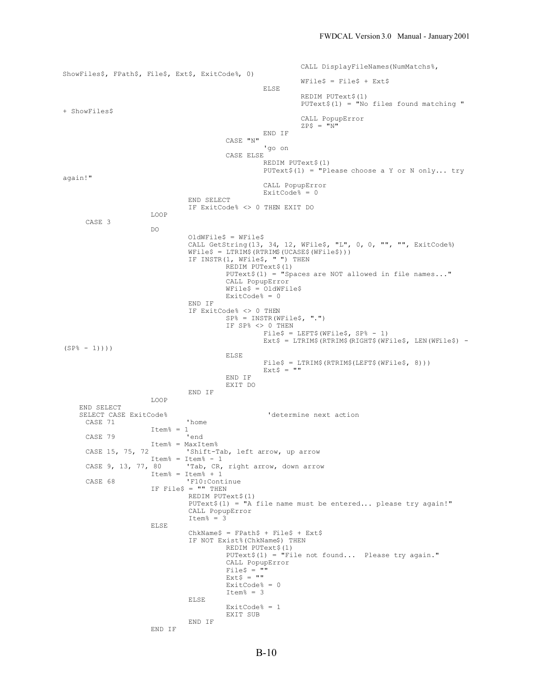CALL DisplayFileNames(NumMatchs%, ShowFiles\$, FPath\$, File\$, Ext\$, ExitCode%, 0)  $WFi 1eS = FileS + Ex+S$ ELSE REDIM PUText\$(1) PUText\$(1) = "No files found matching " + ShowFiles\$ CALL PopupError  $ZP$ = "N"$ END IF CASE "N" 'go on CASE ELSE REDIM PUText\$(1) PUText $$(1) =$  "Please choose a Y or N only... try again!" CALL PopupError ExitCode% = 0 END SELECT IF ExitCode% <> 0 THEN EXIT DO LOOP CASE 3 DO OldWFile\$ = WFile\$ CALL GetString(13, 34, 12, WFile\$, "L", 0, 0, "", "", ExitCode%) WFile\$ = LTRIM\$(RTRIM\$(UCASE\$(WFile\$))) IF INSTR(1, WFile\$, " ") THEN REDIM PUText\$(1) PUText\$(1) = "Spaces are NOT allowed in file names..." CALL PopupError WFile\$ = OldWFile\$ ExitCode% = 0 END IF IF ExitCode% <> 0 THEN SP% = INSTR(WFile\$, ".") IF SP% <> 0 THEN  $Files = LEFT$ (WFile$, SP$ - 1)$  $Ext$ = LTRIM$ (RTRIM$ (RIGHT$ (WFile$, LEN (WFile$) (SP_{6} - 1))$ ) ELSE File\$ = LTRIM\$(RTRIM\$(LEFT\$(WFile\$, 8)))  $Ext$ = ""$ END IF EXIT DO END IF LOOP END SELECT<br>SELECT CASE ExitCode%  ${\small \bf 'determine next action}$ CASE 71  $Item<sup>6</sup> = 1$ <br>'end CASE 79 Item% = MaxItem% CASE 15, 75, 72 'Shift-Tab, left arrow, up arrow  $Item^* = Item^* - 1$ <br>CASE 9, 13, 77, 80  $'$ Tab, CR, 'Tab, CR, right arrow, down arrow Item% = Item% +  $1$ CASE 68 'F10:Continue IF File\$ = "" THEN REDIM PUText\$(1) PUText\$(1) = "A file name must be entered... please try again!" CALL PopupError Item% =  $3$ ELSE  $ChkName$ = FPath$ + File$ + Ext$$ IF NOT Exist%(ChkName\$) THEN REDIM PUText\$(1) PUText\$(1) = "File not found... Please try again." CALL PopupError  $Files$ = ""$ Ext\$ = "" ExitCode% = 0 Item $% = 3$ ELSE ExitCode% = 1 EXIT SUB END IF END IF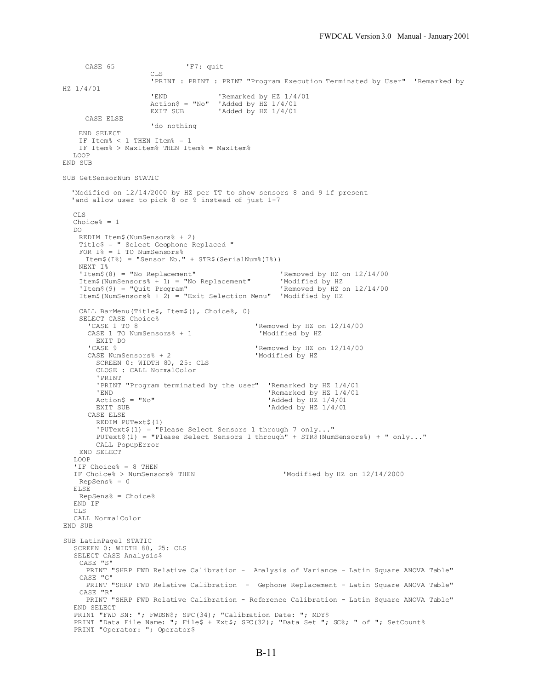CASE 65 'F7: quit CLS 'PRINT : PRINT : PRINT "Program Execution Terminated by User" 'Remarked by HZ 1/4/01 'END 'Remarked by HZ 1/4/01  $Action$ = "No"$  'Added by HZ  $1/4/01$ <br>EXIT SUB 'Added by HZ  $1/4/01$ 'Added by HZ  $1/4/01$ CASE ELSE 'do nothing END SELECT IF Item% < 1 THEN Item% = 1 IF Item% > MaxItem% THEN Item% = MaxItem% LOOP END SUB SUB GetSensorNum STATIC 'Modified on 12/14/2000 by HZ per TT to show sensors 8 and 9 if present 'and allow user to pick 8 or 9 instead of just 1-7 CLS Choice% =  $1$ DO REDIM Item\$(NumSensors% + 2) Title\$ = " Select Geophone Replaced " FOR I% = 1 TO NumSensors% Item\$(I%) = "Sensor No." + STR\$(SerialNum%(I%)) NEXT I% The state of the State of the State of the State of the State of the State of the State of the State of the State of the State of the State of the State of the State of the State of the State of the State of the State of t Item\$(NumSensors% + 1) = "No Replacement"<br>'Item\$(9) = "Ouit Program" 'Removed by HZ on 12/14/00 Item\$(NumSensors% + 2) = "Exit Selection Menu" 'Modified by HZ CALL BarMenu(Title\$, Item\$(), Choice%, 0) SELECT CASE Choice%<br>'CASE 1 TO 8 'Removed by HZ on 12/14/00 CASE 1 TO NumSensors% + 1 'Modified by HZ EXIT DO<br>'CASE 9 'Removed by HZ on  $12/14/00$  CASE NumSensors% + 2 'Modified by HZ SCREEN 0: WIDTH 80, 25: CLS CLOSE : CALL NormalColor 'PRINT 'PRINT "Program terminated by the user" 'Remarked by HZ 1/4/01 'END <br>
Remarked by HZ 1/4/01<br>
'Added by HZ 1/4/01  $Action$ = "No"$ <br>EXIT SUB<br>EXIT SUB<br>CRIPER TRACK And TAD ON HZ 1/4/01 'Added by HZ  $1/4/01$  CASE ELSE REDIM PUText\$(1) 'PUText\$(1) = "Please Select Sensors 1 through 7 only..." PUText $$(1)$  = "Please Select Sensors 1 through" + STR\$(NumSensors $\$$ ) + " only..." CALL PopupError END SELECT LOOP 'IF Choice% = 8 THEN<br>IF Choice% > NumSensors% THEN 'Modified by HZ on 12/14/2000 RepSens% = 0 ELSE RepSens% = Choice% END IF CLS CALL NormalColor END SUB SUB LatinPage1 STATIC SCREEN 0: WIDTH 80, 25: CLS SELECT CASE Analysis\$ CASE "S" PRINT "SHRP FWD Relative Calibration - Analysis of Variance - Latin Square ANOVA Table" CASE "G" PRINT "SHRP FWD Relative Calibration - Gephone Replacement - Latin Square ANOVA Table" CASE "R" PRINT "SHRP FWD Relative Calibration - Reference Calibration - Latin Square ANOVA Table" END SELECT PRINT "FWD SN: "; FWDSN\$; SPC(34); "Calibration Date: "; MDY\$ PRINT "Data File Name: "; File\$ + Ext\$; SPC(32); "Data Set "; SC%; " of "; SetCount% PRINT "Operator: "; Operator\$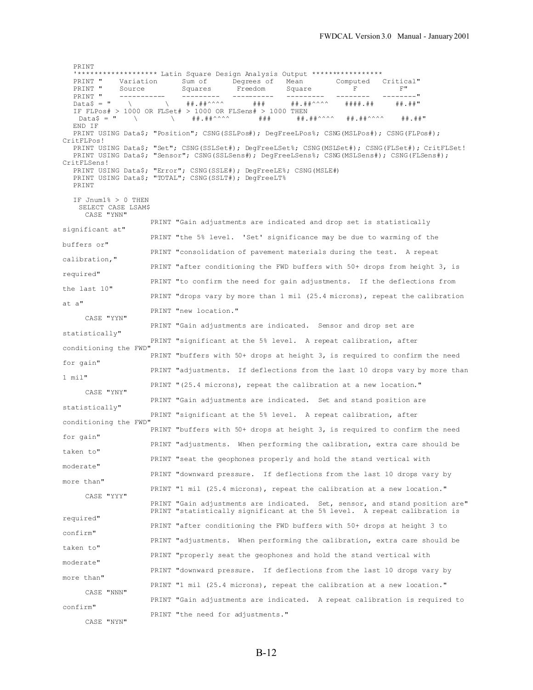PRINT '\*\*\*\*\*\*\*\*\*\*\*\*\*\*\*\*\*\*\* Latin Square Design Analysis Output \*\*\*\*\*\*\*\*\*\*\*\*\*\*\*\*\* PRINT " Variation Sum of Degrees of Mean Comput<br>PRINT " Source Squares Freedom Square F PRINT " Source Squares Freedom Square F F" F" PRINT " ----------- --------- ---------- --------- -------- --------" Data\$ = " \ \ ##.##^^^^ ### ##.##^^^^ ####.## ##.##" IF FLPos# > 1000 OR FLSet# > 1000 OR FLSens# > 1000 THEN ##.##^^^^ ### ##^^^^ ##.##^^^^ ##.##™ END IF PRINT USING Data\$; "Position"; CSNG(SSLPos#); DegFreeLPos%; CSNG(MSLPos#); CSNG(FLPos#); CritFLPos! PRINT USING Data\$; "Set"; CSNG(SSLSet#); DegFreeLSet%; CSNG(MSLSet#); CSNG(FLSet#); CritFLSet! PRINT USING Data\$; "Sensor"; CSNG(SSLSens#); DegFreeLSens%; CSNG(MSLSens#); CSNG(FLSens#); CritFLSens! PRINT USING Data\$; "Error"; CSNG(SSLE#); DegFreeLE%; CSNG(MSLE#) PRINT USING Data\$; "TOTAL"; CSNG(SSLT#); DegFreeLT% PRINT IF Jnum1% > 0 THEN SELECT CASE LSAM\$ CASE "YNN" PRINT "Gain adjustments are indicated and drop set is statistically significant at" PRINT "the 5% level. 'Set' significance may be due to warming of the buffers or" PRINT "consolidation of pavement materials during the test. A repeat calibration," PRINT "after conditioning the FWD buffers with 50+ drops from height 3, is required" PRINT "to confirm the need for gain adjustments. If the deflections from the last 10" PRINT "drops vary by more than 1 mil (25.4 microns), repeat the calibration at a" PRINT "new location." CASE "YYN" PRINT "Gain adjustments are indicated. Sensor and drop set are statistically" PRINT "significant at the 5% level. A repeat calibration, after conditioning the FWD" PRINT "buffers with 50+ drops at height 3, is required to confirm the need for gain" PRINT "adjustments. If deflections from the last 10 drops vary by more than 1 mil" PRINT "(25.4 microns), repeat the calibration at a new location." CASE "YNY" PRINT "Gain adjustments are indicated. Set and stand position are statistically" PRINT "significant at the 5% level. A repeat calibration, after conditioning the FWD" PRINT "buffers with 50+ drops at height 3, is required to confirm the need for gain" PRINT "adjustments. When performing the calibration, extra care should be taken to" PRINT "seat the geophones properly and hold the stand vertical with moderate" PRINT "downward pressure. If deflections from the last 10 drops vary by more than" PRINT "1 mil (25.4 microns), repeat the calibration at a new location." CASE "YYY" PRINT "Gain adjustments are indicated. Set, sensor, and stand position are" PRINT "statistically significant at the 5% level. A repeat calibration is required" PRINT "after conditioning the FWD buffers with 50+ drops at height 3 to confirm" PRINT "adjustments. When performing the calibration, extra care should be taken to" PRINT "properly seat the geophones and hold the stand vertical with moderate" PRINT "downward pressure. If deflections from the last 10 drops vary by more than" PRINT "1 mil (25.4 microns), repeat the calibration at a new location." CASE "NNN" PRINT "Gain adjustments are indicated. A repeat calibration is required to confirm" PRINT "the need for adjustments." CASE "NYN"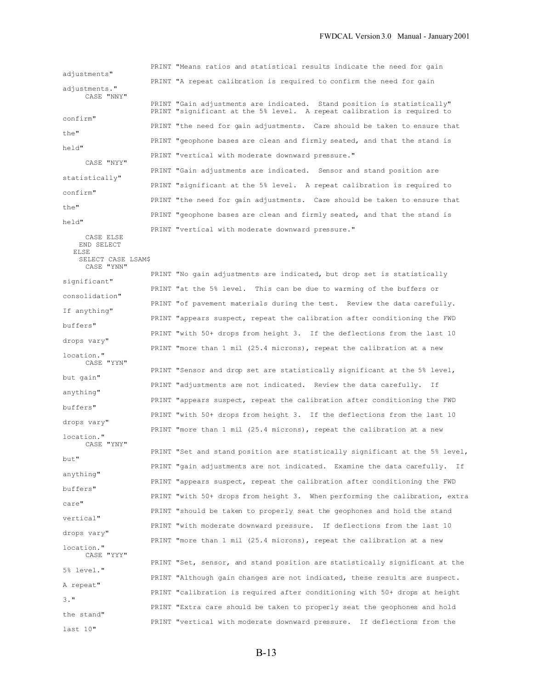PRINT "Means ratios and statistical results indicate the need for gain adjustments" PRINT "A repeat calibration is required to confirm the need for gain adiustments." CASE "NNY" PRINT "Gain adjustments are indicated. Stand position is statistically" PRINT "significant at the 5% level. A repeat calibration is required to confirm" PRINT "the need for gain adjustments. Care should be taken to ensure that the" PRINT "geophone bases are clean and firmly seated, and that the stand is held" PRINT "vertical with moderate downward pressure." CASE "NYY" PRINT "Gain adjustments are indicated. Sensor and stand position are statistically" PRINT "significant at the 5% level. A repeat calibration is required to confirm" PRINT "the need for gain adjustments. Care should be taken to ensure that the" PRINT "geophone bases are clean and firmly seated, and that the stand is held" PRINT "vertical with moderate downward pressure." CASE ELSE END SELECT ELSE SELECT CASE LSAM\$ CASE "YNN" PRINT "No gain adjustments are indicated, but drop set is statistically significant" PRINT "at the 5% level. This can be due to warming of the buffers or consolidation" PRINT "of pavement materials during the test. Review the data carefully. If anything" PRINT "appears suspect, repeat the calibration after conditioning the FWD buffers" PRINT "with 50+ drops from height 3. If the deflections from the last 10 drops vary" PRINT "more than 1 mil (25.4 microns), repeat the calibration at a new location." CASE "YYN" PRINT "Sensor and drop set are statistically significant at the 5% level, but gain" PRINT "adjustments are not indicated. Review the data carefully. If anything" PRINT "appears suspect, repeat the calibration after conditioning the FWD buffers" PRINT "with 50+ drops from height 3. If the deflections from the last 10 drops vary" PRINT "more than 1 mil (25.4 microns), repeat the calibration at a new location." CASE "YNY" PRINT "Set and stand position are statistically significant at the 5% level, but" PRINT "gain adjustments are not indicated. Examine the data carefully. If anything" PRINT "appears suspect, repeat the calibration after conditioning the FWD buffers" PRINT "with 50+ drops from height 3. When performing the calibration, extra care" PRINT "should be taken to properly seat the geophones and hold the stand vertical" PRINT "with moderate downward pressure. If deflections from the last 10 drops vary" PRINT "more than 1 mil (25.4 microns), repeat the calibration at a new location." CASE "YYY" PRINT "Set, sensor, and stand position are statistically significant at the 5% level." PRINT "Although gain changes are not indicated, these results are suspect. A repeat" PRINT "calibration is required after conditioning with 50+ drops at height 3." PRINT "Extra care should be taken to properly seat the geophones and hold the stand"

last 10"

PRINT "vertical with moderate downward pressure. If deflections from the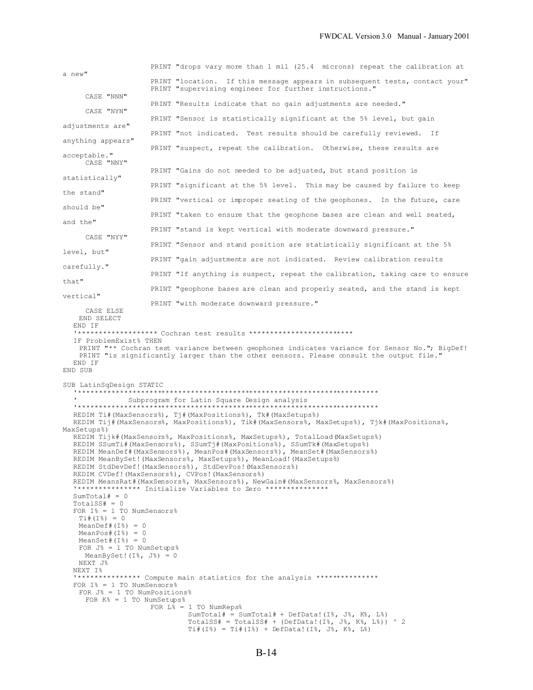|                                                                                                                                                                                                                                                                                                                                                                                           | PRINT "drops vary more than 1 mil (25.4 microns) repeat the calibration at                                                                                                                                                                                                                                                                                                                                                                                                                                                                                                                                                                                                                                                                                                                                                                                             |
|-------------------------------------------------------------------------------------------------------------------------------------------------------------------------------------------------------------------------------------------------------------------------------------------------------------------------------------------------------------------------------------------|------------------------------------------------------------------------------------------------------------------------------------------------------------------------------------------------------------------------------------------------------------------------------------------------------------------------------------------------------------------------------------------------------------------------------------------------------------------------------------------------------------------------------------------------------------------------------------------------------------------------------------------------------------------------------------------------------------------------------------------------------------------------------------------------------------------------------------------------------------------------|
| a new"                                                                                                                                                                                                                                                                                                                                                                                    | PRINT "location. If this message appears in subsequent tests, contact your"<br>PRINT "supervising engineer for further instructions."                                                                                                                                                                                                                                                                                                                                                                                                                                                                                                                                                                                                                                                                                                                                  |
| CASE "NNN"                                                                                                                                                                                                                                                                                                                                                                                | PRINT "Results indicate that no gain adjustments are needed."                                                                                                                                                                                                                                                                                                                                                                                                                                                                                                                                                                                                                                                                                                                                                                                                          |
| CASE "NYN"                                                                                                                                                                                                                                                                                                                                                                                | PRINT "Sensor is statistically significant at the 5% level, but gain                                                                                                                                                                                                                                                                                                                                                                                                                                                                                                                                                                                                                                                                                                                                                                                                   |
| adjustments are"                                                                                                                                                                                                                                                                                                                                                                          | PRINT "not indicated. Test results should be carefully reviewed. If                                                                                                                                                                                                                                                                                                                                                                                                                                                                                                                                                                                                                                                                                                                                                                                                    |
| anything appears"                                                                                                                                                                                                                                                                                                                                                                         | PRINT "suspect, repeat the calibration. Otherwise, these results are                                                                                                                                                                                                                                                                                                                                                                                                                                                                                                                                                                                                                                                                                                                                                                                                   |
| acceptable."<br>CASE "NNY"                                                                                                                                                                                                                                                                                                                                                                |                                                                                                                                                                                                                                                                                                                                                                                                                                                                                                                                                                                                                                                                                                                                                                                                                                                                        |
| statistically"                                                                                                                                                                                                                                                                                                                                                                            | PRINT "Gains do not needed to be adjusted, but stand position is                                                                                                                                                                                                                                                                                                                                                                                                                                                                                                                                                                                                                                                                                                                                                                                                       |
| the stand"                                                                                                                                                                                                                                                                                                                                                                                | PRINT "significant at the 5% level. This may be caused by failure to keep                                                                                                                                                                                                                                                                                                                                                                                                                                                                                                                                                                                                                                                                                                                                                                                              |
| should be"                                                                                                                                                                                                                                                                                                                                                                                | PRINT "vertical or improper seating of the geophones. In the future, care                                                                                                                                                                                                                                                                                                                                                                                                                                                                                                                                                                                                                                                                                                                                                                                              |
| and the"                                                                                                                                                                                                                                                                                                                                                                                  | PRINT "taken to ensure that the geophone bases are clean and well seated,                                                                                                                                                                                                                                                                                                                                                                                                                                                                                                                                                                                                                                                                                                                                                                                              |
| CASE "NYY"                                                                                                                                                                                                                                                                                                                                                                                | PRINT "stand is kept vertical with moderate downward pressure."                                                                                                                                                                                                                                                                                                                                                                                                                                                                                                                                                                                                                                                                                                                                                                                                        |
|                                                                                                                                                                                                                                                                                                                                                                                           | PRINT "Sensor and stand position are statistically significant at the 5%                                                                                                                                                                                                                                                                                                                                                                                                                                                                                                                                                                                                                                                                                                                                                                                               |
| level, but"                                                                                                                                                                                                                                                                                                                                                                               | PRINT "gain adjustments are not indicated. Review calibration results                                                                                                                                                                                                                                                                                                                                                                                                                                                                                                                                                                                                                                                                                                                                                                                                  |
| carefully."                                                                                                                                                                                                                                                                                                                                                                               | PRINT "If anything is suspect, repeat the calibration, taking care to ensure                                                                                                                                                                                                                                                                                                                                                                                                                                                                                                                                                                                                                                                                                                                                                                                           |
| that"                                                                                                                                                                                                                                                                                                                                                                                     | PRINT "geophone bases are clean and properly seated, and the stand is kept                                                                                                                                                                                                                                                                                                                                                                                                                                                                                                                                                                                                                                                                                                                                                                                             |
| vertical"                                                                                                                                                                                                                                                                                                                                                                                 | PRINT "with moderate downward pressure."                                                                                                                                                                                                                                                                                                                                                                                                                                                                                                                                                                                                                                                                                                                                                                                                                               |
| END IF<br>IF ProblemExist% THEN<br>END IF<br>END SUB                                                                                                                                                                                                                                                                                                                                      | "****************** Cochran test results ************************<br>PRINT "** Cochran test variance between geophones indicates variance for Sensor No."; BigDef!<br>PRINT "is significantly larger than the other sensors. Please consult the output file."                                                                                                                                                                                                                                                                                                                                                                                                                                                                                                                                                                                                          |
| SUB LatinSqDesign STATIC<br>MaxSetups%)<br>$SumTotal# = 0$<br>$TotalSS# = 0$<br>FOR $I^s = 1$ TO NumSensors%<br>$Ti$ $# (I$ $*)$ = 0<br>MeanDef# $(I8) = 0$<br>MeanPos# $(I8) = 0$<br>MeanSet# $(I8) = 0$<br>FOR $J8 = 1$ TO NumSetups%<br>MeanBySet! $(I8, J8) = 0$<br>NEXT J%<br>NEXT I%<br>FOR $I^* = 1$ TO NumSensors%<br>FOR $J8 = 1$ TO NumPositions%<br>FOR $K8 = 1$ TO NumSetups% | Subprogram for Latin Square Design analysis<br>REDIM Ti# (MaxSensors%), Tj# (MaxPositions%), Tk# (MaxSetups%)<br>REDIM Tij#(MaxSensors%, MaxPositions%), Tik#(MaxSensors%, MaxSetups%), Tjk#(MaxPositions%,<br>REDIM Tijk#(MaxSensors%, MaxPositions%, MaxSetups%), TotalLoad(MaxSetups%)<br>REDIM SSumTi#(MaxSensors%), SSumTj#(MaxPositions%), SSumTk#(MaxSetups%)<br>REDIM MeanDef#(MaxSensors%), MeanPos#(MaxSensors%), MeanSet#(MaxSensors%)<br>REDIM MeanBySet! (MaxSensors%, MaxSetups%), MeanLoad! (MaxSetups%)<br>REDIM StdDevDef! (MaxSensors%), StdDevPos! (MaxSensors%)<br>REDIM CVDef! (MaxSensors%), CVPos! (MaxSensors%)<br>REDIM MeansRat#(MaxSensors%, MaxSensors%), NewGain#(MaxSensors%, MaxSensors%)<br>"*************** Initialize Variables to Zero ***************<br>"*************** Compute main statistics for the analysis *************** |
|                                                                                                                                                                                                                                                                                                                                                                                           | FOR $L_{6} = 1$ TO NumReps%<br>SumTotal# = SumTotal# + DefData! $(I\%$ , J $\%$ , K $\%$ , L $\%)$<br>TotalSS# = TotalSS# + (DefData! (I%, J%, K%, L%)) ^ 2<br>$Ti$ #(I%) = Ti#(I%) + DefData!(I%, J%, K%, L%)                                                                                                                                                                                                                                                                                                                                                                                                                                                                                                                                                                                                                                                         |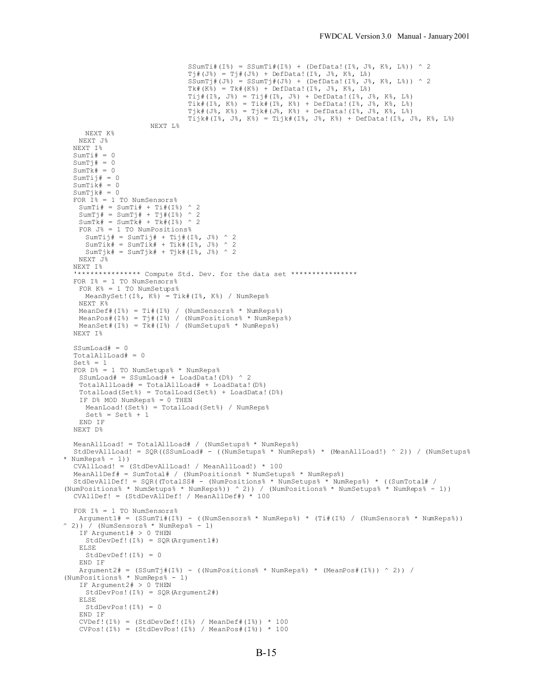```
SSumTi#(I%) = SSumTi#(I%) + (DefData!(I%, J%, K%, L%)) ^ 2
                               Tj#(J%) = Tj#(J%) + DefData!(I%, J%, K%, L%)
                               SSumTj# (J%) = SSumTj# (J%) + (DefData! (I%, J%, K%, L%)) ^ 2Tk#(K%) = Tk#(K%) + DefData!(I%, J%, K%, L%)
                               Tij#(I%, J%) = Tij#(I%, J%) + DefData!(I%, J%, K%, L%)
                               Tik#(I%, K%) = Tik#(I%, K%) + DefData!(I%, J%, K%, L%)
                               Tjk#(J%, K%) = Tjk#(J%, K%) + DefData!(I%, J%, K%, L%)
                               \overline{\text{right}}(I^g, J^g, K^g) = \overline{\text{right}}(I^g, J^g, K^g) + \text{DefData}!(I^g, J^g, K^g, L^g)NEXT L%
    NEXT K%
  NEXT J%
  NEXT I%
  SumTi# = 0SumTj# = 0SumTk = 0
  SumTi# = 0SumTik# = 0SumTjk# = 0
  FOR I^s = 1 TO NumSensors%
   SumTi# = SumTi# + Ti#(I%) \hat{ } 2
   SumTj# = SumTj# + Tj#(I%) ^ 2
   SumTk = SumTk + Tk (I%) ^ 2
   FOR J% = 1 TO NumPositions%
    SumTi# = SumTi# + Ti# (I%, J%) ^ 2SumTik# = SumTik# + Tik# (I*, J*) ^ 2SumTjk# = SumTjk# + Tjk#(I%, J%) ^ 2
   NEXT J%
  NEXT I%
  '*************** Compute Std. Dev. for the data set ****************
  FOR I^s = 1 TO NumSensors%
   FOR K% = 1 TO NumSetups%
    MeanBySet! (I*, K^*) = Tik# (I*, K^*) / NumReps%
   NEXT K%
   MeanDef#(I%) = Ti#(I%) / (NumSensors% * NumReps%)
    MeanPos#(I%) = Tj#(I%) / (NumPositions% * NumReps%)
    MeanSet#(I%) = Tk#(I%) / (NumSetups% * NumReps%)
  NEXT I%
  SSumLoad# = 0TotalAllLoad# = 0Set<sup>8</sup> = 1
  FOR D% = 1 TO NumSetups% * NumReps%
   SSumLoad# = SSumLoad# + LoadData!(D^8) ^ 2
   TotalAllLoad# = TotalAllLoad# + LoadData!(D%)
   TotalLoad(Set%) = TotalLoad(Set%) + LoadData!(D%)
   IF D% MOD NumReps% = 0 THEN
    MeanLoad!(Set%) = TotalLoad(Set%) / NumReps%
     Set<sup>6</sup> = Set<sup>6</sup> + 1END IF
  NEXT D%
  MeanAllLoad! = TotalAllLoad# / (NumSetups% * NumReps%)
  StdDevAllLoad! = SQR((SSumLoad# - ((NumSetups% * NumReps%) * (MeanAllLoad!) ^ 2)) / (NumSetups%
* NumReps% - 1))
  CVAllLoad! = (StdDevAllLoad! / MeanAllLoad!) * 100
  MeanAllDef# = SumTotal# / (NumPositions% * NumSetups% * NumReps%)
  StdDevAllDef! = SQR( (TotalSS# - (NumPositionS* * NumSetupS* * NumReps*)) * ( (SumTotal# /(NumPositions% * NumSetups% * NumReps%)) ^ 2)) / (NumPositions% * NumSetups% * NumReps% - 1))
  CVAllDef! = (StdDevAllDef! / MeanAllDef#) * 100
  FOR I^s = 1 TO NumSensors%
   Argument1# = (SSumTi#(I%) - ((NumSensors% * NumReps%) * (Ti#(I%) / (NumSensors% * NumReps%))
\hat{ } 2)) \hat{ } (NumSensors% * NumReps% - 1)
   IF Argument1# > 0 THEN
    StdDevDef!(I%) = SQR(Argument1#)
   ELSE
     StdDevDef!(I%) = 0
   END IF
    Argument2# = (SSumTj#(I%) - ((NumPositions% * NumReps%) * (MeanPos#(I%)) ^ 2)) /
(NumPositions% * NumReps% - 1)
   IF Argument2# > 0 THEN
    StdDevPos!(I%) = SQR(Argument2#)
   ELSE
    StdDevPos!(I%) = 0
   END IF
    CVDef:(I^g) = (StdDevDef:(I^g) / MeanDef*(I^g)) * 100CVPos!(I%) = (StdDevPos!(I%) / MeanPos#(I%)) * 100
```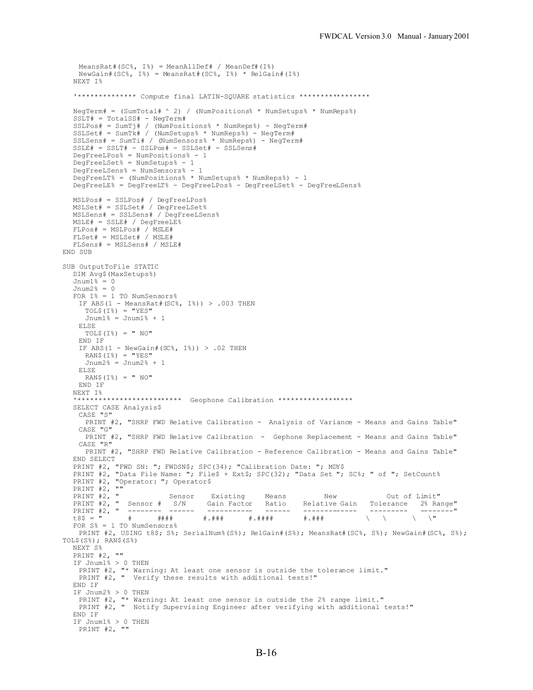```
MeansRatt (SC<sup>o</sup>, I<sup>o</sup>) = MeanAllDef# / MeanDef# (I<sup>o</sup>)NewGain# (SC*, I*) = MeanSRat# (SC*, I*) * RelGain# (I*)NEXT I%
  '************** Compute final LATIN-SQUARE statistics *****************
  NegTerm# = (SumTotal#^ 2) / (NumPositions * NumSetups * NumReps * 1
  SSLT# = TotalSS# - NegTerm#
  SSLPos# = SumTj# / (NumPositions% * NumReps%) - NegTerm#
  SSLSet# = SumTk# / (NumSetups% * NumReps%) - NegTerm#
  SSLSens# = SumTi# / (NumSensors% * NumReps%) - NegTerm#
  SSE# = SSLT# - SSLPos# - SSLSet# - SSLSens#DegFreeLPos% = NumPositions% - 1
  DegFreeLSet% = NumSetups% - 1
  DegFreeLSens% = NumSensors% - 1
  DegFreeLT% = (NumPositions% * NumSetups% * NumReps%) - 1
  DegFreeLE% = DegFreeLT% - DegFreeLPos% - DegFreeLSet% - DegFreeLSens%
  MSLPos# = SSLPos# / DegFreeLPos%
  MSLSet# = SSLSet# / DegFreeLSet%
  MSLSens# = SSLSens# / DegFreeLSens%
  MSLE# = SSLE# / DegFreeLE%
  FLPos# = MSLPos# / MSLE#
  FLSet# = MSLSet# / MSLE#FLSens# = MSLSens# / MSLE#
END SUB
SUB OutputToFile STATIC
  DIM Avg$(MaxSetups%)
  Jnum1\ = 0
  Jnum2% = 0
  FOR I% = 1 TO NumSensors%
   IF ABS(1 - MeansRat#(SC\, I\epsilon) > .003 THEN
    TOL$ (I*) = "YES"Jnum1% = Jnum1% + 1
   ELSE
    TOL$ (I*) = " NO"END IF
   IF ABS(1 - NewGain#(SC%, I%)) > .02 THEN
    RAN$(I*) = "YES"Jnum2% = Jnum2% + 1
   ELSE
    RAN$(I<sub>8</sub>) = " NO"END IF
  NEXT I%
  '************************* Geophone Calibration ******************
  SELECT CASE Analysis$
   CASE "S"
    PRINT #2, "SHRP FWD Relative Calibration - Analysis of Variance - Means and Gains Table"
   CASE "G"
    PRINT #2, "SHRP FWD Relative Calibration - Gephone Replacement - Means and Gains Table"
   CASE "R"
    PRINT #2, "SHRP FWD Relative Calibration - Reference Calibration - Means and Gains Table"
  END SELECT
  PRINT #2, "FWD SN: "; FWDSN$; SPC(34); "Calibration Date: "; MDY$
  PRINT #2, "Data File Name: "; File$ + Ext$; SPC(32); "Data Set "; SC%; " of "; SetCount%
  PRINT #2, "Operator: "; Operator$
  PRINT #2, ""
  PRINT #2, " Sensor Existing Means New Out of Limit"
                                Gain Factor   Ratio   Relative Gain   Tolerance   2% Range"
  PRINT #2, " -------- ------ ----------- ------ ------------- --------- --------"
  t8$ = " # #### #.### #.#### #.### \ \ \ \"
  FOR S% = 1 TO NumSensors%
   PRINT #2, USING t8$; S%; SerialNum% (S%); RelGain# (S%); MeansRat# (SC%, S%); NewGain# (SC%, S%);
TOL$(S<sup>§</sup>); RAN$(S<sup>§</sup>)NEXT S%
  PRINT #2, ""
  IF Jnum1% > 0 THEN
   PRINT #2, "* Warning: At least one sensor is outside the tolerance limit."
   PRINT #2, " Verify these results with additional tests!"
  END IF
  IF Jnum2% > 0 THEN
   PRINT #2, "* Warning: At least one sensor is outside the 2% range limit."
   PRINT #2, " Notify Supervising Engineer after verifying with additional tests!"
  END IF
  IF Jnum1% > 0 THEN
   PRINT #2, ""
```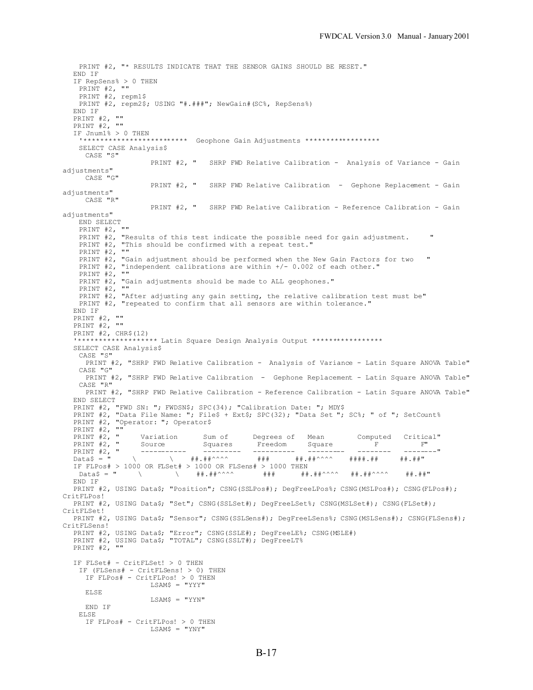```
PRINT #2, "* RESULTS INDICATE THAT THE SENSOR GAINS SHOULD BE RESET."
  END IF
  IF RepSens% > 0 THEN
   PRINT #2, ""PRINT #2, repm1$
   PRINT #2, repm2$; USING "#.###"; NewGain#(SC%, RepSens%)
  END IF
  PRINT #2,
  PRINT #2, ""
  IF Jnum1\frac{8}{6} > 0 THEN
    '************************* Geophone Gain Adjustments ******************
   SELECT CASE Analysis$
     CASE "S"
                    PRINT #2, " SHRP FWD Relative Calibration - Analysis of Variance - Gain
adjustments"
    CASE "G"
                    PRINT #2, " SHRP FWD Relative Calibration - Gephone Replacement - Gain
adjustments"
    CASE "R"
                    PRINT #2, " SHRP FWD Relative Calibration - Reference Calibration - Gain
adjustments"
   END SELECT
   PRINT #2, ""
   PRINT #2, "Results of this test indicate the possible need for gain adjustment. "
   PRINT #2, "This should be confirmed with a repeat test."
   PRINT #2, ""
   PRINT \#2, "Gain adjustment should be performed when the New Gain Factors for two "
   PRINT #2, "independent calibrations are within +/- 0.002 of each other."
   PRINT #2, ""
   PRINT #2, "Gain adjustments should be made to ALL geophones."
   PRINT #2, ""
   PRINT #2, "After adjusting any gain setting, the relative calibration test must be"
   PRINT #2, "repeated to confirm that all sensors are within tolerance."
  END IF
  PRINT #2, ""
  PRINT #2, ""
  PRINT #2, CHR$(12)
  '******************* Latin Square Design Analysis Output *****************
  SELECT CASE Analysis$
   CASE "S"
    PRINT #2, "SHRP FWD Relative Calibration - Analysis of Variance - Latin Square ANOVA Table"
   CASE "G"
     PRINT #2, "SHRP FWD Relative Calibration - Gephone Replacement - Latin Square ANOVA Table"
   CASE "R"
    PRINT #2, "SHRP FWD Relative Calibration - Reference Calibration - Latin Square ANOVA Table"
  END SELECT
  PRINT #2, "FWD SN: "; FWDSN$; SPC(34); "Calibration Date: "; MDY$
  PRINT #2, "Data File Name: "; File$ + Ext$; SPC(32); "Data Set "; SC%; " of "; SetCount%
  PRINT #2, "Operator: "; Operator$
  PRINT #2, \overline{''}<br>PRINT #2, \overline{''}<br>PRINT #2, \overline{''}PRINT #2, " Variation Sum of Degrees of Mean Computed Critical"
  PRINT #2, " Source Squares Freedom Square F F"
  PRINT #2, " ----------- --------- ---------- --------- -------- --------"
  Data$ = " \ \ ##.##^^^^ ### ##.##^^^^ ####.## ##.##"
  IF FLPos# > 1000 OR FLSet# > 1000 OR FLSens# > 1000 THEN
               Data$ = " \ \ ##.##^^^^ ### ##.##^^^^ ##.##^^^^ ##.##"
  END IF
  PRINT #2, USING Data$; "Position"; CSNG(SSLPos#); DegFreeLPos%; CSNG(MSLPos#); CSNG(FLPos#);
CritFLPos!
  PRINT #2, USING Data$; "Set"; CSNG(SSLSet#); DegFreeLSet%; CSNG(MSLSet#); CSNG(FLSet#);
CritFLSet!
  PRINT #2, USING Data$; "Sensor"; CSNG(SSLSens#); DegFreeLSens%; CSNG(MSLSens#); CSNG(FLSens#);
CritFLSens!
  PRINT #2, USING Data$; "Error"; CSNG(SSLE#); DegFreeLE%; CSNG(MSLE#)
  PRINT #2, USING Data$; "TOTAL"; CSNG(SSLT#); DegFreeLT%
  PRINT #2, ""
  IF FLSet# - CritFLSet! > 0 THEN
   IF (FLSens# - CritFLSens! > 0) THEN
    IF FLPos# - CritFLPos! > 0 THEN
                    LSAM$ = "YYY"ELSE
                    LSAM$ = "YYN"
     END IF
   ELSE
     IF FLPos# - CritFLPos! > 0 THEN
                    LSAM$ = "YNY"
```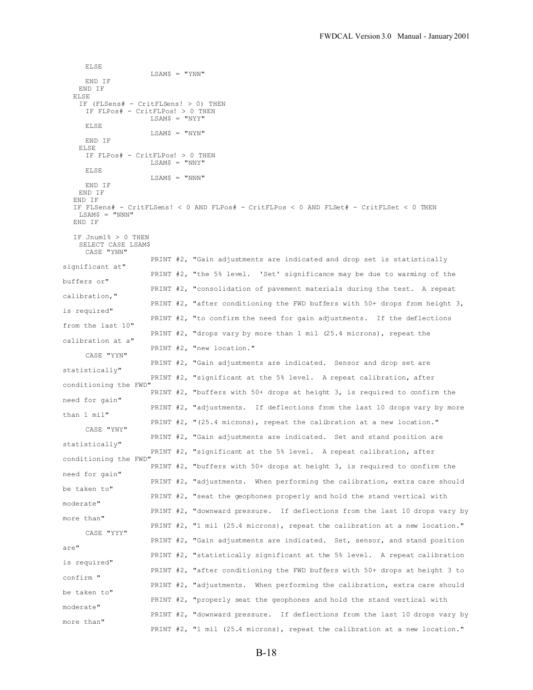ELSE LSAM\$ = "YNN" END IF END IF ELSE IF (FLSens# - CritFLSens! > 0) THEN IF FLPos# - CritFLPos! > 0 THEN  $LSAM$ = "NYY"$ ELSE LSAM\$ = "NYN" END IF ELSE IF FLPos# - CritFLPos! > 0 THEN LSAM\$ = "NNY" ELSE  $LSAM$ = "NNN"$ END IF END IF END IF IF FLSens# - CritFLSens! < 0 AND FLPos# - CritFLPos < 0 AND FLSet# - CritFLSet < 0 THEN LSAM\$ = "NNN" END IF IF Jnum1% > 0 THEN SELECT CASE LSAM\$ CASE "YNN" PRINT #2, "Gain adjustments are indicated and drop set is statistically significant at" PRINT #2, "the 5% level. 'Set' significance may be due to warming of the buffers or" PRINT #2, "consolidation of pavement materials during the test. A repeat calibration," PRINT #2, "after conditioning the FWD buffers with 50+ drops from height 3, is required" PRINT #2, "to confirm the need for gain adjustments. If the deflections from the last 10" PRINT #2, "drops vary by more than 1 mil (25.4 microns), repeat the calibration at a" PRINT #2, "new location." CASE "YYN" PRINT #2, "Gain adjustments are indicated. Sensor and drop set are statistically" PRINT #2, "significant at the 5% level. A repeat calibration, after conditioning the FWD" PRINT #2, "buffers with 50+ drops at height 3, is required to confirm the need for gain" PRINT #2, "adjustments. If deflections from the last 10 drops vary by more than 1 mil" PRINT #2, "(25.4 microns), repeat the calibration at a new location." CASE "YNY" PRINT #2, "Gain adjustments are indicated. Set and stand position are statistically" PRINT #2, "significant at the 5% level. A repeat calibration, after conditioning the FWD" PRINT #2, "buffers with 50+ drops at height 3, is required to confirm the need for gain" PRINT #2, "adjustments. When performing the calibration, extra care should be taken to" PRINT #2, "seat the geophones properly and hold the stand vertical with moderate" PRINT #2, "downward pressure. If deflections from the last 10 drops vary by more than" PRINT #2, "1 mil (25.4 microns), repeat the calibration at a new location." CASE "YYY" PRINT #2, "Gain adjustments are indicated. Set, sensor, and stand position are" PRINT #2, "statistically significant at the 5% level. A repeat calibration is required" PRINT #2, "after conditioning the FWD buffers with 50+ drops at height 3 to confirm " PRINT #2, "adjustments. When performing the calibration, extra care should be taken to" PRINT #2, "properly seat the geophones and hold the stand vertical with moderate" PRINT #2, "downward pressure. If deflections from the last 10 drops vary by more than" PRINT #2, "1 mil (25.4 microns), repeat the calibration at a new location."

B-18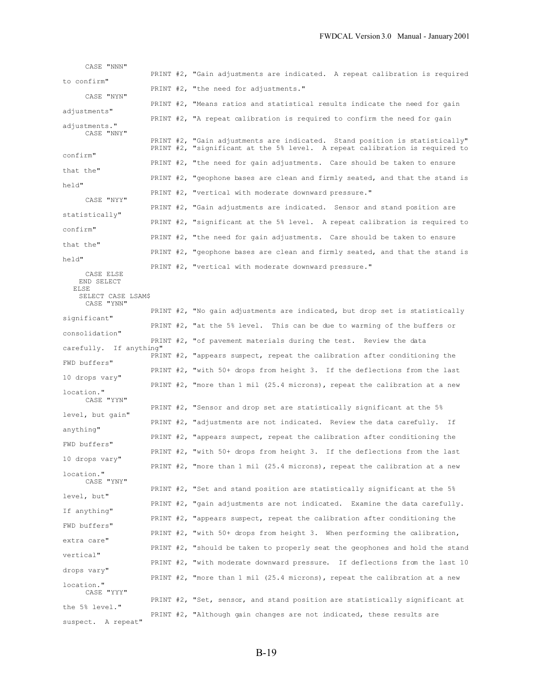|          | CASE "NNN"                       |                                                                                |
|----------|----------------------------------|--------------------------------------------------------------------------------|
|          | to confirm"                      | PRINT $#2$ , "Gain adjustments are indicated. A repeat calibration is required |
|          | CASE "NYN"                       | PRINT #2, "the need for adjustments."                                          |
|          | adjustments"                     | PRINT #2, "Means ratios and statistical results indicate the need for gain     |
|          |                                  | PRINT $#2$ , "A repeat calibration is required to confirm the need for gain    |
|          | adjustments."<br>CASE "NNY"      | PRINT #2, "Gain adjustments are indicated. Stand position is statistically"    |
| confirm" |                                  | PRINT #2, "significant at the 5% level. A repeat calibration is required to    |
|          | that the"                        | PRINT #2, "the need for gain adjustments. Care should be taken to ensure       |
| held"    |                                  | PRINT #2, "geophone bases are clean and firmly seated, and that the stand is   |
|          | CASE "NYY"                       | PRINT #2, "vertical with moderate downward pressure."                          |
|          |                                  | PRINT #2, "Gain adjustments are indicated. Sensor and stand position are       |
|          | statistically"                   | PRINT $#2$ , "significant at the 5% level. A repeat calibration is required to |
| confirm" |                                  | PRINT $#2$ , "the need for gain adjustments. Care should be taken to ensure    |
|          | that the"                        | PRINT #2, "geophone bases are clean and firmly seated, and that the stand is   |
| held"    |                                  | PRINT #2, "vertical with moderate downward pressure."                          |
| ELSE     | CASE ELSE<br>END SELECT          |                                                                                |
|          | SELECT CASE LSAM\$<br>CASE "YNN" |                                                                                |
|          |                                  | PRINT #2, "No gain adjustments are indicated, but drop set is statistically    |
|          | significant"                     | PRINT $#2$ , "at the 5% level. This can be due to warming of the buffers or    |
|          | consolidation"                   | PRINT #2, "of pavement materials during the test. Review the data              |
|          | carefully. If anything"          | PRINT $#2$ , "appears suspect, repeat the calibration after conditioning the   |
|          | FWD buffers"                     | PRINT #2, "with 50+ drops from height 3. If the deflections from the last      |
|          | 10 drops vary"                   | PRINT #2, "more than 1 mil (25.4 microns), repeat the calibration at a new     |
|          | location."<br>CASE "YYN"         |                                                                                |
|          | level, but gain"                 | PRINT #2, "Sensor and drop set are statistically significant at the 5%         |
|          |                                  | PRINT #2, "adjustments are not indicated. Review the data carefully. If        |
|          | anything"                        | PRINT $#2$ , "appears suspect, repeat the calibration after conditioning the   |
|          | FWD buffers"                     | PRINT #2, "with 50+ drops from height 3. If the deflections from the last      |
|          | 10 drops vary"                   | PRINT #2, "more than $1$ mil (25.4 microns), repeat the calibration at a new   |
|          | location."<br>CASE "YNY"         |                                                                                |
|          | level, but"                      | PRINT #2, "Set and stand position are statistically significant at the $5\%$   |
|          | If anything"                     | PRINT #2, "gain adjustments are not indicated. Examine the data carefully.     |
|          |                                  | PRINT $#2$ , "appears suspect, repeat the calibration after conditioning the   |
|          | FWD buffers"                     | PRINT #2, "with 50+ drops from height 3. When performing the calibration,      |
|          | extra care"                      | PRINT #2, "should be taken to properly seat the geophones and hold the stand   |
|          | vertical"                        | PRINT #2, "with moderate downward pressure. If deflections from the last 10    |
|          | drops vary"                      | PRINT #2, "more than $1$ mil (25.4 microns), repeat the calibration at a new   |
|          | location."<br>CASE "YYY"         |                                                                                |
|          |                                  | PRINT #2, "Set, sensor, and stand position are statistically significant at    |

PRINT #2, "Although gain changes are not indicated, these results are

the 5% level."

suspect. A repeat"

B-19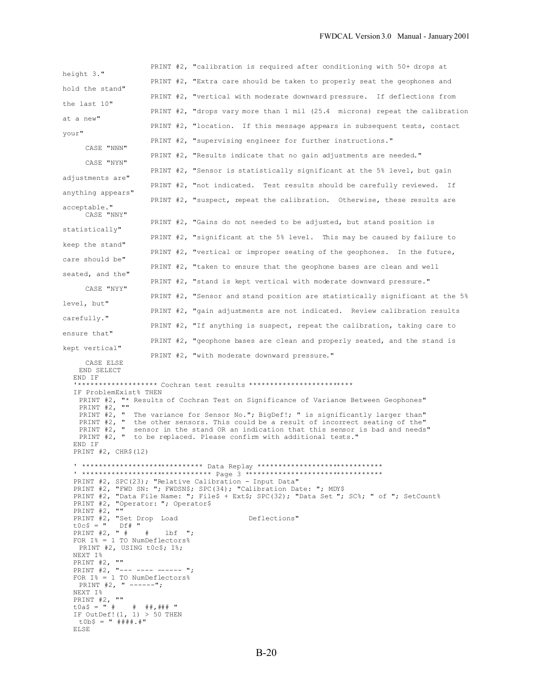|                                                                                                            | PRINT $#2$ , "calibration is required after conditioning with 50+ drops at                                                                                                                                                                                                                                                            |
|------------------------------------------------------------------------------------------------------------|---------------------------------------------------------------------------------------------------------------------------------------------------------------------------------------------------------------------------------------------------------------------------------------------------------------------------------------|
| height 3."                                                                                                 | PRINT $#2$ , "Extra care should be taken to properly seat the geophones and                                                                                                                                                                                                                                                           |
| hold the stand"                                                                                            | PRINT #2, "vertical with moderate downward pressure. If deflections from                                                                                                                                                                                                                                                              |
| the last 10"                                                                                               | PRINT #2, "drops vary more than 1 mil (25.4 microns) repeat the calibration                                                                                                                                                                                                                                                           |
| at a new"                                                                                                  | PRINT #2, "location. If this message appears in subsequent tests, contact                                                                                                                                                                                                                                                             |
| your"                                                                                                      | PRINT #2, "supervising engineer for further instructions."                                                                                                                                                                                                                                                                            |
| CASE "NNN"                                                                                                 | PRINT #2, "Results indicate that no gain adjustments are needed."                                                                                                                                                                                                                                                                     |
| CASE "NYN"                                                                                                 | PRINT #2, "Sensor is statistically significant at the 5% level, but gain                                                                                                                                                                                                                                                              |
| adjustments are"                                                                                           | PRINT #2, "not indicated. Test results should be carefully reviewed. If                                                                                                                                                                                                                                                               |
| anything appears"                                                                                          | PRINT #2, "suspect, repeat the calibration. Otherwise, these results are                                                                                                                                                                                                                                                              |
| acceptable."<br>CASE "NNY"                                                                                 |                                                                                                                                                                                                                                                                                                                                       |
| statistically"                                                                                             | PRINT $#2$ , "Gains do not needed to be adjusted, but stand position is                                                                                                                                                                                                                                                               |
| keep the stand"                                                                                            | PRINT #2, "significant at the 5% level. This may be caused by failure to                                                                                                                                                                                                                                                              |
| care should be"                                                                                            | PRINT #2, "vertical or improper seating of the geophones. In the future,                                                                                                                                                                                                                                                              |
| seated, and the"                                                                                           | PRINT #2, "taken to ensure that the geophone bases are clean and well                                                                                                                                                                                                                                                                 |
| CASE "NYY"                                                                                                 | PRINT #2, "stand is kept vertical with moderate downward pressure."                                                                                                                                                                                                                                                                   |
| level, but"                                                                                                | PRINT #2, "Sensor and stand position are statistically significant at the 5%                                                                                                                                                                                                                                                          |
| carefully."                                                                                                | PRINT #2, "gain adjustments are not indicated. Review calibration results                                                                                                                                                                                                                                                             |
|                                                                                                            | PRINT $#2$ , "If anything is suspect, repeat the calibration, taking care to                                                                                                                                                                                                                                                          |
| ensure that"                                                                                               | PRINT $#2$ , "geophone bases are clean and properly seated, and the stand is                                                                                                                                                                                                                                                          |
| kept vertical"                                                                                             | PRINT #2, "with moderate downward pressure."                                                                                                                                                                                                                                                                                          |
| CASE ELSE<br>END SELECT                                                                                    |                                                                                                                                                                                                                                                                                                                                       |
| END IF                                                                                                     | "******************* Cochran test results *************************                                                                                                                                                                                                                                                                   |
| IF ProblemExist% THEN<br>PRINT $#2,$ ""                                                                    | PRINT #2, "* Results of Cochran Test on Significance of Variance Between Geophones"                                                                                                                                                                                                                                                   |
| END IF<br>PRINT $#2$ , CHR\$ (12)                                                                          | PRINT #2, " The variance for Sensor No."; BigDef!; " is significantly larger than"<br>PRINT #2, " the other sensors. This could be a result of incorrect seating of the"<br>PRINT #2, " sensor in the stand OR an indication that this sensor is bad and needs"<br>PRINT #2, " to be replaced. Please confirm with additional tests." |
|                                                                                                            | ' **************************** Data Replay ******************************                                                                                                                                                                                                                                                             |
|                                                                                                            | PRINT #2, SPC(23); "Relative Calibration - Input Data"                                                                                                                                                                                                                                                                                |
| PRINT #2, "Operator: "; Operator\$                                                                         | PRINT #2, "FWD SN: "; FWDSN\$; SPC(34); "Calibration Date: "; MDY\$<br>PRINT #2, "Data File Name: "; File\$ + Ext\$; SPC(32); "Data Set "; SC%; " of "; SetCount%                                                                                                                                                                     |
| PRINT #2,<br>$\mathbf{u}$<br>PRINT #2, "Set Drop Load<br>$t0c$ \$ = " Df# "                                | Deflections"                                                                                                                                                                                                                                                                                                                          |
| PRINT #2, " # # lbf ";<br>FOR $I^s = 1$ TO NumDeflectors%<br>PRINT #2, USING tOc\$; I%;                    |                                                                                                                                                                                                                                                                                                                                       |
| NEXT I%<br>PRINT #2, ""                                                                                    |                                                                                                                                                                                                                                                                                                                                       |
| PRINT #2, "--- ---- ------ ";<br>FOR $I^s = 1$ TO NumDeflectors%                                           |                                                                                                                                                                                                                                                                                                                                       |
| PRINT #2, " ------";<br>NEXT I%<br>PRINT $#2, ""$                                                          |                                                                                                                                                                                                                                                                                                                                       |
| $\pm 0a\frac{1}{2} = " # # # # # # "$<br>IF OutDef! $(1, 1) > 50$ THEN<br>$\text{t0b} = \text{''}$ ####.#" |                                                                                                                                                                                                                                                                                                                                       |
| ELSE                                                                                                       |                                                                                                                                                                                                                                                                                                                                       |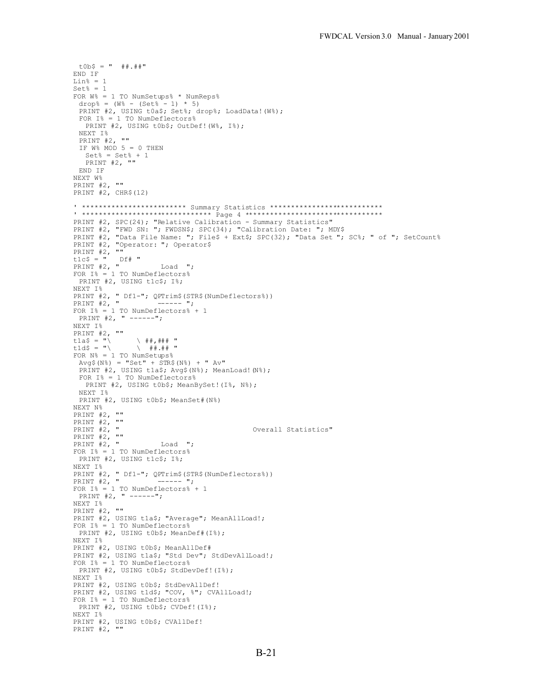```
\text{t0b} = \text{''} \text{#} + \text{...}END IF
Li<sub>n</sub>% = 1
Set<sup>k = 1</sup>
FOR W% = 1 TO NumSetups% * NumReps%
 drop% = (W_6 - (Set_6 - 1) * 5)PRINT #2, USING t0a$; Set%; drop%; LoadData! (W%);
 FOR I% = 1 TO NumDeflectors%
  PRINT #2, USING t0b$; OutDef!(W%, I%);
 NEXT I%
 PRINT #2, ""
 IF W^8 MOD 5 = 0 THEN
  Set<sup>8</sup> = Set<sup>8</sup> + 1
  PRINT #2, ""
END IF
NEXT W%
PRINT #2, ""
PRINT #2, CHR$(12)
' ************************* Summary Statistics ***************************
' ******************************* Page 4 *********************************
PRINT #2, SPC(24); "Relative Calibration - Summary Statistics"
PRINT #2, "FWD SN: "; FWDSN$; SPC(34); "Calibration Date: "; MDY$
PRINT #2, "Data File Name: "; File$ + Ext$; SPC(32); "Data Set "; SC%; " of "; SetCount%
PRINT #2, "Operator: "; Operator$
PRINT #2, ""
t1c$ = " Df# "
PRINT #2, " Load ";
FOR I^s = 1 TO NumDeflectors<sup>2</sup>
PRINT #2, USING t1c$; I%;
NEXT I%
PRINT #2, " Df1-"; QPTrim$(STR$(NumDeflectors%))
PRINT #2, " ------ ";
FOR I^{\circ} = 1 TO NumDeflectors \frac{1}{6} + 1PRINT #2, " ------";
NEXT I%
PRINT #2, ""<br>tla$ = "\
t1a$ = "\ \ ##,### "
t1d$ = "\ \qquad \qquad \backslash ##.## "
FOR N<sup>2</sup> = 1 TO</math> <math>NumSetups<sup>2</sup>Avg$(N_{0}^{\circ}) = "Set" + \overline{STR$(N_{0}^{\circ}) + " Av" }PRINT #2, USING tla$; Avg$(N%); MeanLoad! (N%);
 FOR I% = 1 TO NumDeflectors%
  PRINT #2, USING t0b$; MeanBySet!(I%, N%);
 NEXT I%
 PRINT #2, USING t0b$; MeanSet#(N%)
NEXT N%
PRINT #2, ""
PRINT #2, ""
                                               Overall Statistics"
PRINT #2, "<br>PRINT #2, ""
PRINT #2, " Load ";
FOR I% = 1 TO NumDeflectors%
  PRINT #2, USING t1c$; I%;
NEXT I%
PRINT #2, " Df1-"; QPTrim$(STR$(NumDeflectors%))
PRINT #2, " ------ ";
FOR I^s = 1 TO NumDeflectorss + 1PRINT #2, " ------";
NEXT I%
PRINT #2, ""
PRINT #2, USING tla$; "Average"; MeanAllLoad!;
FOR I^{\circ} = 1 TO NumDeflectors<sup>2</sup>
 PRINT #2, USING t0b$; MeanDef#(I%);
NEXT I%
PRINT #2, USING t0b$; MeanAllDef#
PRINT #2, USING t1a$; "Std Dev"; StdDevAllLoad!;
FOR I% = 1 TO NumDeflectors%
 PRINT #2, USING t0b$; StdDevDef!(I%);
NEXT I%
PRINT #2, USING t0b$; StdDevAllDef!
PRINT #2, USING t1d$; "COV, %"; CVAllLoad!;
FOR I% = 1 TO NumDeflectors%
 PRINT #2, USING t0b$; CVDef!(I%);
NEXT I%
PRINT #2, USING t0b$; CVAllDef!
PRINT #2, ""
```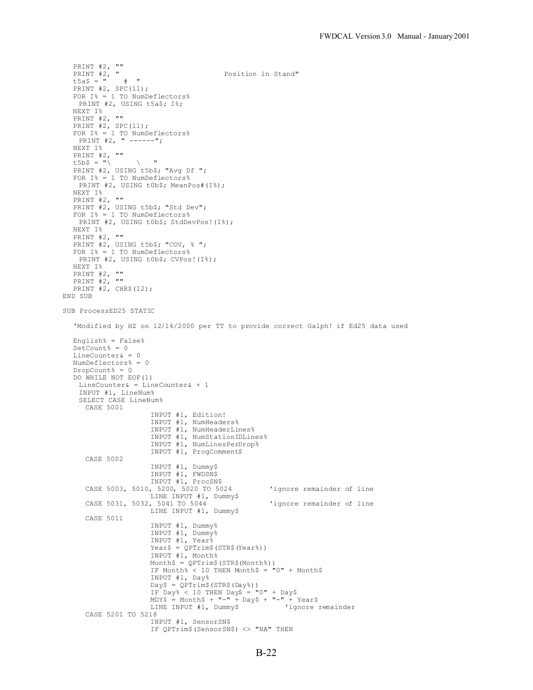```
PRINT #2, ""
  PRINT #2, " Position in Stand"
  t5a$ = " # "
  PRINT #2, SPC(11);
  FOR I% = 1 TO NumDeflectors%
   PRINT #2, USING t5a$; I%;
  NEXT I%
  PRINT #2, ""
  PRINT #2, SPC(11);
  FOR I% = 1 TO NumDeflectors%
  PRINT #2, " ------";
  NEXT I%
  PRINT #2, ""
  t5b$ = "\ \qquad \qquad \backslash "
  PRINT #2, USING t5b$; "Avg Df ";
  FOR I% = 1 TO NumDeflectors%
   PRINT #2, USING t0b$; MeanPos#(I%);
  NEXT I%
  PRINT #2, ""
  PRINT #2, USING t5b$; "Std Dev";
  FOR I% = 1 TO NumDeflectors%
   PRINT #2, USING t0b$; StdDevPos!(I%);
  NEXT I%
  PRINT #2, ""
  PRINT #2, USING t5b$; "COV, % ";
  FOR I% = 1 TO NumDeflectors%
   PRINT #2, USING t0b$; CVPos!(I%);
  NEXT I%
  PRINT #2, ""
  PRINT #2, ""
  PRINT #2, CHR$(12);
END SUB
SUB ProcessED25 STATIC
  'Modified by HZ on 12/14/2000 per TT to provide correct Galph! if Ed25 data used
  English% = False%
  SetCount<sup>8</sup> = 0
  LineCounter& = 0
  NumDeflectors% = 0
  DropCount% = 0
  DO WHILE NOT EOF(1)
   LineCounter& = LineCounter& + 1
   INPUT #1, LineNum%
   SELECT CASE LineNum%
    CASE 5001
                     INPUT #1, Edition!
                     INPUT #1, NumHeaders%
                     INPUT #1, NumHeaderLines%
                     INPUT #1, NumStationIDLines%
                    INPUT #1, NumLinesPerDrop%
                    INPUT #1, ProgComment$
     CASE 5002
                    INPUT #1, Dummy$
                     INPUT #1, FWDSN$
                     INPUT #1, ProcSN$
     CASE 5003, 5010, 5200, 5020 TO 5024 'ignore remainder of line
                    LINE INPUT #1, Dummy$
     CASE 5031, 5032, 5041 TO 5044 'ignore remainder of line
                    LINE INPUT #1, Dummy$
     CASE 5011
                     INPUT #1, Dummy%
                     INPUT #1, Dummy%
                    INPUT #1, Year%
                    Year$ = QPTrim$ (STR$ (Year$))INPUT #1, Month%
                    Month$ = QPTrim$(STR$(Month%))
                    IF Month% < 10 THEN Month$ = "0" + MonthlyINPUT #1, Day%
                     Day$ = QPTrim$(STR$(Day%))
                     IF Day% < 10 THEN Day$ = "0" + Day$
                     MDY$ = Month$ + "-" + Day$ + "-" + Year$
                    LINE INPUT #1, Dummy$ 'ignore remainder
     CASE 5201 TO 5218
                    INPUT #1, SensorSN$
                    IF QPTrim$(SensorSN$) <> "NA" THEN
```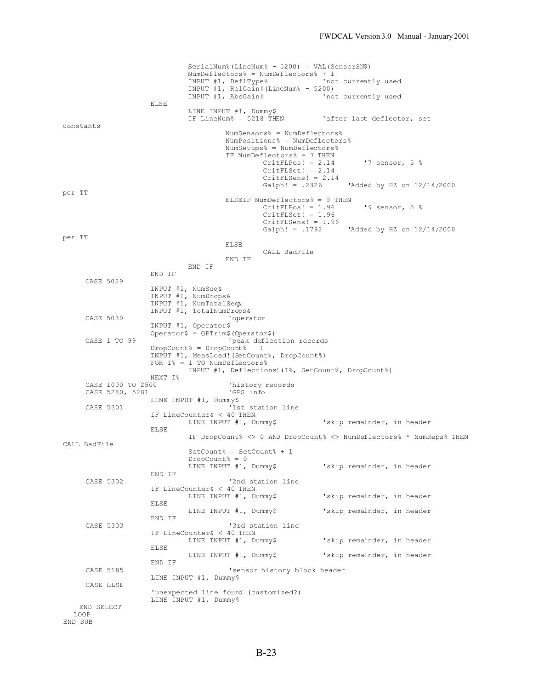```
SerialNum%(LineNum% - 5200) = VAL(SensorSN$)
                              NumDeflectors% = NumDeflectors% + 1
                              INPUT #1, DeflType% 'not currently used
                             INPUT #1, RelGain#(LineNum% - 5200)<br>INPUT #1, AbsGain# 'no
                                                             'not currently used
                    ELSE
                             LINE INPUT #1, Dummy$<br>IF LineNum% = 5218 THEN
                                                            'after last deflector, set
constants
                                      NumSensors% = NumDeflectors%
                                      NumPositions% = NumDeflectors%
                                      NumSetups% = NumDeflectors%
                                      IF NumDeflectors% = 7 THEN
                                               CritFLPos! = 2.14 '7 sensor, 5 %CritFLSet! = 2.14CritFLSens! = 2.14<br>Galph! = .2326'Added by HZ on 12/14/2000
per TT
                                      ELSEIF NumDeflectors% = 9 THEN
                                                CritFLPos! = 1.96 '9 sensor, 5 %
                                                CritFLSet! = 1.96
                                               CritFLSens! = 1.96<br>Galph! = .1792'Added by HZ on 12/14/2000
per TT
                                      ELSE
                                              CALL BadFile
                                      END IF
                             END IF
                    END IF
     CASE 5029
                    INPUT #1, NumSeq&
                     INPUT #1, NumDrops&
                     INPUT #1, NumTotalSeq&
                     INPUT #1, TotalNumDrops&
     CASE 5030 'operator
                    INPUT #1, Operator$
                    Operator$ = QPTrim$(Operator$)
     CASE 1 TO 99 \qquad 'peak deflection records
                    DropCount<sup>8</sup> = DropCount<sup>8</sup> + 1
                    INPUT #1, MeasLoad!(SetCount%, DropCount%)
                    FOR I% = 1 TO NumDeflectors%
                            INPUT #1, Deflections!(I%, SetCount%, DropCount%)
                    NEXT I%
     CASE 1000 TO 2500 'history records
     CASE 5280, 5281
                     LINE INPUT #1, Dummy$
     CASE 5301 <sup>'1st</sup> station line
                    IF LineCounter& < 40 THEN<br>LINE INPUT #1, Dummy$
                                                             'skip remainder, in header
                    ELSE
                             IF DropCount% <> 0 AND DropCount% <> NumDeflectors% * NumReps% THEN
CALL BadFile
                              SetCount% = SetCount% + 1
                              DropCount<sup>2</sup> = 0
                             LINE INPUT #1, Dummy$ 'skip remainder, in header
                    END IF
     CASE 5302 <sup>'2nd</sup> station line
                    IF LineCounter& < 40 THEN
                             LINE INPUT #1, Dummy$ 'skip remainder, in header
                    ELSE
                            LINE INPUT #1, Dummy$ 'skip remainder, in header
                    END IF
     CASE 5303 <sup>'3rd</sup> station line
                    IF LineCounter& < 40 THEN<br>LINE INPUT #1, Dummy$
                                                            'skip remainder, in header
                    ELSE
                             LINE INPUT #1, Dummy$ 'skip remainder, in header
                    END IF
     CASE 5185 'sensor history block header
                    LINE INPUT #1, Dummy$
     CASE ELSE
                     'unexpected line found (customized?)
                    LINE INPUT #1, Dummy$
   END SELECT
  LOOP
END SUB
```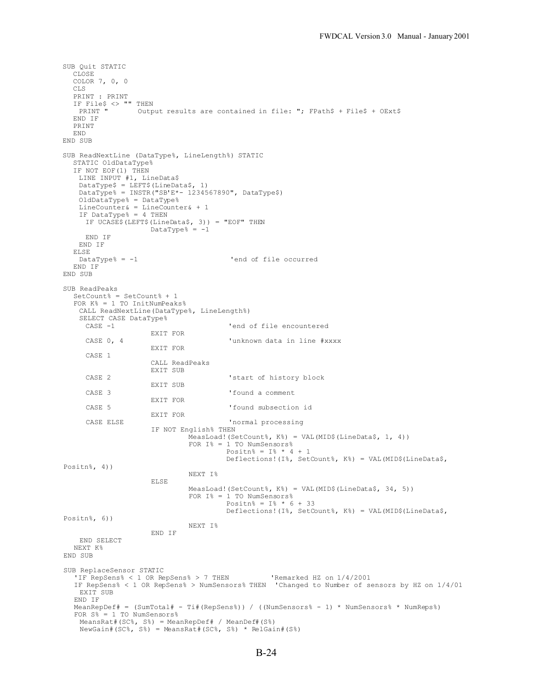SUB Quit STATIC CLOSE COLOR 7, 0, 0 CLS PRINT : PRINT IF File\$ <> "" THEN<br>PRINT " Outp Output results are contained in file: "; FPath\$ + File\$ + OExt\$ END IF PRINT END END SUB SUB ReadNextLine (DataType%, LineLength%) STATIC STATIC OldDataType% IF NOT EOF(1) THEN LINE INPUT #1, LineData\$ DataType\$ = LEFT\$(LineData\$, 1) DataType% = INSTR("SB'E\*- 1234567890", DataType\$) OldDataType% = DataType% LineCounter& = LineCounter& + 1 IF DataType% = 4 THEN IF UCASE\$(LEFT\$(LineData\$, 3)) = "EOF" THEN  $Datarype$ % =  $-1$ END IF END IF ELSE<br>DataType% =  $-1$ 'end of file occurred END IF END SUB SUB ReadPeaks SetCount% = SetCount% + 1 FOR K% = 1 TO InitNumPeaks% CALL ReadNextLine(DataType%, LineLength%) SELECT CASE DataType%<br>CASE -1 'end of file encountered EXIT FOR CASE 0, 4  $\blacksquare$   $\blacksquare$   $\blacksquare$   $\blacksquare$   $\blacksquare$   $\blacksquare$   $\blacksquare$   $\blacksquare$   $\blacksquare$   $\blacksquare$   $\blacksquare$   $\blacksquare$   $\blacksquare$   $\blacksquare$   $\blacksquare$   $\blacksquare$   $\blacksquare$   $\blacksquare$   $\blacksquare$   $\blacksquare$   $\blacksquare$   $\blacksquare$   $\blacksquare$   $\blacksquare$   $\blacksquare$   $\blacksquare$   $\blacksquare$   $\blacksquare$   $\blacksquare$   $\blacksquare$   $\$ EXIT FOR CASE 1 CALL ReadPeaks EXIT SUB CASE 2  $'$  'start of history block EXIT SUB CASE 3 'found a comment EXIT FOR CASE 5 'found subsection id EXIT FOR CASE ELSE 'normal processing IF NOT English% THEN MeasLoad!(SetCount%, K%) = VAL(MID\$(LineData\$, 1, 4)) FOR  $I^s = 1$  TO NumSensors% Positn% =  $I%$  \* 4 + 1 Deflections!(I%, SetCount%, K%) = VAL(MID\$(LineData\$, Positn%, 4)) NEXT I% ELSE MeasLoad! (SetCount%, K%) = VAL (MID\$ (LineData\$, 34, 5)) FOR  $I^s = 1$  TO NumSensors% Positn% =  $I%$  \* 6 + 33 Deflections!(I%, SetCount%, K%) = VAL(MID\$(LineData\$, Positn%, 6)) NEXT I% END IF END SELECT NEXT K% END SUB SUB ReplaceSensor STATIC 'IF RepSens% < 1 OR RepSens% > 7 THEN 'Remarked HZ on 1/4/2001 IF RepSens% < 1 OR RepSens% > NumSensors% THEN 'Changed to Number of sensors by HZ on 1/4/01 EXTT SUB END IF MeanRepDef# = (SumTotal# - Ti#(RepSens%)) / ((NumSensors% - 1) \* NumSensors% \* NumReps%)  $FOR S<sub>6</sub> = 1 TO NUMSensors<sub>6</sub>$ MeansRat#(SC%, S%) = MeanRepDef# / MeanDef#(S%) NewGain#(SC%, S%) = MeansRat#(SC%, S%) \* RelGain#(S%)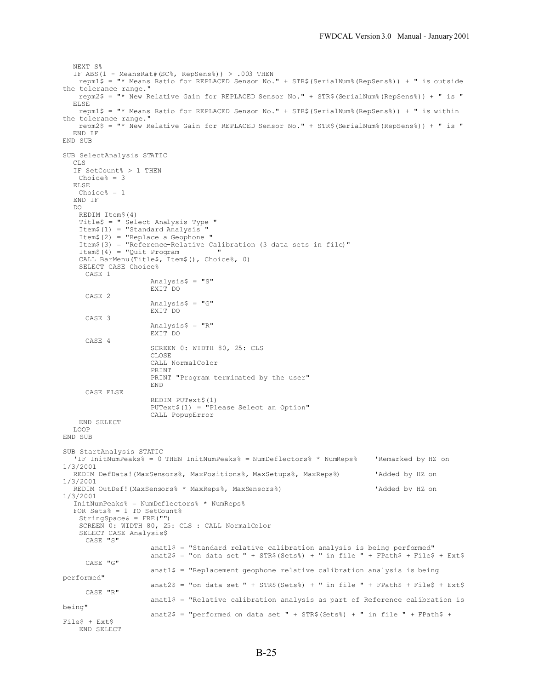```
NEXT S%
  IF ABS(1 - MeansRat#(SC%, RepSens%)) > .003 THEN
    repm1$ = "* Means Ratio for REPLACED Sensor No." + STR$(SerialNum%(RepSens%)) + " is outside
the tolerance range."
   repm2$ = "* New Relative Gain for REPLACED Sensor No." + STR$(SerialNum%(RepSens%)) + " is "
  ELSE
   repm1$ = "* Means Ratio for REPLACED Sensor No." + STR$(SerialNum%(RepSens%)) + " is within
the tolerance range."
    repm2$ = "* New Relative Gain for REPLACED Sensor No." + STR$(SerialNum%(RepSens%)) + " is "
  END IF
END SUB
SUB SelectAnalysis STATIC
  CLS
  IF SetCount% > 1 THEN
   Choice% = 3
  ELSE
   Choice% = 1
  END IF
  DO
   REDIM Item$(4)
   Title$ = " Select Analysis Type "
   Item$(1) = "Standard Analysis "
   Item$(2) = "Replace a Geophone "
   Item$(3) = "Reference-Relative Calibration (3 data sets in file)"
   Item$(4) = "Quit Program"
   CALL BarMenu(Title$, Item$(), Choice%, 0)
   SELECT CASE Choice%
    CASE 1
                    Analysis$ = "S"EXIT DO
     CASE 2
                    Analysis$ = "G"EXIT DO
     CASE 3
                    Analysis$ = "R"EXIT DO
     CASE 4
                    SCREEN 0: WIDTH 80, 25: CLS
                    CLOSE
                    CALL NormalColor
                    PRINT
                    PRINT "Program terminated by the user"
                    END
     CASE ELSE
                    REDIM PUText$(1)
                    PUText$(1) = "Please Select an Option"
                    CALL PopupError
   END SELECT
  LOOP
END SUB
SUB StartAnalysis STATIC
  'IF InitNumPeaks% = 0 THEN InitNumPeaks% = NumDeflectors% * NumReps% 'Remarked by HZ on
1/3/2001
  REDIM DefData!(MaxSensors%, MaxPositions%, MaxSetups%, MaxReps%) 'Added by HZ on
1/3/2001
  REDIM OutDef! (MaxSensors% * MaxReps%, MaxSensors%) 'Added by HZ on
1/3/2001
  InitNumPeaks% = NumDeflectors% * NumReps%
  FOR Sets% = 1 TO SetCount% = 1StringSpace& = FRE("")
   SCREEN 0: WIDTH 80, 25: CLS : CALL NormalColor
   SELECT CASE Analysis$
     CASE "S"
                     anat1$ = "Standard relative calibration analysis is being performed"
                     anat2$ = "on data set " + STR$(Sets%) + " in file " + FPath$ + File$ + Ext$
     CASE "G"
                    anat1$ = "Replacement geophone relative calibration analysis is being
performed"
                    anat2$ = "on data set " + STR$(Sets%) + " in file " + FPath$ + File$ + Ext$
     CASE "R"
                    anat1$ = "Relative calibration analysis as part of Reference calibration is
being"
                    anat2$ = "performed on data set " + STR$(Sets%) + " in file " + FPath$ +
File$ + Ext$
   END SELECT
```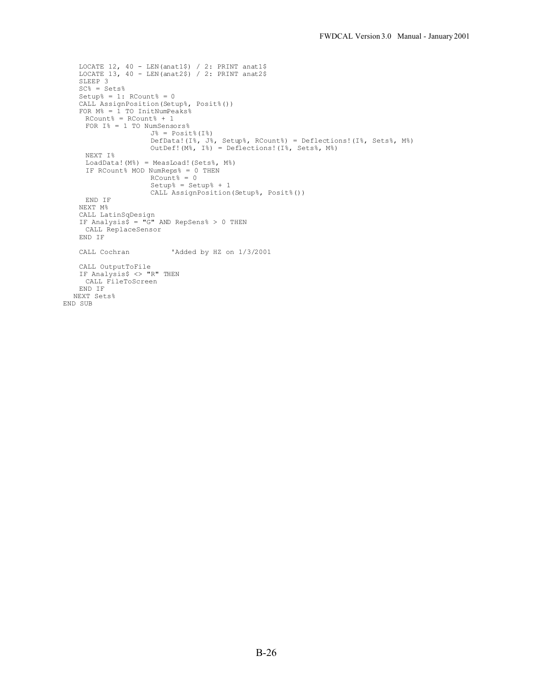```
LOCATE 12, 40 - LEN(anat1$) / 2: PRINT anat1$
    LOCATE 13, 40 - LEN(anat2$) / 2: PRINT anat2$
    SLEEP 3
    SC<sup>o</sup> = Sets<sup>o</sup>Setup_{6}^{6} = 1: RCount% = 0CALL AssignPosition(Setup%, Posit%())
    FOR M% = 1 TO InitNumPeaks%
      RCount% = RCount + 1
      FOR I% = 1 TO NumSensors%
                      J^{\circ} = Posit (I^{\circ})DefData!(I%, J%, Setup%, RCount%) = Deflections!(I%, Sets%, M%)
                      OutDef!(M%, I%) = Deflections!(I%, Sets%, M%)
     NEXT I%
     LoadData!(M%) = MeasLoad!(Sets%, M%)
      IF RCount% MOD NumReps% = 0 THEN
                      RCount<sup>8</sup> = 0
                      Setup% = Setup% + 1
                      CALL AssignPosition(Setup%, Posit%())
    END IF
    NEXT M%
    CALL LatinSqDesign
    IF Analysis$ = "G" AND RepSens% > 0 THEN
    CALL ReplaceSensor
    END IF
   CALL Cochran 'Added by HZ on 1/3/2001
    CALL OutputToFile
    IF Analysis$ <> "R" THEN
      CALL FileToScreen
    END IF
  NEXT Sets%
END SUB
```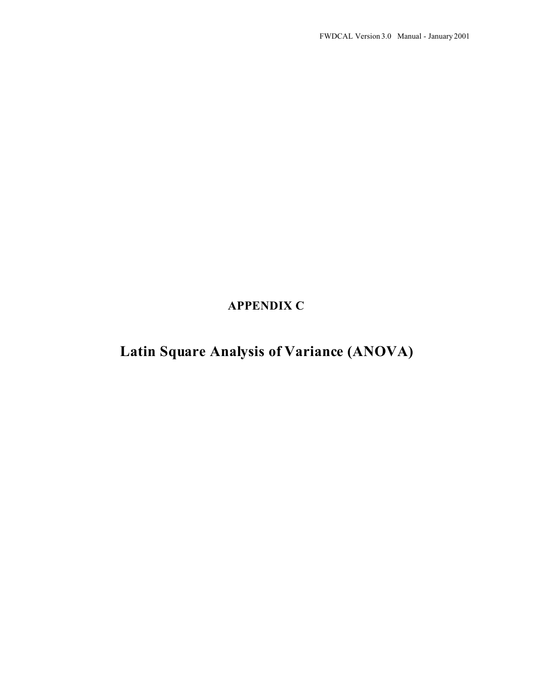**APPENDIX C**

**Latin Square Analysis of Variance (ANOVA)**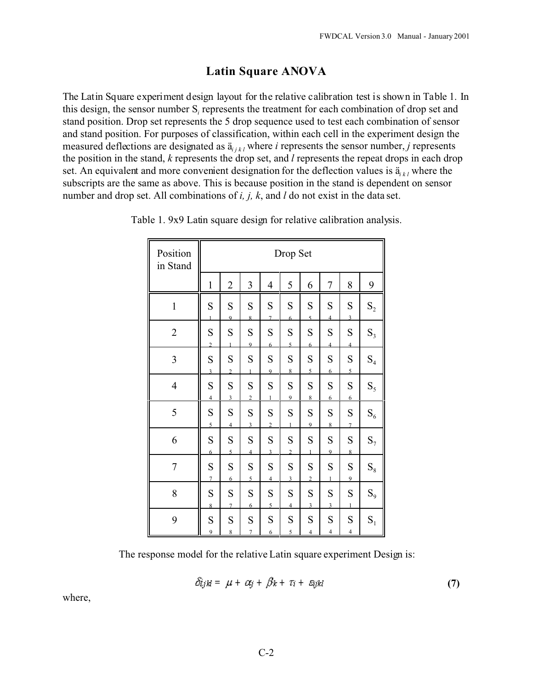## **Latin Square ANOVA**

The Latin Square experiment design layout for the relative calibration test is shown in Table 1. In this design, the sensor number  $S_i$  represents the treatment for each combination of drop set and stand position. Drop set represents the 5 drop sequence used to test each combination of sensor and stand position. For purposes of classification, within each cell in the experiment design the measured deflections are designated as  $\ddot{a}_{i,k,l}$  where *i* represents the sensor number, *j* represents the position in the stand, *k* represents the drop set, and *l* represents the repeat drops in each drop set. An equivalent and more convenient designation for the deflection values is  $\ddot{a}_{ik}$  where the subscripts are the same as above. This is because position in the stand is dependent on sensor number and drop set. All combinations of *i, j, k*, and *l* do not exist in the data set.

| Position<br>in Stand | Drop Set                    |                             |                             |                             |                     |                               |                             |                             |                |
|----------------------|-----------------------------|-----------------------------|-----------------------------|-----------------------------|---------------------|-------------------------------|-----------------------------|-----------------------------|----------------|
|                      | $\mathbf{1}$                | $\overline{2}$              | 3                           | $\overline{4}$              | 5                   | 6                             | 7                           | 8                           | 9              |
| $\,1$                | S<br>$\mathbf{1}$           | S<br>$\overline{Q}$         | S<br>8                      | ${\bf S}$<br>$\overline{7}$ | S<br>6              | S<br>$\mathfrak{F}$           | S<br>$\overline{4}$         | ${\bf S}$<br>$\overline{3}$ | $\mathbf{S}_2$ |
| $\overline{c}$       | ${\bf S}$<br>$\overline{2}$ | ${\bf S}$<br>1              | S<br>$\overline{9}$         | ${\bf S}$<br>6              | ${\bf S}$<br>5      | S<br>6                        | ${\bf S}$<br>$\overline{4}$ | ${\bf S}$<br>$\overline{4}$ | $S_3$          |
| 3                    | S<br>$\overline{3}$         | S<br>$\overline{2}$         | S<br>$\mathbf{1}$           | S<br>9                      | S<br>8              | ${\bf S}$<br>5                | ${\bf S}$<br>6              | ${\bf S}$<br>5              | $S_4$          |
| $\overline{4}$       | S<br>$\overline{4}$         | ${\bf S}$<br>$\overline{3}$ | ${\bf S}$<br>$\overline{c}$ | $\mathbf S$<br>$\mathbf{1}$ | ${\bf S}$<br>9      | ${\bf S}$<br>8                | S<br>6                      | ${\bf S}$<br>6              | $\mathbf{S}_5$ |
| 5                    | ${\bf S}$<br>$\overline{5}$ | S<br>$\overline{4}$         | S<br>$\overline{3}$         | S<br>$\overline{2}$         | S                   | ${\bf S}$<br>9                | ${\bf S}$<br>8              | ${\bf S}$<br>$\overline{7}$ | $\mathrm{S}_6$ |
| 6                    | S<br>6                      | S<br>5                      | S<br>$\overline{4}$         | S<br>$\overline{3}$         | S<br>$\overline{2}$ | S<br>1                        | S<br>9                      | S<br>8                      | $S_7$          |
| $\boldsymbol{7}$     | ${\bf S}$<br>$\overline{7}$ | S<br>6                      | ${\bf S}$<br>$\overline{5}$ | S<br>$\overline{4}$         | S<br>$\overline{3}$ | $\mathbf S$<br>$\overline{2}$ | S<br>$\mathbf{1}$           | ${\bf S}$<br>9              | $\mathrm{S}_8$ |
| 8                    | S<br>8                      | S<br>$\overline{7}$         | S<br>6                      | S<br>5                      | S<br>$\overline{4}$ | ${\bf S}$<br>$\overline{3}$   | S<br>$\overline{3}$         | ${\bf S}$<br>1              | $S_9$          |
| 9                    | S<br>$\overline{9}$         | S<br>$\,$ 8 $\,$            | S<br>$\tau$                 | S<br>6                      | S<br>5              | S<br>$\overline{4}$           | S<br>$\overline{4}$         | S<br>$\overline{4}$         | $S_1$          |

Table 1. 9x9 Latin square design for relative calibration analysis.

The response model for the relative Latin square experiment Design is:

$$
\delta_{ijkl} = \mu + \alpha_j + \beta_k + \tau_i + \epsilon_{ijkl} \tag{7}
$$

where,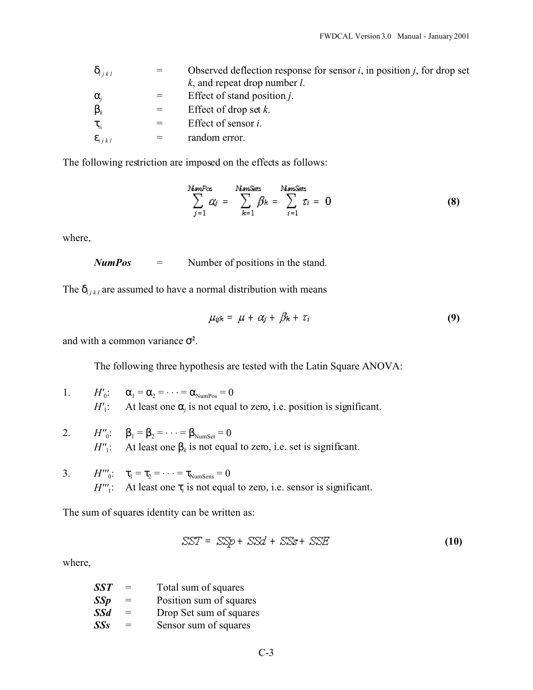| i j k l          |     | Observed deflection response for sensor $i$ , in position $j$ , for drop set |
|------------------|-----|------------------------------------------------------------------------------|
|                  |     | $k$ , and repeat drop number $l$ .                                           |
| $\mathbf{i}$     |     | Effect of stand position <i>j</i> .                                          |
| $\boldsymbol{k}$ |     | Effect of drop set $k$ .                                                     |
| ti.              | $=$ | Effect of sensor <i>i</i> .                                                  |
| i j k l          |     | random error.                                                                |
|                  |     |                                                                              |

The following restriction are imposed on the effects as follows:

$$
\sum_{j=1}^{NsmPcs} \alpha_j = \sum_{k=1}^{NsmSets} \beta_k = \sum_{i=1}^{NsmSets} \tau_i = 0 \qquad (8)
$$

where,

$$
NumPos = Number of positions in the stand.
$$

The  $_{i j k l}$  are assumed to have a normal distribution with means

$$
\mu_{ijk} = \mu + \alpha_j + \beta_k + \tau_i \tag{9}
$$

and with a common variance **<sup>2</sup>** .

The following three hypothesis are tested with the Latin Square ANOVA:

|  | 1. $H'_0$ : $_1 = 2 - \cdots = 2 \text{ Nump}_{0.05} = 0$                                  |
|--|--------------------------------------------------------------------------------------------|
|  | $H'_1$ : At least one $\overline{I}_i$ is not equal to zero, i.e. position is significant. |

- 2.  $H''_0$ :  $_1 = 2 = \cdots = 2 \text{ Numset } = 0$  $H''_1$ : At least one  $\overline{k}$  is not equal to zero, i.e. set is significant.
- 3.  $H'''_0$ :  $_1 = 2 = \cdots = 2 \text{ Numsens} = 0$ *H'''*<sub>1</sub>: At least one  $\bar{i}$  is not equal to zero, i.e. sensor is significant.

The sum of squares identity can be written as:

$$
SST = SSp + SSd + SSs + SSE
$$
 (10)

where,

| SST | $=$ | Total sum of squares    |
|-----|-----|-------------------------|
| SSp | $=$ | Position sum of squares |
| SSd | $=$ | Drop Set sum of squares |
| SSs | $=$ | Sensor sum of squares   |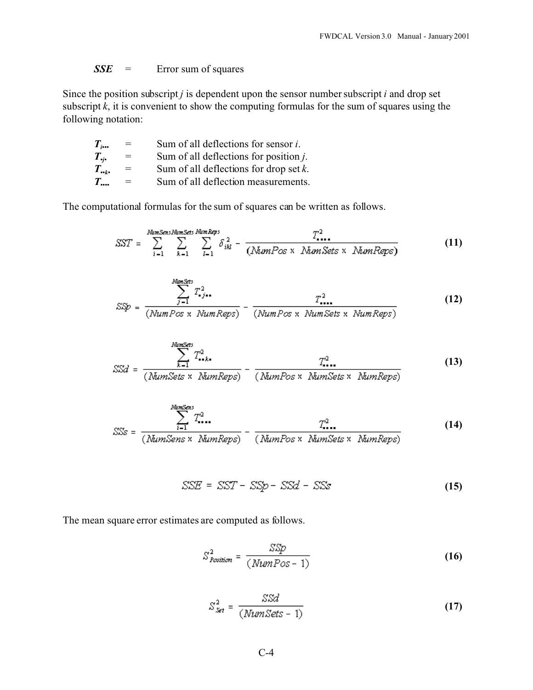*SSE* = Error sum of squares

Since the position subscript *j* is dependent upon the sensor number subscript *i* and drop set subscript  $\vec{k}$ , it is convenient to show the computing formulas for the sum of squares using the following notation:

| $T_{\scriptscriptstyle{iso}}$ | $=$ | Sum of all deflections for sensor $i$ .   |
|-------------------------------|-----|-------------------------------------------|
| $T_{\cdot i}$                 | $=$ | Sum of all deflections for position $i$ . |
| $T_{\cdot\cdot k\cdot}$       | $=$ | Sum of all deflections for drop set $k$ . |
| $T_{\dots}$                   | $=$ | Sum of all deflection measurements.       |
|                               |     |                                           |

The computational formulas for the sum of squares can be written as follows.

$$
SST = \sum_{i=1}^{Nums_{\text{cm}} \cdot Num\cdot \text{Sets}} \sum_{k=1}^{Num\cdot \text{Reps}} \sum_{i=1}^{Num\cdot \text{Reps}} \delta_{ik}^{2} - \frac{T_{\text{max}}^{2}}{(Num\cdot \text{Pos} \times Num\cdot \text{Sets} \times Num\cdot \text{Reps})}
$$
(11)

$$
S\mathfrak{D} = \frac{\sum_{j=1}^{N \text{times} \leq n} T_{ij}^2}{(NumPos \times NumReps)} - \frac{T_{i+1}^2}{(NumPos \times NumRes \times NumEets \times NumReps)}
$$
(12)

$$
SSd = \frac{\sum_{k=1}^{NumSets} T_{\bullet,k}^2}{(NumSets \times NumReps)} - \frac{T_{\bullet,k}^2}{(NumPos \times NumSets \times NumReps)}
$$
(13)

$$
SSs = \frac{\sum_{i=1}^{NumSens} T_{i...}^{2}}{(\text{NumSens} \times \text{NumReps})} - \frac{T_{i...}^{2}}{(\text{NumPos} \times \text{NumSets} \times \text{NumReps})}
$$
(14)

$$
SSE = SST - SSp - SSG - SSc \qquad (15)
$$

The mean square error estimates are computed as follows.

$$
S_{Position}^2 = \frac{SSp}{(NumPos - 1)}
$$
 (16)

$$
S_{Set}^2 = \frac{SSd}{(NumSets - 1)}
$$
 (17)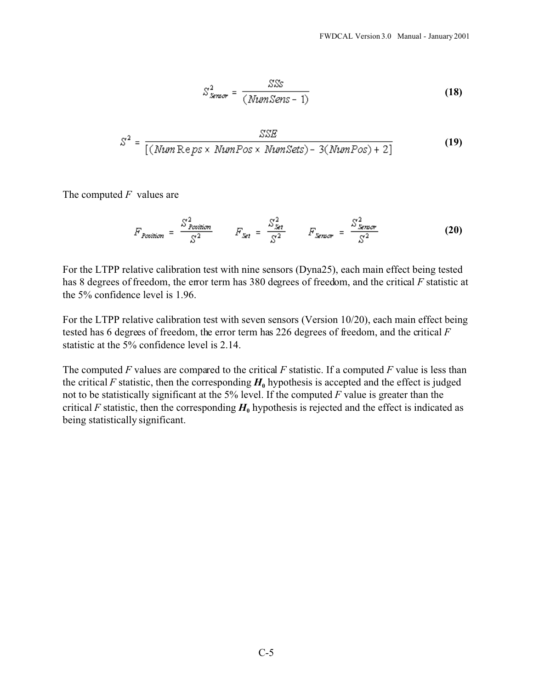$$
S_{\text{Sensor}}^2 = \frac{SSS}{(\text{NumSens} - 1)}\tag{18}
$$

$$
S^2 = \frac{SSE}{[(NumReps \times NumPos \times NumSets) - 3(NumPos) + 2]}
$$
 (19)

The computed *F* values are

$$
F_{Position} = \frac{S_{Position}^2}{S^2} \qquad F_{Set} = \frac{S_{Set}^2}{S^2} \qquad F_{Sensor} = \frac{S_{Sensor}^2}{S^2} \qquad (20)
$$

For the LTPP relative calibration test with nine sensors (Dyna25), each main effect being tested has 8 degrees of freedom, the error term has 380 degrees of freedom, and the critical *F* statistic at the 5% confidence level is 1.96.

For the LTPP relative calibration test with seven sensors (Version 10/20), each main effect being tested has 6 degrees of freedom, the error term has 226 degrees of freedom, and the critical *F* statistic at the 5% confidence level is 2.14.

The computed *F* values are compared to the critical *F* statistic. If a computed *F* value is less than the critical *F* statistic, then the corresponding  $H_0$  hypothesis is accepted and the effect is judged not to be statistically significant at the 5% level. If the computed *F* value is greater than the critical *F* statistic, then the corresponding  $H_0$  hypothesis is rejected and the effect is indicated as being statistically significant.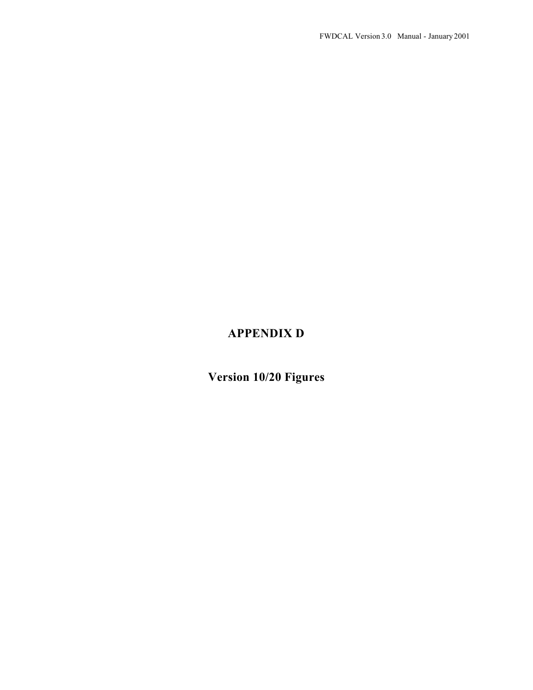## **APPENDIX D**

**Version 10/20 Figures**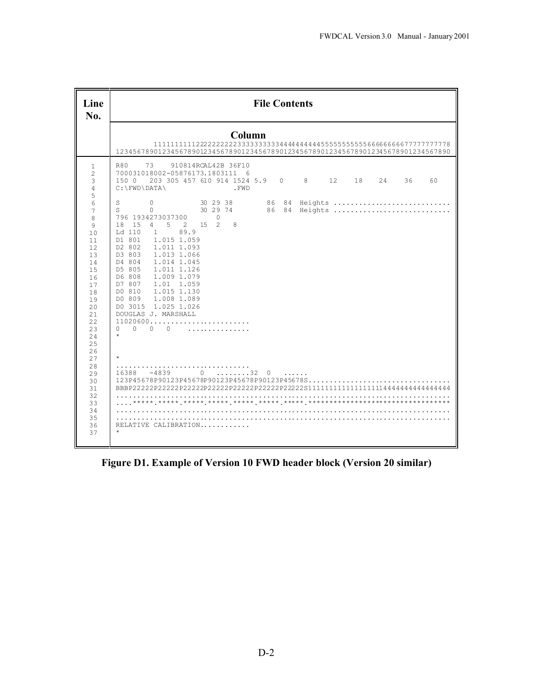| Line<br>No.                                                                                                                                                                                                                                | <b>File Contents</b>                                                                                                                                                                                                                                                                                                                                                                                                                                                                                                                                                                                                                                                                                                                                                                                            |  |  |  |  |  |  |  |  |  |  |  |  |
|--------------------------------------------------------------------------------------------------------------------------------------------------------------------------------------------------------------------------------------------|-----------------------------------------------------------------------------------------------------------------------------------------------------------------------------------------------------------------------------------------------------------------------------------------------------------------------------------------------------------------------------------------------------------------------------------------------------------------------------------------------------------------------------------------------------------------------------------------------------------------------------------------------------------------------------------------------------------------------------------------------------------------------------------------------------------------|--|--|--|--|--|--|--|--|--|--|--|--|
|                                                                                                                                                                                                                                            | Column<br>12345678901234567890123456789012345678901234567890123456789012345678901234567890                                                                                                                                                                                                                                                                                                                                                                                                                                                                                                                                                                                                                                                                                                                      |  |  |  |  |  |  |  |  |  |  |  |  |
| $\mathbf{1}$<br>$\overline{c}$<br>3<br>4<br>5<br>6<br>7<br>8<br>9<br>10<br>11<br>12<br>13<br>14<br>15<br>16<br>17<br>18<br>19<br>2.0<br>21<br>22<br>23<br>24<br>25<br>26<br>27<br>28<br>29<br>30<br>31<br>32<br>33<br>34<br>35<br>36<br>37 | <b>R80</b><br>73<br>910814RCAL42B 36F10<br>700031018002-05876173.1803111 6<br>203 305 457 610 914 1524 5.9 0 8 12 18 24<br>36<br>1500<br>60<br>C:\FWD\DATA\<br>.FWD<br>S<br>$\Omega$<br>S.<br>$\Omega$<br>796 1934273037300<br>$\Omega$<br>4 5 2 15<br>$\overline{2}$<br>$\mathcal{R}$<br>18 15<br>89.9<br>Ld 110<br>1<br>D1 801<br>1.015 1.059<br>D2 802<br>1.011 1.093<br>D3 803<br>1.013 1.066<br>1.014 1.045<br>D4 804<br>D5 805<br>1.011 1.126<br>D6 808<br>1.009 1.079<br>D7 807<br>1.01 1.059<br>1.015 1.130<br>DO 810<br>D0 809 1.008 1.089<br>D0 3015 1.025 1.026<br>DOUGLAS J. MARSHALL<br>11020600<br>$\cap$<br>$\cap$<br>$\cap$<br>$\Omega$<br>.<br>$\star$<br>$\star$<br>$-4839$ 0 32 0<br>16388<br>1.1.1.1.1<br>123P45678P90123P45678P90123P45678P90123P45678S<br>RELATIVE CALIBRATION<br>$\star$ |  |  |  |  |  |  |  |  |  |  |  |  |

**Figure D1. Example of Version 10 FWD header block (Version 20 similar)**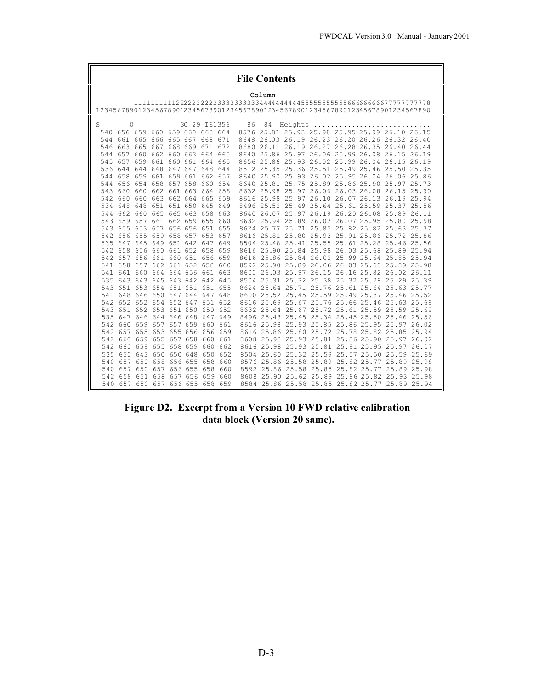|     | <b>File Contents</b>            |             |                     |         |             |                             |         |      |            |                  |                                          |       |                   |                                                                                  |       |  |
|-----|---------------------------------|-------------|---------------------|---------|-------------|-----------------------------|---------|------|------------|------------------|------------------------------------------|-------|-------------------|----------------------------------------------------------------------------------|-------|--|
|     | Column                          |             |                     |         |             |                             |         |      |            |                  |                                          |       |                   |                                                                                  |       |  |
|     |                                 |             |                     |         |             |                             |         |      |            |                  |                                          |       |                   |                                                                                  |       |  |
|     |                                 |             |                     |         |             |                             |         |      |            |                  |                                          |       |                   | 12345678901234567890123456789012345678901234567890123456789012345678901234567890 |       |  |
| S   | $\Omega$                        |             |                     |         |             | 30 29 161356                |         | 86   | 84         | Heights          |                                          |       |                   |                                                                                  |       |  |
| 540 |                                 |             |                     |         |             | 656 659 660 659 660 663 664 |         | 8576 |            |                  |                                          |       |                   | 25.81 25.93 25.98 25.95 25.99 26.10 26.15                                        |       |  |
| 544 |                                 |             | 661 665 666 665 667 |         |             | 668 671                     |         |      |            |                  |                                          |       |                   | 8648 26.03 26.19 26.23 26.20 26.26 26.32 26.40                                   |       |  |
| 546 |                                 |             |                     |         |             | 663 665 667 668 669 671 672 |         |      |            |                  |                                          |       |                   | 8680 26.11 26.19 26.27 26.28 26.35 26.40 26.44                                   |       |  |
| 544 |                                 | 657 660     |                     |         |             | 662 660 663 664 665         |         | 8640 |            | 25.86 25.97      |                                          |       |                   | 26.06 25.99 26.08 26.15 26.19                                                    |       |  |
| 545 | 657                             | 659 661     |                     |         |             | 660 661 664 665             |         |      |            |                  |                                          |       |                   | 8656 25.86 25.93 26.02 25.99 26.04 26.15 26.19                                   |       |  |
| 536 |                                 | 644 644 648 |                     |         |             | 647 647 648 644             |         |      |            |                  |                                          |       |                   | 8512 25.35 25.36 25.51 25.49 25.46 25.50 25.35                                   |       |  |
| 544 |                                 |             |                     |         |             | 658 659 661 659 661 662 657 |         | 8640 |            |                  |                                          |       |                   | 25.90 25.93 26.02 25.95 26.04 26.06 25.86                                        |       |  |
| 544 |                                 |             | 656 654 658 657 658 |         |             | 660 654                     |         |      |            |                  |                                          |       |                   | 8640 25.81 25.75 25.89 25.86 25.90 25.97 25.73                                   |       |  |
| 543 |                                 |             |                     |         |             | 660 660 662 661 663 664 658 |         |      |            |                  |                                          |       |                   | 8632 25.98 25.97 26.06 26.03 26.08 26.15 25.90                                   |       |  |
| 542 |                                 | 660 660 663 |                     |         |             | 662 664 665 659             |         |      |            |                  |                                          |       |                   | 8616 25.98 25.97 26.10 26.07 26.13 26.19 25.94                                   |       |  |
| 534 |                                 | 648 648     | 651                 |         | 651 650 645 |                             | 649     |      |            | 8496 25.52 25.49 |                                          |       |                   | 25.64 25.61 25.59 25.37 25.56                                                    |       |  |
| 544 | 662 660 665                     |             |                     |         |             | 665 663 658 663             |         |      |            |                  |                                          |       |                   | 8640 26.07 25.97 26.19 26.20 26.08 25.89 26.11                                   |       |  |
| 543 |                                 |             |                     |         |             | 659 657 661 662 659 655 660 |         |      |            |                  |                                          |       |                   | 8632 25.94 25.89 26.02 26.07 25.95 25.80 25.98                                   |       |  |
| 543 |                                 | 655 653     | 657                 |         | 656 656     | 651                         | 655     |      | 8624 25.77 |                  |                                          |       |                   | 25.71 25.85 25.82 25.82 25.63 25.77                                              |       |  |
|     | 542 656 655                     |             | 659                 |         |             | 658 657 653 657             |         |      |            |                  |                                          |       |                   | 8616 25.81 25.80 25.93 25.91 25.86 25.72 25.86                                   |       |  |
| 535 |                                 | 647 645 649 |                     |         |             | 651 642 647 649             |         |      |            |                  |                                          |       |                   | 8504 25.48 25.41 25.55 25.61 25.28 25.46 25.56                                   |       |  |
| 542 |                                 | 658 656     | 660                 |         | 661 652 658 |                             | 659     |      |            |                  | 8616 25.90 25.84 25.98 26.03 25.68 25.89 |       |                   |                                                                                  | 25.94 |  |
| 542 |                                 |             | 657 656 661         |         |             | 660 651 656 659             |         |      |            |                  | 8616 25.86 25.84 26.02 25.99 25.64 25.85 |       |                   |                                                                                  | 25.94 |  |
| 541 |                                 |             |                     |         |             | 658 657 662 661 652 658 660 |         |      |            |                  |                                          |       |                   | 8592 25.90 25.89 26.06 26.03 25.68 25.89 25.98                                   |       |  |
| 541 |                                 | 661 660     | 664                 |         |             | 664 656 661 663             |         |      |            |                  |                                          |       |                   | 8600 26.03 25.97 26.15 26.16 25.82 26.02 26.11                                   |       |  |
| 535 |                                 | 643 643     | 645                 |         |             | 643 642 642 645             |         | 8504 |            |                  |                                          |       |                   | 25.31 25.32 25.38 25.32 25.28 25.29 25.39                                        |       |  |
|     | 543 651 653 654 651 651 651 655 |             |                     |         |             |                             |         |      |            |                  |                                          |       |                   | 8624 25.64 25.71 25.76 25.61 25.64 25.63 25.77                                   |       |  |
| 541 |                                 | 648 646 650 |                     | 647 644 |             | 647 648                     |         |      |            |                  |                                          |       |                   | 8600 25.52 25.45 25.59 25.49 25.37 25.46 25.52                                   |       |  |
| 542 |                                 | 652 652     | 654                 |         | 652 647     |                             | 651 652 |      |            | 8616 25.69 25.67 |                                          |       | 25.76 25.66 25.46 | 25.63 25.69                                                                      |       |  |
| 543 |                                 | 651 652 653 |                     |         | 651 650     | 650 652                     |         |      |            | 8632 25.64 25.67 |                                          |       | 25.72 25.61 25.59 | 25.59 25.69                                                                      |       |  |
| 535 |                                 | 647 646     | 644                 |         | 646 648     | 647 649                     |         |      |            |                  |                                          |       |                   | 8496 25.48 25.45 25.34 25.45 25.50 25.46 25.56                                   |       |  |
| 542 |                                 | 660 659     | 657                 |         | 657 659     | 660                         | 661     | 8616 |            |                  |                                          |       |                   | 25.98 25.93 25.85 25.86 25.95 25.97 26.02                                        |       |  |
| 542 |                                 | 657 655     | 653                 |         | 655 656     | 656 659                     |         |      |            |                  | 8616 25.86 25.80 25.72 25.78 25.82 25.85 |       |                   |                                                                                  | 25.94 |  |
| 542 |                                 | 660 659 655 |                     |         | 657 658     | 660 661                     |         |      |            |                  |                                          |       |                   | 8608 25.98 25.93 25.81 25.86 25.90 25.97 26.02                                   |       |  |
| 542 | 660                             | 659         | 655                 | 658     | 659         | 660                         | 662     |      |            |                  | 8616 25.98 25.93 25.81                   |       |                   | 25.91 25.95 25.97 26.07                                                          |       |  |
| 535 | 650                             | 643         | 650                 | 650     | 648         | 650                         | 652     | 8504 | 25.60      | 25.32            | 25.59                                    | 25.57 | 25.50             | 25.59 25.69                                                                      |       |  |
| 540 |                                 | 657 650 658 |                     |         | 656 655     | 658                         | 660     |      |            |                  | 8576 25.86 25.58 25.89 25.82 25.77       |       |                   | 25.89 25.98                                                                      |       |  |
| 540 |                                 | 657 650     | 657                 |         | 656 655     | 658                         | 660     |      |            |                  |                                          |       |                   | 8592 25.86 25.58 25.85 25.82 25.77 25.89 25.98                                   |       |  |
| 542 | 658                             | 651         | 658                 | 657     | 656         | 659                         | 660     |      |            |                  |                                          |       |                   | 8608 25.90 25.62 25.89 25.86 25.82 25.93 25.98                                   |       |  |
|     | 540 657 650 657 656 655 658 659 |             |                     |         |             |                             |         |      |            |                  |                                          |       |                   | 8584 25.86 25.58 25.85 25.82 25.77 25.89 25.94                                   |       |  |

**Figure D2. Excerpt from a Version 10 FWD relative calibration data block (Version 20 same).**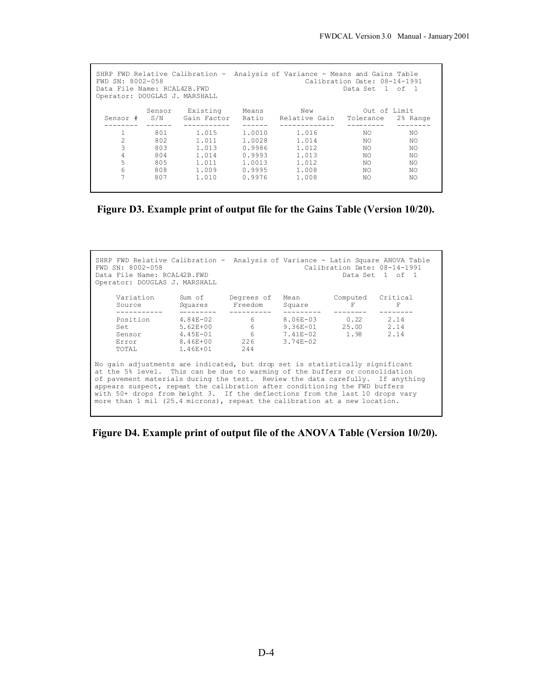| SHRP FWD Relative Calibration - Analysis of Variance - Means and Gains Table<br>FWD SN: 8002-058<br>Calibration Date: 08-14-1991<br>Data File Name: RCAL42B.FWD<br>Data Set 1 of 1<br>Operator: DOUGLAS J. MARSHALL |        |             |        |               |              |          |  |  |  |  |
|---------------------------------------------------------------------------------------------------------------------------------------------------------------------------------------------------------------------|--------|-------------|--------|---------------|--------------|----------|--|--|--|--|
|                                                                                                                                                                                                                     | Sensor | Existing    | Means  | New           | Out of Limit |          |  |  |  |  |
| Sensor #                                                                                                                                                                                                            | S/N    | Gain Factor | Ratio  | Relative Gain | Tolerance    | 2% Range |  |  |  |  |
|                                                                                                                                                                                                                     |        |             |        |               |              |          |  |  |  |  |
|                                                                                                                                                                                                                     | 801    | 1.015       | 1,0010 | 1.016         | NO.          | NO.      |  |  |  |  |
| $\mathcal{L}$                                                                                                                                                                                                       | 802    | 1.011       | 1.0028 | 1.014         | NO.          | NO.      |  |  |  |  |
| 3                                                                                                                                                                                                                   | 803    | 1.013       | 0.9986 | 1.012         | NO.          | NO.      |  |  |  |  |
| 4                                                                                                                                                                                                                   | 804    | 1.014       | 0.9993 | 1.013         | NO.          | NO.      |  |  |  |  |
| 5                                                                                                                                                                                                                   | 805    | 1.011       | 1.0013 | 1.012         | NO.          | NO.      |  |  |  |  |
| 6                                                                                                                                                                                                                   | 808    | 1.009       | 0.9995 | 1,008         | NO.          | NO.      |  |  |  |  |
| 7                                                                                                                                                                                                                   | 807    | 1,010       | 0.9976 | 1,008         | NO.          | NO.      |  |  |  |  |
|                                                                                                                                                                                                                     |        |             |        |               |              |          |  |  |  |  |

**Figure D3. Example print of output file for the Gains Table (Version 10/20).**

| SHRP FWD Relative Calibration - Analysis of Variance - Latin Square ANOVA Table<br>Calibration Date: 08-14-1991<br>FWD SN: 8002-058<br>Data File Name: RCAL42B.FWD<br>Data Set 1 of 1<br>Operator: DOUGLAS J. MARSHALL |                                                                                                                                                                                                                                                                                                                                                                                                                                                                                         |          |                              |                     |               |               |  |  |  |
|------------------------------------------------------------------------------------------------------------------------------------------------------------------------------------------------------------------------|-----------------------------------------------------------------------------------------------------------------------------------------------------------------------------------------------------------------------------------------------------------------------------------------------------------------------------------------------------------------------------------------------------------------------------------------------------------------------------------------|----------|------------------------------|---------------------|---------------|---------------|--|--|--|
|                                                                                                                                                                                                                        | Variation<br>Source<br>---------                                                                                                                                                                                                                                                                                                                                                                                                                                                        | Squares  | Sum of Degrees of<br>Freedom | Mean<br>Square      | Computed<br>F | Critical<br>F |  |  |  |
|                                                                                                                                                                                                                        | Position                                                                                                                                                                                                                                                                                                                                                                                                                                                                                | 4.84E-02 | $6 \qquad \qquad$            | 8.06E-03 0.22       |               | 2.14          |  |  |  |
|                                                                                                                                                                                                                        | Set                                                                                                                                                                                                                                                                                                                                                                                                                                                                                     | 5.62E+00 | 6                            | 9.36E-01 25.00 2.14 |               |               |  |  |  |
|                                                                                                                                                                                                                        | Sensor 4.45E-01                                                                                                                                                                                                                                                                                                                                                                                                                                                                         |          | $6^{\circ}$                  | 7.41E-02 1.98 2.14  |               |               |  |  |  |
|                                                                                                                                                                                                                        | Error                                                                                                                                                                                                                                                                                                                                                                                                                                                                                   | 8.46E+00 | 226                          | $3.74E - 02$        |               |               |  |  |  |
|                                                                                                                                                                                                                        | TOTAL                                                                                                                                                                                                                                                                                                                                                                                                                                                                                   | 1.46E+01 | 244                          |                     |               |               |  |  |  |
|                                                                                                                                                                                                                        | No gain adjustments are indicated, but drop set is statistically significant<br>at the 5% level. This can be due to warming of the buffers or consolidation<br>of pavement materials during the test. Review the data carefully. If anything<br>appears suspect, repeat the calibration after conditioning the FWD buffers<br>with 50+ drops from height 3. If the deflections from the last 10 drops vary<br>more than 1 mil (25.4 microns), repeat the calibration at a new location. |          |                              |                     |               |               |  |  |  |

**Figure D4. Example print of output file of the ANOVA Table (Version 10/20).**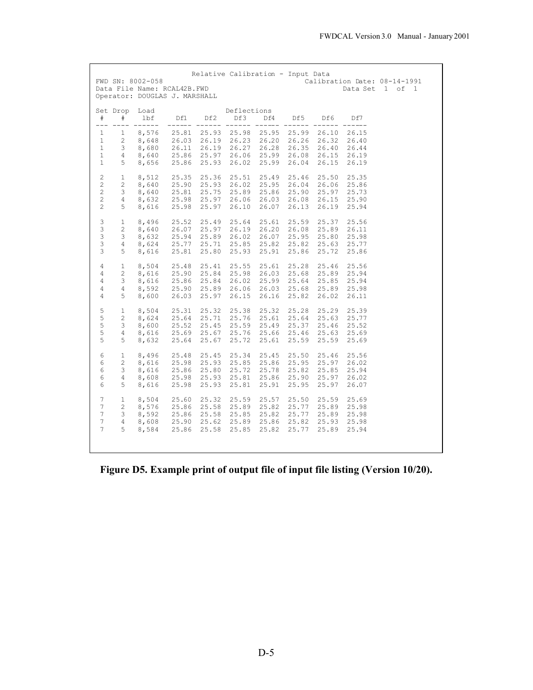| FWD SN: 8002-058<br>Data File Name: RCAL42B.FWD<br>Operator: DOUGLAS J. MARSHALL                                                       |                                                                                                                                                    |                                                 |                                           | Relative Calibration - Input Data         |                                                                  |                                           |                                                                                     |                                           | Calibration Date: 08-14-1991<br>Data Set 1 of 1 |  |
|----------------------------------------------------------------------------------------------------------------------------------------|----------------------------------------------------------------------------------------------------------------------------------------------------|-------------------------------------------------|-------------------------------------------|-------------------------------------------|------------------------------------------------------------------|-------------------------------------------|-------------------------------------------------------------------------------------|-------------------------------------------|-------------------------------------------------|--|
| Set Drop Load<br>$_{\rm \#}$<br>#<br>$---$<br>$---$                                                                                    | 1bf<br>-------                                                                                                                                     | Df1<br>------                                   | Df2<br>------                             | Deflections<br>Df3<br>-------             | Df4                                                              | Df5                                       | Df6                                                                                 | Df7<br>------                             |                                                 |  |
| $\mathbf{1}$<br>$\mathbf{1}$<br>$\mathbf{1}$<br>$2^{\circ}$                                                                            | 8,576<br>8,648<br>$\begin{array}{cccccc} 1 & 3 & 8,680 & 20.11 & -1 \\ 1 & 4 & 8,640 & 25.86 & 25.97 \\ 1 & 5 & 8,656 & 25.86 & 25.93 \end{array}$ | 25.81<br>26.03 26.19                            | 25.93                                     | 25.98<br>26.27<br>26.06<br>26.02          | $- - - - - -$<br>25.95<br>26.23 26.20<br>26.28<br>25.99<br>25.99 | 25.99                                     | 26.10<br>26.26 26.32<br>26.35 26.40 26.44<br>26.08 26.15 26.19<br>26.04 26.15 26.19 | 26.15<br>26.40                            |                                                 |  |
| $\overline{2}$<br>$1 -$<br>$2^{\circ}$<br>$2^{\circ}$<br>$\overline{2}$<br>$\overline{c}$<br>$4\degree$<br>$\overline{2}$<br>$5 -$     | 8,512<br>8,640<br>38,640<br>8,632<br>8,616                                                                                                         | 25.35<br>25.90<br>25.81<br>25.98<br>25.98       | 25.36<br>25.93<br>25.75<br>25.97<br>25.97 | 25.51<br>26.02<br>25.89<br>26.06<br>26.10 | 25.49<br>25.95<br>25.86<br>26.03<br>26.07                        | 26.04<br>26.08<br>26.13                   | 25.46 25.50<br>26.06 25.86<br>25.90 25.97<br>26.15<br>26.19                         | 25.35<br>25.73<br>25.90<br>25.94          |                                                 |  |
| 3<br>1<br>3<br>$2^{\circ}$<br>3<br>3<br>3<br>5                                                                                         | 8,496<br>8,640<br>$3$ $8,632$ $25.94$<br>$4$ $8,624$ $25.77$<br>8,616                                                                              | 25.52<br>26.07<br>25.81                         | 25.49<br>25.97<br>25.89<br>25.71<br>25.80 | 25.64<br>26.19<br>26.02<br>25.85<br>25.93 | 25.61<br>26.20<br>26.07<br>25.82<br>25.91                        | 25.59<br>25.86                            | 25.37<br>26.08 25.89 26.11<br>25.95 25.80<br>25.82 25.63 25.77<br>25.72             | 25.56<br>25.98<br>25.86                   |                                                 |  |
| $\overline{4}$<br>$1 -$<br>$\overline{4}$<br>$2^{\circ}$<br>3 <sup>7</sup><br>$\overline{4}$<br>$\overline{4}$<br>$4\degree$<br>5<br>4 | 8,504<br>8,616<br>8,616<br>8,592<br>8,600                                                                                                          | 25.48<br>25.90<br>25.86<br>25.90<br>26.03       | 25.41<br>25.84<br>25.84<br>25.89<br>25.97 | 25.55<br>25.98<br>26.02<br>26.06<br>26.15 | 25.61<br>26.03<br>25.99<br>26.03<br>26.16                        | 25.28<br>25.64<br>25.68<br>25.82          | 25.46<br>25.68 25.89<br>25.85<br>25.89<br>26.02                                     | 25.56<br>25.94<br>25.94<br>25.98<br>26.11 |                                                 |  |
| 5<br>$\mathbf{1}$<br>5<br>$2^{\circ}$<br>5<br>3 <sup>7</sup><br>5<br>$4\overline{ }$<br>5<br>5 <sub>5</sub>                            | 8,504<br>8,624<br>8,600<br>8,616<br>8,632                                                                                                          | 25.31<br>25.64<br>25.52<br>25.69<br>25.64       | 25.32<br>25.71<br>25.45<br>25.67<br>25.67 | 25.38<br>25.76<br>25.76<br>25.72          | 25.32<br>25.61<br>25.59 25.49<br>25.66<br>25.61                  | 25.64                                     | 25.28 25.29 25.39<br>25.63<br>25.37 25.46 25.52<br>25.46 25.63<br>25.59 25.59       | 25.77<br>25.69<br>25.69                   |                                                 |  |
| 6<br>1<br>6<br>$\overline{2}$<br>6<br>$3 -$<br>6<br>4<br>6<br>5                                                                        | 8,496<br>8,616<br>8,616<br>8,608<br>8,616                                                                                                          | 25.48<br>25.98<br>25.86 25.80<br>25.98<br>25.98 | 25.45<br>25.93<br>25.93<br>25.93          | 25.34<br>25.85<br>25.72<br>25.81<br>25.81 | 25.45<br>25.86<br>25.78<br>25.86<br>25.91                        | 25.50<br>25.95<br>25.95                   | 25.46<br>25.97<br>25.82 25.85 25.94<br>25.90 25.97 26.02<br>25.97                   | 25.56<br>26.02<br>26.07                   |                                                 |  |
| $7\overline{ }$<br>$\mathbf{1}$<br>$7\overline{ }$<br>$\overline{2}$<br>$7\phantom{.}$<br>$\mathcal{S}$<br>7<br>4<br>7<br>5            | 8,504<br>8,576<br>8,592<br>8,608<br>8,584                                                                                                          | 25.60<br>25.86<br>25.86<br>25.90<br>25.86       | 25.32<br>25.58<br>25.58<br>25.62<br>25.58 | 25.59<br>25.89<br>25.85<br>25.89<br>25.85 | 25.57<br>25.82<br>25.82<br>25.86<br>25.82                        | 25.50<br>25.77<br>25.77<br>25.82<br>25.77 | 25.59<br>25.89<br>25.89<br>25.93<br>25.89                                           | 25.69<br>25.98<br>25.98<br>25.98<br>25.94 |                                                 |  |

**Figure D5. Example print of output file of input file listing (Version 10/20).**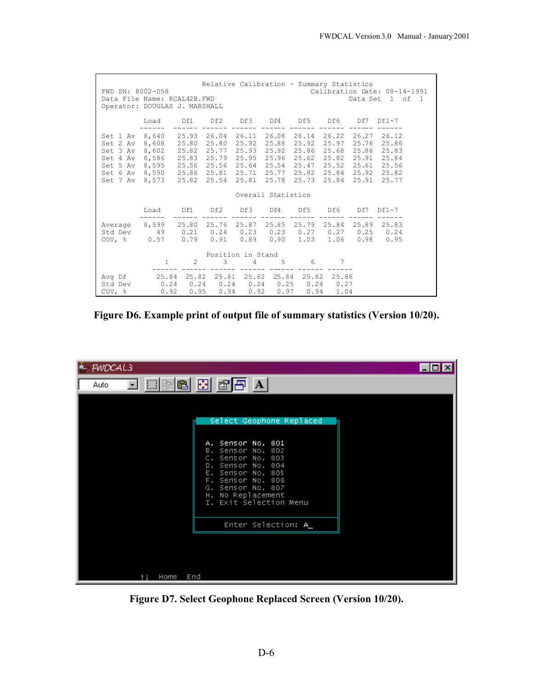| Relative Calibration - Summary Statistics<br>FWD SN: 8002-058<br>Calibration Date: 08-14-1991<br>Data File Name: RCAL42B.FWD<br>Data Set 1 of 1<br>Operator: DOUGLAS J. MARSHALL                                                                                                                                                                                                                         |                                        |                                        |                   |                        |                    |       |                         |  |                   |
|----------------------------------------------------------------------------------------------------------------------------------------------------------------------------------------------------------------------------------------------------------------------------------------------------------------------------------------------------------------------------------------------------------|----------------------------------------|----------------------------------------|-------------------|------------------------|--------------------|-------|-------------------------|--|-------------------|
|                                                                                                                                                                                                                                                                                                                                                                                                          | Load Df1 Df2 Df3 Df4 Df5 Df6 Df7 Df1-7 |                                        |                   |                        |                    |       |                         |  |                   |
| Set 1 Av 8,640 25.93 26.04 26.11 26.08 26.14 26.22 26.27 26.12<br>Set 2 Av 8,608 25.80<br>Set 3 Av 8,602 25.82 25.77 25.93 25.92<br>Set 4 Av 8,586 25.83 25.79 25.95 25.96 25.62 25.82 25.91 25.84<br>Set 5 Av 8,595 25.56 25.56 25.64 25.54 25.47 25.52 25.61 25.56<br>Set 6 Av 8,590 25.86 25.81 25.71 25.77 25.82 25.84 25.92 25.82<br>Set 7 Av 8,573 25.82 25.54 25.81 25.78 25.73 25.84 25.91 25.77 |                                        |                                        | 25.80 25.92 25.88 |                        |                    | 25.92 | 25.86 25.68 25.86 25.83 |  | 25.97 25.76 25.86 |
|                                                                                                                                                                                                                                                                                                                                                                                                          |                                        |                                        |                   |                        | Overall Statistics |       |                         |  |                   |
|                                                                                                                                                                                                                                                                                                                                                                                                          |                                        | Load Df1 Df2 Df3 Df4 Df5 Df6 Df7 Df1-7 |                   |                        |                    |       |                         |  |                   |
| Average 8,599 25.80 25.76 25.87 25.85 25.79 25.84 25.89 25.83<br>Std Dev   49   0.21   0.24   0.23   0.23   0.27   0.27   0.25   0.24<br>COV, $\frac{1}{6}$ 0.57 0.79 0.91 0.89 0.90 1.03 1.06 0.98 0.95                                                                                                                                                                                                 |                                        |                                        |                   |                        |                    |       |                         |  |                   |
|                                                                                                                                                                                                                                                                                                                                                                                                          | $1 \quad$                              | $\overline{2}$                         | 3                 | Position in Stand<br>4 | $5 - 5$            | 6     | 7                       |  |                   |
| Avq Df  25.84 25.82 25.81 25.82 25.84 25.82 25.86<br>Std Dev   0.24   0.24   0.24   0.24   0.25   0.24   0.27<br>COV, % 0.92 0.95 0.94 0.92 0.97 0.94 1.04                                                                                                                                                                                                                                               |                                        |                                        |                   |                        |                    |       |                         |  |                   |

**Figure D6. Example print of output file of summary statistics (Version 10/20).**

| FWDCAL3                                                                                                                                                                                                                    | $\blacksquare$ o |
|----------------------------------------------------------------------------------------------------------------------------------------------------------------------------------------------------------------------------|------------------|
| $\overline{\mathbf{I}}$ $\boxdot$ $\boxdot$ $\boxdot$ $\boxdot$ $\mathbf{B}$ of $\mathbf{B}$ $\mathbf{A}$<br>Auto                                                                                                          |                  |
| Select Geophone Replaced<br>A. Sensor No. 801<br>B. Sensor No. 802<br>C. Sensor No. 803<br>D. Sensor No. 804<br>E. Sensor No. 805<br>F. Sensor No. 808<br>G. Sensor No. 807<br>H. No Replacement<br>I. Exit Selection Menu |                  |
| Enter Selection: A_                                                                                                                                                                                                        |                  |
| End<br>Home                                                                                                                                                                                                                |                  |

**Figure D7. Select Geophone Replaced Screen (Version 10/20).**